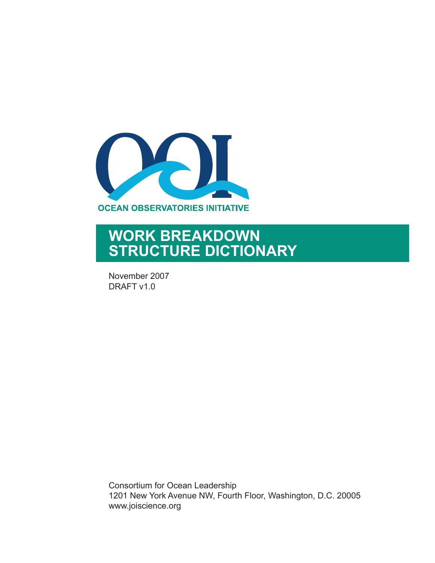

## **WORK BREAKDOWN STRUCTURE DICTIONARY**

November 2007 DRAFT v1.0

Consortium for Ocean Leadership 1201 New York Avenue NW, Fourth Floor, Washington, D.C. 20005 www.joiscience.org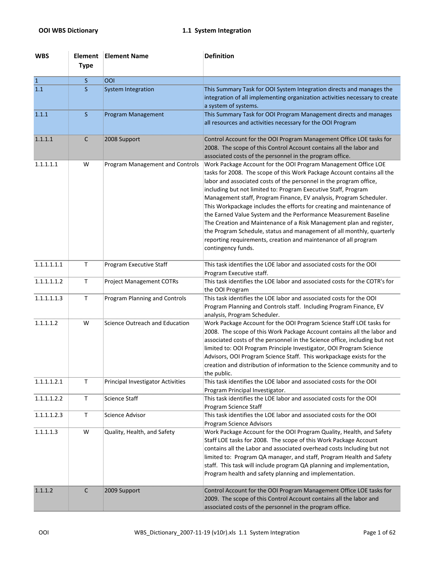| <b>WBS</b>     | Element<br><b>Type</b> | <b>Element Name</b>               | <b>Definition</b>                                                                                                                                                                                                                                                                                                                                                                                                                                                                                                                                                                                                                                                                                                                              |
|----------------|------------------------|-----------------------------------|------------------------------------------------------------------------------------------------------------------------------------------------------------------------------------------------------------------------------------------------------------------------------------------------------------------------------------------------------------------------------------------------------------------------------------------------------------------------------------------------------------------------------------------------------------------------------------------------------------------------------------------------------------------------------------------------------------------------------------------------|
| $\overline{1}$ | S                      | ool                               |                                                                                                                                                                                                                                                                                                                                                                                                                                                                                                                                                                                                                                                                                                                                                |
| 1.1            | S                      | <b>System Integration</b>         | This Summary Task for OOI System Integration directs and manages the<br>integration of all implementing organization activities necessary to create<br>a system of systems.                                                                                                                                                                                                                                                                                                                                                                                                                                                                                                                                                                    |
| 1.1.1          | <sub>S</sub>           | Program Management                | This Summary Task for OOI Program Management directs and manages<br>all resources and activities necessary for the OOI Program                                                                                                                                                                                                                                                                                                                                                                                                                                                                                                                                                                                                                 |
| 1.1.1.1        | C                      | 2008 Support                      | Control Account for the OOI Program Management Office LOE tasks for<br>2008. The scope of this Control Account contains all the labor and<br>associated costs of the personnel in the program office.                                                                                                                                                                                                                                                                                                                                                                                                                                                                                                                                          |
| 1.1.1.1.1      | W                      | Program Management and Controls   | Work Package Account for the OOI Program Management Office LOE<br>tasks for 2008. The scope of this Work Package Account contains all the<br>labor and associated costs of the personnel in the program office,<br>including but not limited to: Program Executive Staff, Program<br>Management staff, Program Finance, EV analysis, Program Scheduler.<br>This Workpackage includes the efforts for creating and maintenance of<br>the Earned Value System and the Performance Measurement Baseline<br>The Creation and Maintenance of a Risk Management plan and register,<br>the Program Schedule, status and management of all monthly, quarterly<br>reporting requirements, creation and maintenance of all program<br>contingency funds. |
| 1.1.1.1.1.1    | $\mathsf T$            | Program Executive Staff           | This task identifies the LOE labor and associated costs for the OOI<br>Program Executive staff.                                                                                                                                                                                                                                                                                                                                                                                                                                                                                                                                                                                                                                                |
| 1.1.1.1.1.2    | Τ                      | <b>Project Management COTRs</b>   | This task identifies the LOE labor and associated costs for the COTR's for<br>the OOI Program                                                                                                                                                                                                                                                                                                                                                                                                                                                                                                                                                                                                                                                  |
| 1.1.1.1.1.3    | $\mathsf T$            | Program Planning and Controls     | This task identifies the LOE labor and associated costs for the OOI<br>Program Planning and Controls staff. Including Program Finance, EV<br>analysis, Program Scheduler.                                                                                                                                                                                                                                                                                                                                                                                                                                                                                                                                                                      |
| 1.1.1.1.2      | W                      | Science Outreach and Education    | Work Package Account for the OOI Program Science Staff LOE tasks for<br>2008. The scope of this Work Package Account contains all the labor and<br>associated costs of the personnel in the Science office, including but not<br>limited to: OOI Program Principle Investigator, OOI Program Science<br>Advisors, OOI Program Science Staff. This workpackage exists for the<br>creation and distribution of information to the Science community and to<br>the public.                                                                                                                                                                                                                                                                        |
| 1.1.1.1.2.1    | $\mathsf T$            | Principal Investigator Activities | This task identifies the LOE labor and associated costs for the OOI<br>Program Principal Investigator.                                                                                                                                                                                                                                                                                                                                                                                                                                                                                                                                                                                                                                         |
| 1.1.1.1.2.2    | T                      | Science Staff                     | This task identifies the LOE labor and associated costs for the OOI<br>Program Science Staff                                                                                                                                                                                                                                                                                                                                                                                                                                                                                                                                                                                                                                                   |
| 1.1.1.1.2.3    | T                      | Science Advisor                   | This task identifies the LOE labor and associated costs for the OOI<br>Program Science Advisors                                                                                                                                                                                                                                                                                                                                                                                                                                                                                                                                                                                                                                                |
| 1.1.1.1.3      | W                      | Quality, Health, and Safety       | Work Package Account for the OOI Program Quality, Health, and Safety<br>Staff LOE tasks for 2008. The scope of this Work Package Account<br>contains all the Labor and associated overhead costs Including but not<br>limited to: Program QA manager, and staff, Program Health and Safety<br>staff. This task will include program QA planning and implementation,<br>Program health and safety planning and implementation.                                                                                                                                                                                                                                                                                                                  |
| 1.1.1.2        | $\mathsf{C}$           | 2009 Support                      | Control Account for the OOI Program Management Office LOE tasks for<br>2009. The scope of this Control Account contains all the labor and<br>associated costs of the personnel in the program office.                                                                                                                                                                                                                                                                                                                                                                                                                                                                                                                                          |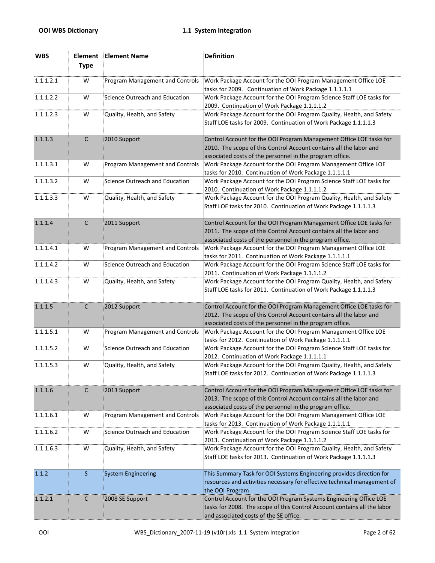| <b>WBS</b> | Element<br><b>Type</b> | <b>Element Name</b>             | <b>Definition</b>                                                                                                                                                                                     |
|------------|------------------------|---------------------------------|-------------------------------------------------------------------------------------------------------------------------------------------------------------------------------------------------------|
| 1.1.1.2.1  | W                      | Program Management and Controls | Work Package Account for the OOI Program Management Office LOE<br>tasks for 2009. Continuation of Work Package 1.1.1.1.1                                                                              |
| 1.1.1.2.2  | W                      | Science Outreach and Education  | Work Package Account for the OOI Program Science Staff LOE tasks for<br>2009. Continuation of Work Package 1.1.1.1.2                                                                                  |
| 1.1.1.2.3  | W                      | Quality, Health, and Safety     | Work Package Account for the OOI Program Quality, Health, and Safety<br>Staff LOE tasks for 2009. Continuation of Work Package 1.1.1.1.3                                                              |
| 1.1.1.3    | $\mathsf C$            | 2010 Support                    | Control Account for the OOI Program Management Office LOE tasks for<br>2010. The scope of this Control Account contains all the labor and<br>associated costs of the personnel in the program office. |
| 1.1.1.3.1  | W                      | Program Management and Controls | Work Package Account for the OOI Program Management Office LOE<br>tasks for 2010. Continuation of Work Package 1.1.1.1.1                                                                              |
| 1.1.1.3.2  | W                      | Science Outreach and Education  | Work Package Account for the OOI Program Science Staff LOE tasks for<br>2010. Continuation of Work Package 1.1.1.1.2                                                                                  |
| 1.1.1.3.3  | W                      | Quality, Health, and Safety     | Work Package Account for the OOI Program Quality, Health, and Safety<br>Staff LOE tasks for 2010. Continuation of Work Package 1.1.1.1.3                                                              |
| 1.1.1.4    | $\mathsf C$            | 2011 Support                    | Control Account for the OOI Program Management Office LOE tasks for<br>2011. The scope of this Control Account contains all the labor and<br>associated costs of the personnel in the program office. |
| 1.1.1.4.1  | W                      | Program Management and Controls | Work Package Account for the OOI Program Management Office LOE<br>tasks for 2011. Continuation of Work Package 1.1.1.1.1                                                                              |
| 1.1.1.4.2  | W                      | Science Outreach and Education  | Work Package Account for the OOI Program Science Staff LOE tasks for<br>2011. Continuation of Work Package 1.1.1.1.2                                                                                  |
| 1.1.1.4.3  | W                      | Quality, Health, and Safety     | Work Package Account for the OOI Program Quality, Health, and Safety<br>Staff LOE tasks for 2011. Continuation of Work Package 1.1.1.1.3                                                              |
| 1.1.1.5    | $\mathsf{C}$           | 2012 Support                    | Control Account for the OOI Program Management Office LOE tasks for<br>2012. The scope of this Control Account contains all the labor and<br>associated costs of the personnel in the program office. |
| 1.1.1.5.1  | W                      | Program Management and Controls | Work Package Account for the OOI Program Management Office LOE<br>tasks for 2012. Continuation of Work Package 1.1.1.1.1                                                                              |
| 1.1.1.5.2  | W                      | Science Outreach and Education  | Work Package Account for the OOI Program Science Staff LOE tasks for<br>2012. Continuation of Work Package 1.1.1.1.1                                                                                  |
| 1.1.1.5.3  | W                      | Quality, Health, and Safety     | Work Package Account for the OOI Program Quality, Health, and Safety<br>Staff LOE tasks for 2012. Continuation of Work Package 1.1.1.1.3                                                              |
| 1.1.1.6    | $\mathsf{C}$           | 2013 Support                    | Control Account for the OOI Program Management Office LOE tasks for<br>2013. The scope of this Control Account contains all the labor and<br>associated costs of the personnel in the program office. |
| 1.1.1.6.1  | W                      | Program Management and Controls | Work Package Account for the OOI Program Management Office LOE<br>tasks for 2013. Continuation of Work Package 1.1.1.1.1                                                                              |
| 1.1.1.6.2  | W                      | Science Outreach and Education  | Work Package Account for the OOI Program Science Staff LOE tasks for<br>2013. Continuation of Work Package 1.1.1.1.2                                                                                  |
| 1.1.1.6.3  | W                      | Quality, Health, and Safety     | Work Package Account for the OOI Program Quality, Health, and Safety<br>Staff LOE tasks for 2013. Continuation of Work Package 1.1.1.1.3                                                              |
| 1.1.2      | $\mathsf{S}$           | <b>System Engineering</b>       | This Summary Task for OOI Systems Engineering provides direction for<br>resources and activities necessary for effective technical management of<br>the OOI Program                                   |
| 1.1.2.1    | $\mathsf{C}$           | 2008 SE Support                 | Control Account for the OOI Program Systems Engineering Office LOE<br>tasks for 2008. The scope of this Control Account contains all the labor<br>and associated costs of the SE office.              |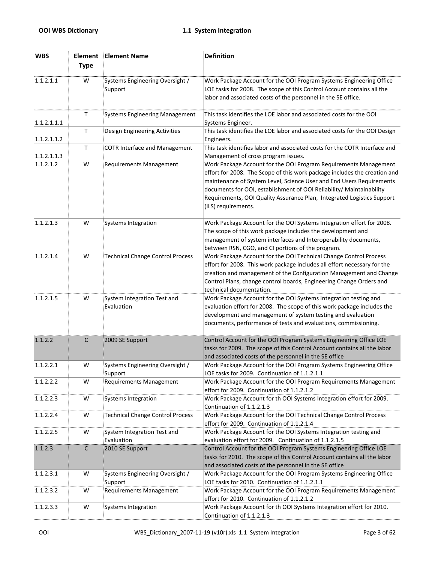| <b>WBS</b>  | Element<br><b>Type</b> | <b>Element Name</b>                        | <b>Definition</b>                                                                                                                                                                                                                                                                                                                                                                              |
|-------------|------------------------|--------------------------------------------|------------------------------------------------------------------------------------------------------------------------------------------------------------------------------------------------------------------------------------------------------------------------------------------------------------------------------------------------------------------------------------------------|
| 1.1.2.1.1   | W                      | Systems Engineering Oversight /<br>Support | Work Package Account for the OOI Program Systems Engineering Office<br>LOE tasks for 2008. The scope of this Control Account contains all the<br>labor and associated costs of the personnel in the SE office.                                                                                                                                                                                 |
| 1.1.2.1.1.1 | $\mathsf T$            | <b>Systems Engineering Management</b>      | This task identifies the LOE labor and associated costs for the OOI<br>Systems Engineer.                                                                                                                                                                                                                                                                                                       |
| 1.1.2.1.1.2 | $\mathsf T$            | Design Engineering Activities              | This task identifies the LOE labor and associated costs for the OOI Design<br>Engineers.                                                                                                                                                                                                                                                                                                       |
| 1.1.2.1.1.3 | Τ                      | <b>COTR Interface and Management</b>       | This task identifies labor and associated costs for the COTR Interface and<br>Management of cross program issues.                                                                                                                                                                                                                                                                              |
| 1.1.2.1.2   | W                      | <b>Requirements Management</b>             | Work Package Account for the OOI Program Requirements Management<br>effort for 2008. The Scope of this work package includes the creation and<br>maintenance of System Level, Science User and End Users Requirements<br>documents for OOI, establishment of OOI Reliability/ Maintainability<br>Requirements, OOI Quality Assurance Plan, Integrated Logistics Support<br>(ILS) requirements. |
| 1.1.2.1.3   | W                      | Systems Integration                        | Work Package Account for the OOI Systems Integration effort for 2008.<br>The scope of this work package includes the development and<br>management of system interfaces and Interoperability documents,<br>between RSN, CGO, and CI portions of the program.                                                                                                                                   |
| 1.1.2.1.4   | W                      | <b>Technical Change Control Process</b>    | Work Package Account for the OOI Technical Change Control Process<br>effort for 2008. This work package includes all effort necessary for the<br>creation and management of the Configuration Management and Change<br>Control Plans, change control boards, Engineering Change Orders and<br>technical documentation.                                                                         |
| 1.1.2.1.5   | W                      | System Integration Test and<br>Evaluation  | Work Package Account for the OOI Systems Integration testing and<br>evaluation effort for 2008. The scope of this work package includes the<br>development and management of system testing and evaluation<br>documents, performance of tests and evaluations, commissioning.                                                                                                                  |
| 1.1.2.2     | $\mathsf C$            | 2009 SE Support                            | Control Account for the OOI Program Systems Engineering Office LOE<br>tasks for 2009. The scope of this Control Account contains all the labor<br>and associated costs of the personnel in the SE office                                                                                                                                                                                       |
| 1.1.2.2.1   | W                      | Systems Engineering Oversight /<br>Support | Work Package Account for the OOI Program Systems Engineering Office<br>LOE tasks for 2009. Continuation of 1.1.2.1.1                                                                                                                                                                                                                                                                           |
| 1.1.2.2.2   | W                      | <b>Requirements Management</b>             | Work Package Account for the OOI Program Requirements Management<br>effort for 2009. Continuation of 1.1.2.1.2                                                                                                                                                                                                                                                                                 |
| 1.1.2.2.3   | W                      | Systems Integration                        | Work Package Account for th OOI Systems Integration effort for 2009.<br>Continuation of 1.1.2.1.3                                                                                                                                                                                                                                                                                              |
| 1.1.2.2.4   | W                      | <b>Technical Change Control Process</b>    | Work Package Account for the OOI Technical Change Control Process<br>effort for 2009. Continuation of 1.1.2.1.4                                                                                                                                                                                                                                                                                |
| 1.1.2.2.5   | W                      | System Integration Test and<br>Evaluation  | Work Package Account for the OOI Systems Integration testing and<br>evaluation effort for 2009. Continuation of 1.1.2.1.5                                                                                                                                                                                                                                                                      |
| 1.1.2.3     | $\mathsf C$            | 2010 SE Support                            | Control Account for the OOI Program Systems Engineering Office LOE<br>tasks for 2010. The scope of this Control Account contains all the labor<br>and associated costs of the personnel in the SE office                                                                                                                                                                                       |
| 1.1.2.3.1   | W                      | Systems Engineering Oversight /<br>Support | Work Package Account for the OOI Program Systems Engineering Office<br>LOE tasks for 2010. Continuation of 1.1.2.1.1                                                                                                                                                                                                                                                                           |
| 1.1.2.3.2   | W                      | Requirements Management                    | Work Package Account for the OOI Program Requirements Management<br>effort for 2010. Continuation of 1.1.2.1.2                                                                                                                                                                                                                                                                                 |
| 1.1.2.3.3   | W                      | <b>Systems Integration</b>                 | Work Package Account for th OOI Systems Integration effort for 2010.<br>Continuation of 1.1.2.1.3                                                                                                                                                                                                                                                                                              |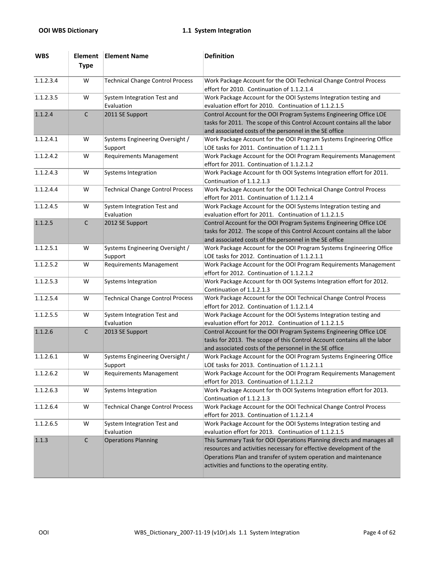| <b>WBS</b> | Element<br><b>Type</b> | <b>Element Name</b>                        | <b>Definition</b>                                                                                                                                                                                                                                                     |
|------------|------------------------|--------------------------------------------|-----------------------------------------------------------------------------------------------------------------------------------------------------------------------------------------------------------------------------------------------------------------------|
| 1.1.2.3.4  | W                      | <b>Technical Change Control Process</b>    | Work Package Account for the OOI Technical Change Control Process<br>effort for 2010. Continuation of 1.1.2.1.4                                                                                                                                                       |
| 1.1.2.3.5  | W                      | System Integration Test and<br>Evaluation  | Work Package Account for the OOI Systems Integration testing and<br>evaluation effort for 2010. Continuation of 1.1.2.1.5                                                                                                                                             |
| 1.1.2.4    | $\mathsf{C}$           | 2011 SE Support                            | Control Account for the OOI Program Systems Engineering Office LOE<br>tasks for 2011. The scope of this Control Account contains all the labor<br>and associated costs of the personnel in the SE office                                                              |
| 1.1.2.4.1  | W                      | Systems Engineering Oversight /<br>Support | Work Package Account for the OOI Program Systems Engineering Office<br>LOE tasks for 2011. Continuation of 1.1.2.1.1                                                                                                                                                  |
| 1.1.2.4.2  | W                      | <b>Requirements Management</b>             | Work Package Account for the OOI Program Requirements Management<br>effort for 2011. Continuation of 1.1.2.1.2                                                                                                                                                        |
| 1.1.2.4.3  | W                      | <b>Systems Integration</b>                 | Work Package Account for th OOI Systems Integration effort for 2011.<br>Continuation of 1.1.2.1.3                                                                                                                                                                     |
| 1.1.2.4.4  | W                      | <b>Technical Change Control Process</b>    | Work Package Account for the OOI Technical Change Control Process<br>effort for 2011. Continuation of 1.1.2.1.4                                                                                                                                                       |
| 1.1.2.4.5  | W                      | System Integration Test and<br>Evaluation  | Work Package Account for the OOI Systems Integration testing and<br>evaluation effort for 2011. Continuation of 1.1.2.1.5                                                                                                                                             |
| 1.1.2.5    | $\mathsf{C}$           | 2012 SE Support                            | Control Account for the OOI Program Systems Engineering Office LOE<br>tasks for 2012. The scope of this Control Account contains all the labor<br>and associated costs of the personnel in the SE office                                                              |
| 1.1.2.5.1  | W                      | Systems Engineering Oversight /<br>Support | Work Package Account for the OOI Program Systems Engineering Office<br>LOE tasks for 2012. Continuation of 1.1.2.1.1                                                                                                                                                  |
| 1.1.2.5.2  | W                      | <b>Requirements Management</b>             | Work Package Account for the OOI Program Requirements Management<br>effort for 2012. Continuation of 1.1.2.1.2                                                                                                                                                        |
| 1.1.2.5.3  | W                      | Systems Integration                        | Work Package Account for th OOI Systems Integration effort for 2012.<br>Continuation of 1.1.2.1.3                                                                                                                                                                     |
| 1.1.2.5.4  | W                      | <b>Technical Change Control Process</b>    | Work Package Account for the OOI Technical Change Control Process<br>effort for 2012. Continuation of 1.1.2.1.4                                                                                                                                                       |
| 1.1.2.5.5  | W                      | System Integration Test and<br>Evaluation  | Work Package Account for the OOI Systems Integration testing and<br>evaluation effort for 2012. Continuation of 1.1.2.1.5                                                                                                                                             |
| 1.1.2.6    | $\mathsf C$            | 2013 SE Support                            | Control Account for the OOI Program Systems Engineering Office LOE<br>tasks for 2013. The scope of this Control Account contains all the labor<br>and associated costs of the personnel in the SE office                                                              |
| 1.1.2.6.1  | W                      | Systems Engineering Oversight /<br>Support | Work Package Account for the OOI Program Systems Engineering Office<br>LOE tasks for 2013. Continuation of 1.1.2.1.1                                                                                                                                                  |
| 1.1.2.6.2  | W                      | Requirements Management                    | Work Package Account for the OOI Program Requirements Management<br>effort for 2013. Continuation of 1.1.2.1.2                                                                                                                                                        |
| 1.1.2.6.3  | W                      | <b>Systems Integration</b>                 | Work Package Account for th OOI Systems Integration effort for 2013.<br>Continuation of 1.1.2.1.3                                                                                                                                                                     |
| 1.1.2.6.4  | W                      | <b>Technical Change Control Process</b>    | Work Package Account for the OOI Technical Change Control Process<br>effort for 2013. Continuation of 1.1.2.1.4                                                                                                                                                       |
| 1.1.2.6.5  | W                      | System Integration Test and<br>Evaluation  | Work Package Account for the OOI Systems Integration testing and<br>evaluation effort for 2013. Continuation of 1.1.2.1.5                                                                                                                                             |
| 1.1.3      | $\mathsf{C}$           | <b>Operations Planning</b>                 | This Summary Task for OOI Operations Planning directs and manages all<br>resources and activities necessary for effective development of the<br>Operations Plan and transfer of system operation and maintenance<br>activities and functions to the operating entity. |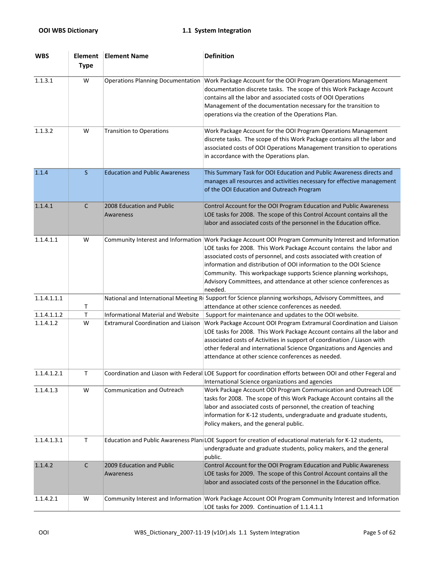| <b>WBS</b>  | <b>Element</b><br><b>Type</b> | <b>Element Name</b>                        | <b>Definition</b>                                                                                                                                                                                                                                                                                                                                                                                                                                                                  |
|-------------|-------------------------------|--------------------------------------------|------------------------------------------------------------------------------------------------------------------------------------------------------------------------------------------------------------------------------------------------------------------------------------------------------------------------------------------------------------------------------------------------------------------------------------------------------------------------------------|
| 1.1.3.1     | W                             | <b>Operations Planning Documentation</b>   | Work Package Account for the OOI Program Operations Management<br>documentation discrete tasks. The scope of this Work Package Account<br>contains all the labor and associated costs of OOI Operations<br>Management of the documentation necessary for the transition to<br>operations via the creation of the Operations Plan.                                                                                                                                                  |
| 1.1.3.2     | W                             | <b>Transition to Operations</b>            | Work Package Account for the OOI Program Operations Management<br>discrete tasks. The scope of this Work Package contains all the labor and<br>associated costs of OOI Operations Management transition to operations<br>in accordance with the Operations plan.                                                                                                                                                                                                                   |
| 1.1.4       | $\mathsf{S}$                  | <b>Education and Public Awareness</b>      | This Summary Task for OOI Education and Public Awareness directs and<br>manages all resources and activities necessary for effective management<br>of the OOI Education and Outreach Program                                                                                                                                                                                                                                                                                       |
| 1.1.4.1     | C                             | 2008 Education and Public<br>Awareness     | Control Account for the OOI Program Education and Public Awareness<br>LOE tasks for 2008. The scope of this Control Account contains all the<br>labor and associated costs of the personnel in the Education office.                                                                                                                                                                                                                                                               |
| 1.1.4.1.1   | W                             |                                            | Community Interest and Information Work Package Account OOI Program Community Interest and Information<br>LOE tasks for 2008. This Work Package Account contains the labor and<br>associated costs of personnel, and costs associated with creation of<br>information and distribution of OOI information to the OOI Science<br>Community. This workpackage supports Science planning workshops,<br>Advisory Committees, and attendance at other science conferences as<br>needed. |
| 1.1.4.1.1.1 | Т                             | National and International Meeting R       | Support for Science planning workshops, Advisory Committees, and<br>attendance at other science conferences as needed.                                                                                                                                                                                                                                                                                                                                                             |
| 1.1.4.1.1.2 | T.                            | <b>Informational Material and Website</b>  | Support for maintenance and updates to the OOI website.                                                                                                                                                                                                                                                                                                                                                                                                                            |
| 1.1.4.1.2   | W                             | <b>Extramural Coordination and Liaison</b> | Work Package Account OOI Program Extramural Coordination and Liaison<br>LOE tasks for 2008. This Work Package Account contains all the labor and<br>associated costs of Activities in support of coordination / Liason with<br>other federal and international Science Organizations and Agencies and<br>attendance at other science conferences as needed.                                                                                                                        |
| 1.1.4.1.2.1 | Τ                             |                                            | Coordination and Liason with Federal LOE Support for coordination efforts between OOI and other Fegeral and<br>International Science organizations and agencies                                                                                                                                                                                                                                                                                                                    |
| 1.1.4.1.3   | W                             | Communication and Outreach                 | Work Package Account OOI Program Communication and Outreach LOE<br>tasks for 2008. The scope of this Work Package Account contains all the<br>labor and associated costs of personnel, the creation of teaching<br>information for K-12 students, undergraduate and graduate students,<br>Policy makers, and the general public.                                                                                                                                                   |
| 1.1.4.1.3.1 | $\mathsf T$                   |                                            | Education and Public Awareness Plan LOE Support for creation of educational materials for K-12 students,<br>undergraduate and graduate students, policy makers, and the general<br>public.                                                                                                                                                                                                                                                                                         |
| 1.1.4.2     | $\mathsf{C}$                  | 2009 Education and Public<br>Awareness     | Control Account for the OOI Program Education and Public Awareness<br>LOE tasks for 2009. The scope of this Control Account contains all the<br>labor and associated costs of the personnel in the Education office.                                                                                                                                                                                                                                                               |
| 1.1.4.2.1   | W                             |                                            | Community Interest and Information Work Package Account OOI Program Community Interest and Information<br>LOE tasks for 2009. Continuation of 1.1.4.1.1                                                                                                                                                                                                                                                                                                                            |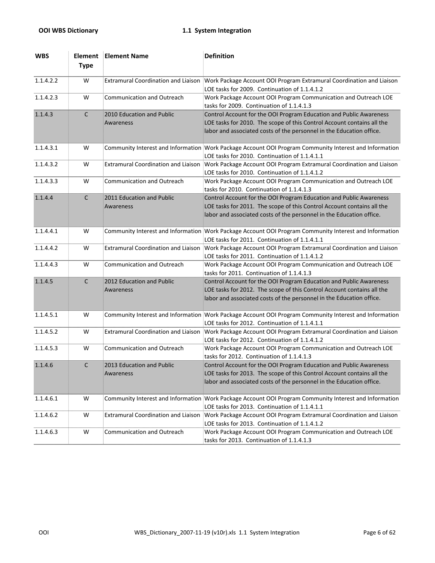| <b>WBS</b> | Element<br><b>Type</b> | <b>Element Name</b>                        | <b>Definition</b>                                                                                                                                                                                                    |
|------------|------------------------|--------------------------------------------|----------------------------------------------------------------------------------------------------------------------------------------------------------------------------------------------------------------------|
| 1.1.4.2.2  | W                      | <b>Extramural Coordination and Liaison</b> | Work Package Account OOI Program Extramural Coordination and Liaison<br>LOE tasks for 2009. Continuation of 1.1.4.1.2                                                                                                |
| 1.1.4.2.3  | W                      | Communication and Outreach                 | Work Package Account OOI Program Communication and Outreach LOE<br>tasks for 2009. Continuation of 1.1.4.1.3                                                                                                         |
| 1.1.4.3    | $\mathsf{C}$           | 2010 Education and Public<br>Awareness     | Control Account for the OOI Program Education and Public Awareness<br>LOE tasks for 2010. The scope of this Control Account contains all the<br>labor and associated costs of the personnel in the Education office. |
| 1.1.4.3.1  | W                      | Community Interest and Information         | Work Package Account OOI Program Community Interest and Information<br>LOE tasks for 2010. Continuation of 1.1.4.1.1                                                                                                 |
| 1.1.4.3.2  | W                      | <b>Extramural Coordination and Liaison</b> | Work Package Account OOI Program Extramural Coordination and Liaison<br>LOE tasks for 2010. Continuation of 1.1.4.1.2                                                                                                |
| 1.1.4.3.3  | W                      | <b>Communication and Outreach</b>          | Work Package Account OOI Program Communication and Outreach LOE<br>tasks for 2010. Continuation of 1.1.4.1.3                                                                                                         |
| 1.1.4.4    | $\mathsf{C}$           | 2011 Education and Public<br>Awareness     | Control Account for the OOI Program Education and Public Awareness<br>LOE tasks for 2011. The scope of this Control Account contains all the<br>labor and associated costs of the personnel in the Education office. |
| 1.1.4.4.1  | W                      |                                            | Community Interest and Information Work Package Account OOI Program Community Interest and Information<br>LOE tasks for 2011. Continuation of 1.1.4.1.1                                                              |
| 1.1.4.4.2  | W                      | <b>Extramural Coordination and Liaison</b> | Work Package Account OOI Program Extramural Coordination and Liaison<br>LOE tasks for 2011. Continuation of 1.1.4.1.2                                                                                                |
| 1.1.4.4.3  | W                      | Communication and Outreach                 | Work Package Account OOI Program Communication and Outreach LOE<br>tasks for 2011. Continuation of 1.1.4.1.3                                                                                                         |
| 1.1.4.5    | $\mathsf{C}$           | 2012 Education and Public<br>Awareness     | Control Account for the OOI Program Education and Public Awareness<br>LOE tasks for 2012. The scope of this Control Account contains all the<br>labor and associated costs of the personnel in the Education office. |
| 1.1.4.5.1  | W                      |                                            | Community Interest and Information Work Package Account OOI Program Community Interest and Information<br>LOE tasks for 2012. Continuation of 1.1.4.1.1                                                              |
| 1.1.4.5.2  | W                      | <b>Extramural Coordination and Liaison</b> | Work Package Account OOI Program Extramural Coordination and Liaison<br>LOE tasks for 2012. Continuation of 1.1.4.1.2                                                                                                |
| 1.1.4.5.3  | W                      | Communication and Outreach                 | Work Package Account OOI Program Communication and Outreach LOE<br>tasks for 2012. Continuation of 1.1.4.1.3                                                                                                         |
| 1.1.4.6    | C                      | 2013 Education and Public<br>Awareness     | Control Account for the OOI Program Education and Public Awareness<br>LOE tasks for 2013. The scope of this Control Account contains all the<br>labor and associated costs of the personnel in the Education office. |
| 1.1.4.6.1  | W                      |                                            | Community Interest and Information Work Package Account OOI Program Community Interest and Information<br>LOE tasks for 2013. Continuation of 1.1.4.1.1                                                              |
| 1.1.4.6.2  | W                      | <b>Extramural Coordination and Liaison</b> | Work Package Account OOI Program Extramural Coordination and Liaison<br>LOE tasks for 2013. Continuation of 1.1.4.1.2                                                                                                |
| 1.1.4.6.3  | W                      | Communication and Outreach                 | Work Package Account OOI Program Communication and Outreach LOE<br>tasks for 2013. Continuation of 1.1.4.1.3                                                                                                         |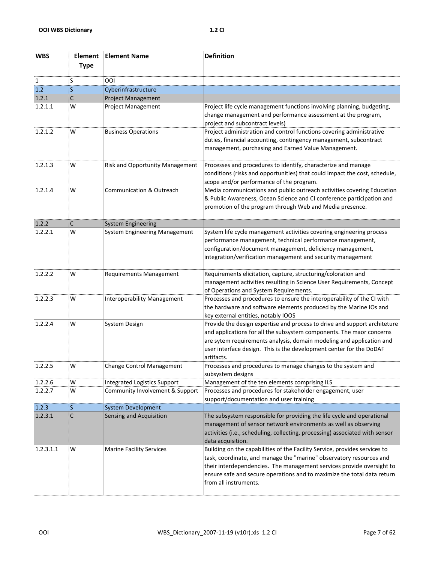| <b>WBS</b> | Element<br><b>Type</b> | <b>Element Name</b>                  | <b>Definition</b>                                                                                                                                                                                                                                                                                                              |
|------------|------------------------|--------------------------------------|--------------------------------------------------------------------------------------------------------------------------------------------------------------------------------------------------------------------------------------------------------------------------------------------------------------------------------|
| 1          | S                      | OOI                                  |                                                                                                                                                                                                                                                                                                                                |
| 1.2        | S                      | Cyberinfrastructure                  |                                                                                                                                                                                                                                                                                                                                |
| 1.2.1      | С                      | <b>Project Management</b>            |                                                                                                                                                                                                                                                                                                                                |
| 1.2.1.1    | W                      | Project Management                   | Project life cycle management functions involving planning, budgeting,<br>change management and performance assessment at the program,<br>project and subcontract levels)                                                                                                                                                      |
| 1.2.1.2    | W                      | <b>Business Operations</b>           | Project administration and control functions covering administrative<br>duties, financial accounting, contingency management, subcontract<br>management, purchasing and Earned Value Management.                                                                                                                               |
| 1.2.1.3    | W                      | Risk and Opportunity Management      | Processes and procedures to identify, characterize and manage<br>conditions (risks and opportunities) that could impact the cost, schedule,<br>scope and/or performance of the program.                                                                                                                                        |
| 1.2.1.4    | W                      | <b>Communication &amp; Outreach</b>  | Media communications and public outreach activities covering Education<br>& Public Awareness, Ocean Science and CI conference participation and<br>promotion of the program through Web and Media presence.                                                                                                                    |
| 1.2.2      | C                      | <b>System Engineering</b>            |                                                                                                                                                                                                                                                                                                                                |
| 1.2.2.1    | W                      | <b>System Engineering Management</b> | System life cycle management activities covering engineering process<br>performance management, technical performance management,<br>configuration/document management, deficiency management,<br>integration/verification management and security management                                                                  |
| 1.2.2.2    | W                      | <b>Requirements Management</b>       | Requirements elicitation, capture, structuring/coloration and<br>management activities resulting in Science User Requirements, Concept<br>of Operations and System Requirements.                                                                                                                                               |
| 1.2.2.3    | W                      | <b>Interoperability Management</b>   | Processes and procedures to ensure the interoperability of the CI with<br>the hardware and software elements produced by the Marine IOs and<br>key external entities, notably IOOS                                                                                                                                             |
| 1.2.2.4    | W                      | System Design                        | Provide the design expertise and process to drive and support architeture<br>and applications for all the subsystem components. The maor concerns<br>are sytem requirements analysis, domain modeling and application and<br>user interface design. This is the development center for the DoDAF<br>artifacts.                 |
| 1.2.2.5    | W                      | <b>Change Control Management</b>     | Processes and procedures to manage changes to the system and<br>subsystem designs                                                                                                                                                                                                                                              |
| 1.2.2.6    | W                      | <b>Integrated Logistics Support</b>  | Management of the ten elements comprising ILS                                                                                                                                                                                                                                                                                  |
| 1.2.2.7    | W                      | Community Involvement & Support      | Processes and procedures for stakeholder engagement, user<br>support/documentation and user training                                                                                                                                                                                                                           |
| 1.2.3      | S                      | System Development                   |                                                                                                                                                                                                                                                                                                                                |
| 1.2.3.1    | $\mathsf C$            | Sensing and Acquisition              | The subsystem responsible for providing the life cycle and operational<br>management of sensor network environments as well as observing<br>activities (i.e., scheduling, collecting, processing) associated with sensor<br>data acquisition.                                                                                  |
| 1.2.3.1.1  | W                      | <b>Marine Facility Services</b>      | Building on the capabilities of the Facility Service, provides services to<br>task, coordinate, and manage the "marine" observatory resources and<br>their interdependencies. The management services provide oversight to<br>ensure safe and secure operations and to maximize the total data return<br>from all instruments. |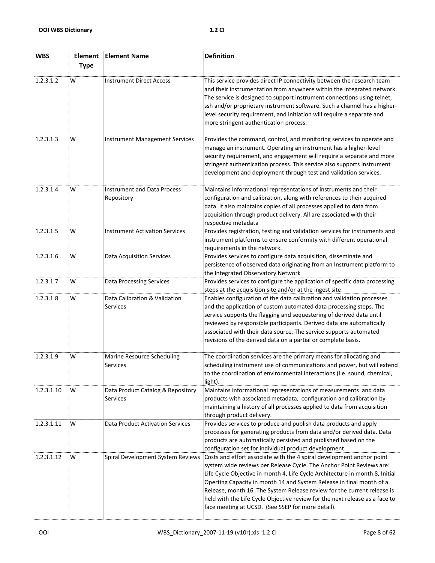| <b>WBS</b> | Element<br><b>Type</b> | <b>Element Name</b>                              | <b>Definition</b>                                                                                                                                                                                                                                                                                                                                                                                                                                                                                                    |
|------------|------------------------|--------------------------------------------------|----------------------------------------------------------------------------------------------------------------------------------------------------------------------------------------------------------------------------------------------------------------------------------------------------------------------------------------------------------------------------------------------------------------------------------------------------------------------------------------------------------------------|
| 1.2.3.1.2  | W                      | <b>Instrument Direct Access</b>                  | This service provides direct IP connectivity between the research team<br>and their instrumentation from anywhere within the integrated network.<br>The service is designed to support instrument connections using telnet,<br>ssh and/or proprietary instrument software. Such a channel has a higher-<br>level security requirement, and initiation will require a separate and<br>more stringent authentication process.                                                                                          |
| 1.2.3.1.3  | W                      | <b>Instrument Management Services</b>            | Provides the command, control, and monitoring services to operate and<br>manage an instrument. Operating an instrument has a higher-level<br>security requirement, and engagement will require a separate and more<br>stringent authentication process. This service also supports instrument<br>development and deployment through test and validation services.                                                                                                                                                    |
| 1.2.3.1.4  | W                      | <b>Instrument and Data Process</b><br>Repository | Maintains informational representations of instruments and their<br>configuration and calibration, along with references to their acquired<br>data. It also maintains copies of all processes applied to data from<br>acquisition through product delivery. All are associated with their<br>respective metadata                                                                                                                                                                                                     |
| 1.2.3.1.5  | W                      | <b>Instrument Activation Services</b>            | Provides registration, testing and validation services for instruments and<br>instrument platforms to ensure conformity with different operational<br>requirements in the network.                                                                                                                                                                                                                                                                                                                                   |
| 1.2.3.1.6  | W                      | <b>Data Acquisition Services</b>                 | Provides services to configure data acquisition, disseminate and<br>persistence of observed data originating from an Instrument platform to<br>the Integrated Observatory Network                                                                                                                                                                                                                                                                                                                                    |
| 1.2.3.1.7  | W                      | Data Processing Services                         | Provides services to configure the application of specific data processing<br>steps at the acquisition site and/or at the ingest site                                                                                                                                                                                                                                                                                                                                                                                |
| 1.2.3.1.8  | W                      | Data Calibration & Validation<br><b>Services</b> | Enables configuration of the data calibration and validation processes<br>and the application of custom automated data processing steps. The<br>service supports the flagging and sequestering of derived data until<br>reviewed by responsible participants. Derived data are automatically<br>associated with their data source. The service supports automated<br>revisions of the derived data on a partial or complete basis.                                                                                   |
| 1.2.3.1.9  | W                      | Marine Resource Scheduling<br>Services           | The coordination services are the primary means for allocating and<br>scheduling instrument use of communications and power, but will extend<br>to the coordination of environmental interactions (i.e. sound, chemical,<br>light).                                                                                                                                                                                                                                                                                  |
| 1.2.3.1.10 | W                      | Data Product Catalog & Repository<br>Services    | Maintains informational representations of measurements and data<br>products with associated metadata, configuration and calibration by<br>maintaining a history of all processes applied to data from acquisition<br>through product delivery.                                                                                                                                                                                                                                                                      |
| 1.2.3.1.11 | W                      | <b>Data Product Activation Services</b>          | Provides services to produce and publish data products and apply<br>processes for generating products from data and/or derived data. Data<br>products are automatically persisted and published based on the<br>configuration set for individual product development.                                                                                                                                                                                                                                                |
| 1.2.3.1.12 | W                      | Spiral Development System Reviews                | Costs and effort associate with the 4 spiral development anchor point<br>system wide reviews per Release Cycle. The Anchor Point Reviews are:<br>Life Cycle Objective in month 4, Life Cycle Architecture in month 8, Initial<br>Operting Capacity in month 14 and System Release in final month of a<br>Release, month 16. The System Release review for the current release is<br>held with the Life Cycle Objective review for the next release as a face to<br>face meeting at UCSD. (See SSEP for more detail). |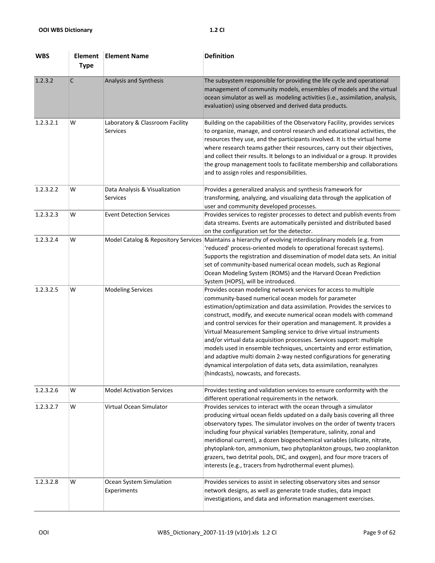| <b>WBS</b> | Element<br><b>Type</b> | <b>Element Name</b>                         | <b>Definition</b>                                                                                                                                                                                                                                                                                                                                                                                                                                                                                                                                                                                                                                                                                                                                                 |
|------------|------------------------|---------------------------------------------|-------------------------------------------------------------------------------------------------------------------------------------------------------------------------------------------------------------------------------------------------------------------------------------------------------------------------------------------------------------------------------------------------------------------------------------------------------------------------------------------------------------------------------------------------------------------------------------------------------------------------------------------------------------------------------------------------------------------------------------------------------------------|
| 1.2.3.2    | $\mathsf{C}$           | Analysis and Synthesis                      | The subsystem responsible for providing the life cycle and operational<br>management of community models, ensembles of models and the virtual<br>ocean simulator as well as modeling activities (i.e., assimilation, analysis,<br>evaluation) using observed and derived data products.                                                                                                                                                                                                                                                                                                                                                                                                                                                                           |
| 1.2.3.2.1  | W                      | Laboratory & Classroom Facility<br>Services | Building on the capabilities of the Observatory Facility, provides services<br>to organize, manage, and control research and educational activities, the<br>resources they use, and the participants involved. It is the virtual home<br>where research teams gather their resources, carry out their objectives,<br>and collect their results. It belongs to an individual or a group. It provides<br>the group management tools to facilitate membership and collaborations<br>and to assign roles and responsibilities.                                                                                                                                                                                                                                        |
| 1.2.3.2.2  | W                      | Data Analysis & Visualization<br>Services   | Provides a generalized analysis and synthesis framework for<br>transforming, analyzing, and visualizing data through the application of<br>user and community developed processes.                                                                                                                                                                                                                                                                                                                                                                                                                                                                                                                                                                                |
| 1.2.3.2.3  | W                      | <b>Event Detection Services</b>             | Provides services to register processes to detect and publish events from<br>data streams. Events are automatically persisted and distributed based<br>on the configuration set for the detector.                                                                                                                                                                                                                                                                                                                                                                                                                                                                                                                                                                 |
| 1.2.3.2.4  | W                      | Model Catalog & Repository Services         | Maintains a hierarchy of evolving interdisciplinary models (e.g. from<br>'reduced' process-oriented models to operational forecast systems).<br>Supports the registration and dissemination of model data sets. An initial<br>set of community-based numerical ocean models, such as Regional<br>Ocean Modeling System (ROMS) and the Harvard Ocean Prediction<br>System (HOPS), will be introduced.                                                                                                                                                                                                                                                                                                                                                              |
| 1.2.3.2.5  | W                      | <b>Modeling Services</b>                    | Provides ocean modeling network services for access to multiple<br>community-based numerical ocean models for parameter<br>estimation/optimization and data assimilation. Provides the services to<br>construct, modify, and execute numerical ocean models with command<br>and control services for their operation and management. It provides a<br>Virtual Measurement Sampling service to drive virtual instruments<br>and/or virtual data acquisition processes. Services support: multiple<br>models used in ensemble techniques, uncertainty and error estimation,<br>and adaptive multi domain 2-way nested configurations for generating<br>dynamical interpolation of data sets, data assimilation, reanalyzes<br>(hindcasts), nowcasts, and forecasts. |
| 1.2.3.2.6  | W                      | <b>Model Activation Services</b>            | Provides testing and validation services to ensure conformity with the<br>different operational requirements in the network.                                                                                                                                                                                                                                                                                                                                                                                                                                                                                                                                                                                                                                      |
| 1.2.3.2.7  | W                      | Virtual Ocean Simulator                     | Provides services to interact with the ocean through a simulator<br>producing virtual ocean fields updated on a daily basis covering all three<br>observatory types. The simulator involves on the order of twenty tracers<br>including four physical variables (temperature, salinity, zonal and<br>meridional current), a dozen biogeochemical variables (silicate, nitrate,<br>phytoplank-ton, ammonium, two phytoplankton groups, two zooplankton<br>grazers, two detrital pools, DIC, and oxygen), and four more tracers of<br>interests (e.g., tracers from hydrothermal event plumes).                                                                                                                                                                     |
| 1.2.3.2.8  | W                      | Ocean System Simulation<br>Experiments      | Provides services to assist in selecting observatory sites and sensor<br>network designs, as well as generate trade studies, data impact<br>investigations, and data and information management exercises.                                                                                                                                                                                                                                                                                                                                                                                                                                                                                                                                                        |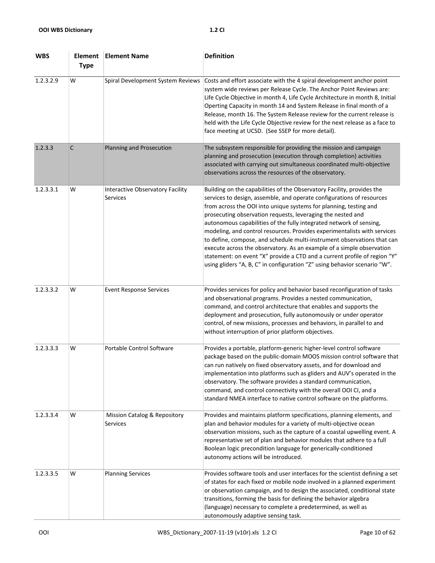| <b>WBS</b> | Element<br><b>Type</b> | <b>Element Name</b>                          | <b>Definition</b>                                                                                                                                                                                                                                                                                                                                                                                                                                                                                                                                                                                                                                                                                                                                    |
|------------|------------------------|----------------------------------------------|------------------------------------------------------------------------------------------------------------------------------------------------------------------------------------------------------------------------------------------------------------------------------------------------------------------------------------------------------------------------------------------------------------------------------------------------------------------------------------------------------------------------------------------------------------------------------------------------------------------------------------------------------------------------------------------------------------------------------------------------------|
| 1.2.3.2.9  | W                      | Spiral Development System Reviews            | Costs and effort associate with the 4 spiral development anchor point<br>system wide reviews per Release Cycle. The Anchor Point Reviews are:<br>Life Cycle Objective in month 4, Life Cycle Architecture in month 8, Initial<br>Operting Capacity in month 14 and System Release in final month of a<br>Release, month 16. The System Release review for the current release is<br>held with the Life Cycle Objective review for the next release as a face to<br>face meeting at UCSD. (See SSEP for more detail).                                                                                                                                                                                                                                 |
| 1.2.3.3    | C                      | Planning and Prosecution                     | The subsystem responsible for providing the mission and campaign<br>planning and prosecution (execution through completion) activities<br>associated with carrying out simultaneous coordinated multi-objective<br>observations across the resources of the observatory.                                                                                                                                                                                                                                                                                                                                                                                                                                                                             |
| 1.2.3.3.1  | W                      | Interactive Observatory Facility<br>Services | Building on the capabilities of the Observatory Facility, provides the<br>services to design, assemble, and operate configurations of resources<br>from across the OOI into unique systems for planning, testing and<br>prosecuting observation requests, leveraging the nested and<br>autonomous capabilities of the fully integrated network of sensing,<br>modeling, and control resources. Provides experimentalists with services<br>to define, compose, and schedule multi-instrument observations that can<br>execute across the observatory. As an example of a simple observation<br>statement: on event "X" provide a CTD and a current profile of region "Y"<br>using gliders "A, B, C" in configuration "Z" using behavior scenario "W". |
| 1.2.3.3.2  | w                      | <b>Event Response Services</b>               | Provides services for policy and behavior based reconfiguration of tasks<br>and observational programs. Provides a nested communication,<br>command, and control architecture that enables and supports the<br>deployment and prosecution, fully autonomously or under operator<br>control, of new missions, processes and behaviors, in parallel to and<br>without interruption of prior platform objectives.                                                                                                                                                                                                                                                                                                                                       |
| 1.2.3.3.3  | w                      | Portable Control Software                    | Provides a portable, platform-generic higher-level control software<br>package based on the public-domain MOOS mission control software that<br>can run natively on fixed observatory assets, and for download and<br>implementation into platforms such as gliders and AUV's operated in the<br>observatory. The software provides a standard communication,<br>command, and control connectivity with the overall OOI CI, and a<br>standard NMEA interface to native control software on the platforms.                                                                                                                                                                                                                                            |
| 1.2.3.3.4  | W                      | Mission Catalog & Repository<br>Services     | Provides and maintains platform specifications, planning elements, and<br>plan and behavior modules for a variety of multi-objective ocean<br>observation missions, such as the capture of a coastal upwelling event. A<br>representative set of plan and behavior modules that adhere to a full<br>Boolean logic precondition language for generically-conditioned<br>autonomy actions will be introduced.                                                                                                                                                                                                                                                                                                                                          |
| 1.2.3.3.5  | W                      | <b>Planning Services</b>                     | Provides software tools and user interfaces for the scientist defining a set<br>of states for each fixed or mobile node involved in a planned experiment<br>or observation campaign, and to design the associated, conditional state<br>transitions, forming the basis for defining the behavior algebra<br>(language) necessary to complete a predetermined, as well as<br>autonomously adaptive sensing task.                                                                                                                                                                                                                                                                                                                                      |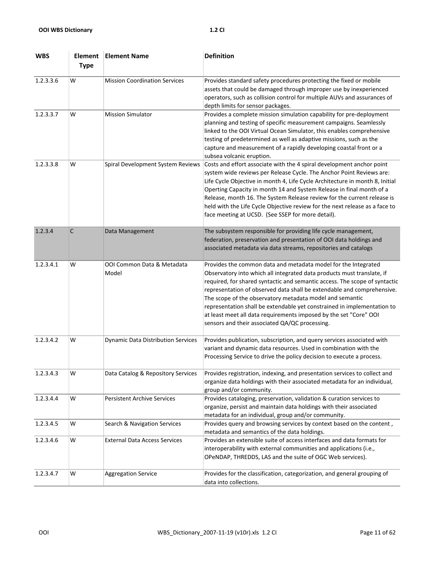| <b>WBS</b> | Element<br><b>Type</b> | <b>Element Name</b>                       | <b>Definition</b>                                                                                                                                                                                                                                                                                                                                                                                                                                                                                                                                              |
|------------|------------------------|-------------------------------------------|----------------------------------------------------------------------------------------------------------------------------------------------------------------------------------------------------------------------------------------------------------------------------------------------------------------------------------------------------------------------------------------------------------------------------------------------------------------------------------------------------------------------------------------------------------------|
| 1.2.3.3.6  | W                      | <b>Mission Coordination Services</b>      | Provides standard safety procedures protecting the fixed or mobile<br>assets that could be damaged through improper use by inexperienced<br>operators, such as collision control for multiple AUVs and assurances of<br>depth limits for sensor packages.                                                                                                                                                                                                                                                                                                      |
| 1.2.3.3.7  | W                      | <b>Mission Simulator</b>                  | Provides a complete mission simulation capability for pre-deployment<br>planning and testing of specific measurement campaigns. Seamlessly<br>linked to the OOI Virtual Ocean Simulator, this enables comprehensive<br>testing of predetermined as well as adaptive missions, such as the<br>capture and measurement of a rapidly developing coastal front or a<br>subsea volcanic eruption.                                                                                                                                                                   |
| 1.2.3.3.8  | W                      | Spiral Development System Reviews         | Costs and effort associate with the 4 spiral development anchor point<br>system wide reviews per Release Cycle. The Anchor Point Reviews are:<br>Life Cycle Objective in month 4, Life Cycle Architecture in month 8, Initial<br>Operting Capacity in month 14 and System Release in final month of a<br>Release, month 16. The System Release review for the current release is<br>held with the Life Cycle Objective review for the next release as a face to<br>face meeting at UCSD. (See SSEP for more detail).                                           |
| 1.2.3.4    | C                      | Data Management                           | The subsystem responsible for providing life cycle management,<br>federation, preservation and presentation of OOI data holdings and<br>associated metadata via data streams, repositories and catalogs                                                                                                                                                                                                                                                                                                                                                        |
| 1.2.3.4.1  | w                      | OOI Common Data & Metadata<br>Model       | Provides the common data and metadata model for the Integrated<br>Observatory into which all integrated data products must translate, if<br>required, for shared syntactic and semantic access. The scope of syntactic<br>representation of observed data shall be extendable and comprehensive.<br>The scope of the observatory metadata model and semantic<br>representation shall be extendable yet constrained in implementation to<br>at least meet all data requirements imposed by the set "Core" OOI<br>sensors and their associated QA/QC processing. |
| 1.2.3.4.2  | W                      | <b>Dynamic Data Distribution Services</b> | Provides publication, subscription, and query services associated with<br>variant and dynamic data resources. Used in combination with the<br>Processing Service to drive the policy decision to execute a process.                                                                                                                                                                                                                                                                                                                                            |
| 1.2.3.4.3  | W                      | Data Catalog & Repository Services        | Provides registration, indexing, and presentation services to collect and<br>organize data holdings with their associated metadata for an individual,<br>group and/or community.                                                                                                                                                                                                                                                                                                                                                                               |
| 1.2.3.4.4  | W                      | <b>Persistent Archive Services</b>        | Provides cataloging, preservation, validation & curation services to<br>organize, persist and maintain data holdings with their associated<br>metadata for an individual, group and/or community.                                                                                                                                                                                                                                                                                                                                                              |
| 1.2.3.4.5  | W                      | Search & Navigation Services              | Provides query and browsing services by context based on the content,<br>metadata and semantics of the data holdings.                                                                                                                                                                                                                                                                                                                                                                                                                                          |
| 1.2.3.4.6  | W                      | <b>External Data Access Services</b>      | Provides an extensible suite of access interfaces and data formats for<br>interoperability with external communities and applications (i.e.,<br>OPeNDAP, THREDDS, LAS and the suite of OGC Web services).                                                                                                                                                                                                                                                                                                                                                      |
| 1.2.3.4.7  | W                      | <b>Aggregation Service</b>                | Provides for the classification, categorization, and general grouping of<br>data into collections.                                                                                                                                                                                                                                                                                                                                                                                                                                                             |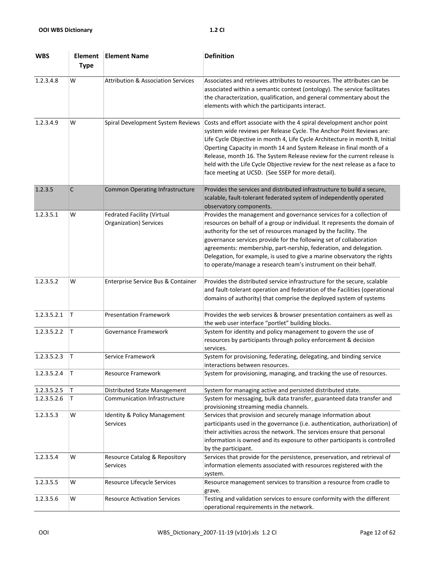| <b>WBS</b>  | Element<br><b>Type</b> | <b>Element Name</b>                                         | <b>Definition</b>                                                                                                                                                                                                                                                                                                                                                                                                                                                                                                    |
|-------------|------------------------|-------------------------------------------------------------|----------------------------------------------------------------------------------------------------------------------------------------------------------------------------------------------------------------------------------------------------------------------------------------------------------------------------------------------------------------------------------------------------------------------------------------------------------------------------------------------------------------------|
| 1.2.3.4.8   | W                      | <b>Attribution &amp; Association Services</b>               | Associates and retrieves attributes to resources. The attributes can be<br>associated within a semantic context (ontology). The service facilitates<br>the characterization, qualification, and general commentary about the<br>elements with which the participants interact.                                                                                                                                                                                                                                       |
| 1.2.3.4.9   | W                      | Spiral Development System Reviews                           | Costs and effort associate with the 4 spiral development anchor point<br>system wide reviews per Release Cycle. The Anchor Point Reviews are:<br>Life Cycle Objective in month 4, Life Cycle Architecture in month 8, Initial<br>Operting Capacity in month 14 and System Release in final month of a<br>Release, month 16. The System Release review for the current release is<br>held with the Life Cycle Objective review for the next release as a face to<br>face meeting at UCSD. (See SSEP for more detail). |
| 1.2.3.5     | C                      | <b>Common Operating Infrastructure</b>                      | Provides the services and distributed infrastructure to build a secure,<br>scalable, fault-tolerant federated system of independently operated<br>observatory components.                                                                                                                                                                                                                                                                                                                                            |
| 1.2.3.5.1   | W                      | <b>Fedrated Facility (Virtual</b><br>Organization) Services | Provides the management and governance services for a collection of<br>resources on behalf of a group or individual. It represents the domain of<br>authority for the set of resources managed by the facility. The<br>governance services provide for the following set of collaboration<br>agreements: membership, part-nership, federation, and delegation.<br>Delegation, for example, is used to give a marine observatory the rights<br>to operate/manage a research team's instrument on their behalf.        |
| 1.2.3.5.2   | W                      | Enterprise Service Bus & Container                          | Provides the distributed service infrastructure for the secure, scalable<br>and fault-tolerant operation and federation of the Facilities (operational<br>domains of authority) that comprise the deployed system of systems                                                                                                                                                                                                                                                                                         |
| 1.2.3.5.2.1 | T                      | <b>Presentation Framework</b>                               | Provides the web services & browser presentation containers as well as<br>the web user interface "portlet" building blocks.                                                                                                                                                                                                                                                                                                                                                                                          |
| 1.2.3.5.2.2 | T                      | Governance Framework                                        | System for identity and policy management to govern the use of<br>resources by participants through policy enforcement & decision<br>services.                                                                                                                                                                                                                                                                                                                                                                       |
| 1.2.3.5.2.3 | T                      | Service Framework                                           | System for provisioning, federating, delegating, and binding service<br>interactions between resources.                                                                                                                                                                                                                                                                                                                                                                                                              |
| 1.2.3.5.2.4 | İΤ                     | Resource Framework                                          | System for provisioning, managing, and tracking the use of resources.                                                                                                                                                                                                                                                                                                                                                                                                                                                |
| 1.2.3.5.2.5 | Τ                      | Distributed State Management                                | System for managing active and persisted distributed state.                                                                                                                                                                                                                                                                                                                                                                                                                                                          |
| 1.2.3.5.2.6 | Τ                      | Communication Infrastructure                                | System for messaging, bulk data transfer, guaranteed data transfer and<br>provisioning streaming media channels.                                                                                                                                                                                                                                                                                                                                                                                                     |
| 1.2.3.5.3   | W                      | <b>Identity &amp; Policy Management</b><br>Services         | Services that provision and securely manage information about<br>participants used in the governance (i.e. authentication, authorization) of<br>their activities across the network. The services ensure that personal<br>information is owned and its exposure to other participants is controlled<br>by the participant.                                                                                                                                                                                           |
| 1.2.3.5.4   | W                      | Resource Catalog & Repository<br>Services                   | Services that provide for the persistence, preservation, and retrieval of<br>information elements associated with resources registered with the<br>system.                                                                                                                                                                                                                                                                                                                                                           |
| 1.2.3.5.5   | W                      | Resource Lifecycle Services                                 | Resource management services to transition a resource from cradle to<br>grave.                                                                                                                                                                                                                                                                                                                                                                                                                                       |
| 1.2.3.5.6   | W                      | <b>Resource Activation Services</b>                         | Testing and validation services to ensure conformity with the different<br>operational requirements in the network.                                                                                                                                                                                                                                                                                                                                                                                                  |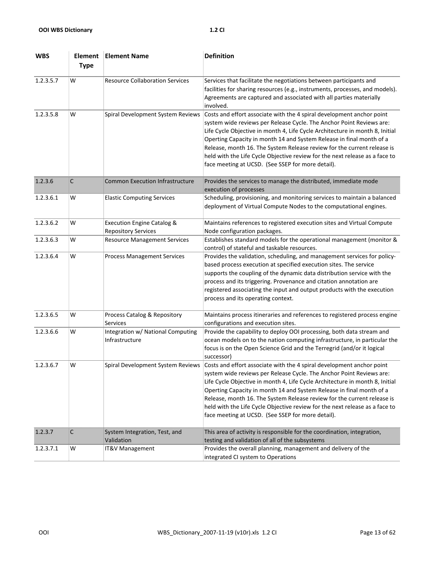| <b>WBS</b> | Element<br><b>Type</b> | <b>Element Name</b>                                                 | <b>Definition</b>                                                                                                                                                                                                                                                                                                                                                                                                                                                                                                                                      |
|------------|------------------------|---------------------------------------------------------------------|--------------------------------------------------------------------------------------------------------------------------------------------------------------------------------------------------------------------------------------------------------------------------------------------------------------------------------------------------------------------------------------------------------------------------------------------------------------------------------------------------------------------------------------------------------|
| 1.2.3.5.7  | W                      | <b>Resource Collaboration Services</b>                              | Services that facilitate the negotiations between participants and<br>facilities for sharing resources (e.g., instruments, processes, and models).<br>Agreements are captured and associated with all parties materially<br>involved.                                                                                                                                                                                                                                                                                                                  |
| 1.2.3.5.8  | W                      | Spiral Development System Reviews                                   | Costs and effort associate with the 4 spiral development anchor point<br>system wide reviews per Release Cycle. The Anchor Point Reviews are:<br>Life Cycle Objective in month 4, Life Cycle Architecture in month 8, Initial<br>Operting Capacity in month 14 and System Release in final month of a<br>Release, month 16. The System Release review for the current release is<br>held with the Life Cycle Objective review for the next release as a face to<br>face meeting at UCSD. (See SSEP for more detail).                                   |
| 1.2.3.6    | $\mathsf{C}$           | <b>Common Execution Infrastructure</b>                              | Provides the services to manage the distributed, immediate mode<br>execution of processes                                                                                                                                                                                                                                                                                                                                                                                                                                                              |
| 1.2.3.6.1  | W                      | <b>Elastic Computing Services</b>                                   | Scheduling, provisioning, and monitoring services to maintain a balanced<br>deployment of Virtual Compute Nodes to the computational engines.                                                                                                                                                                                                                                                                                                                                                                                                          |
| 1.2.3.6.2  | W                      | <b>Execution Engine Catalog &amp;</b><br><b>Repository Services</b> | Maintains references to registered execution sites and Virtual Compute<br>Node configuration packages.                                                                                                                                                                                                                                                                                                                                                                                                                                                 |
| 1.2.3.6.3  | W                      | <b>Resource Management Services</b>                                 | Establishes standard models for the operational management (monitor &<br>control) of stateful and taskable resources.                                                                                                                                                                                                                                                                                                                                                                                                                                  |
| 1.2.3.6.4  | W                      | <b>Process Management Services</b>                                  | Provides the validation, scheduling, and management services for policy-<br>based process execution at specified execution sites. The service<br>supports the coupling of the dynamic data distribution service with the<br>process and its triggering. Provenance and citation annotation are<br>registered associating the input and output products with the execution<br>process and its operating context.                                                                                                                                        |
| 1.2.3.6.5  | W                      | Process Catalog & Repository<br><b>Services</b>                     | Maintains process itineraries and references to registered process engine<br>configurations and execution sites.                                                                                                                                                                                                                                                                                                                                                                                                                                       |
| 1.2.3.6.6  | W                      | Integration w/ National Computing<br>Infrastructure                 | Provide the capability to deploy OOI processing, both data stream and<br>ocean models on to the nation computing infrastructure, in particular the<br>focus is on the Open Science Grid and the Terregrid (and/or it logical<br>successor)                                                                                                                                                                                                                                                                                                             |
| 1.2.3.6.7  | w                      |                                                                     | Spiral Development System Reviews Costs and effort associate with the 4 spiral development anchor point<br>system wide reviews per Release Cycle. The Anchor Point Reviews are:<br>Life Cycle Objective in month 4, Life Cycle Architecture in month 8, Initial<br>Operting Capacity in month 14 and System Release in final month of a<br>Release, month 16. The System Release review for the current release is<br>held with the Life Cycle Objective review for the next release as a face to<br>face meeting at UCSD. (See SSEP for more detail). |
| 1.2.3.7    | C                      | System Integration, Test, and<br>Validation                         | This area of activity is responsible for the coordination, integration,<br>testing and validation of all of the subsystems                                                                                                                                                                                                                                                                                                                                                                                                                             |
| 1.2.3.7.1  | W                      | IT&V Management                                                     | Provides the overall planning, management and delivery of the<br>integrated CI system to Operations                                                                                                                                                                                                                                                                                                                                                                                                                                                    |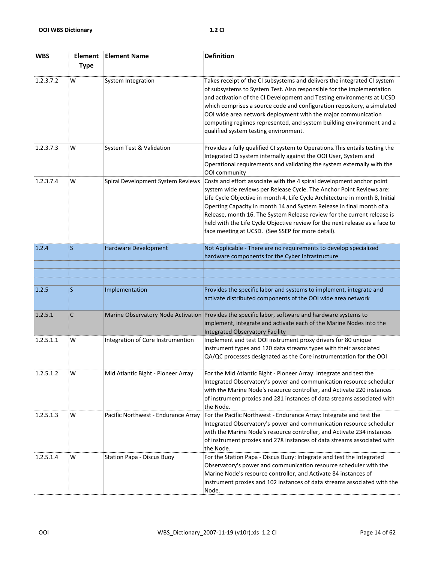| <b>WBS</b> | Element<br><b>Type</b> | <b>Element Name</b>                 | <b>Definition</b>                                                                                                                                                                                                                                                                                                                                                                                                                                                                                                    |
|------------|------------------------|-------------------------------------|----------------------------------------------------------------------------------------------------------------------------------------------------------------------------------------------------------------------------------------------------------------------------------------------------------------------------------------------------------------------------------------------------------------------------------------------------------------------------------------------------------------------|
| 1.2.3.7.2  | W                      | <b>System Integration</b>           | Takes receipt of the CI subsystems and delivers the integrated CI system<br>of subsystems to System Test. Also responsible for the implementation<br>and activation of the CI Development and Testing environments at UCSD<br>which comprises a source code and configuration repository, a simulated<br>OOI wide area network deployment with the major communication<br>computing regimes represented, and system building environment and a<br>qualified system testing environment.                              |
| 1.2.3.7.3  | w                      | System Test & Validation            | Provides a fully qualified CI system to Operations. This entails testing the<br>Integrated CI system internally against the OOI User, System and<br>Operational requirements and validating the system externally with the<br>OOI community                                                                                                                                                                                                                                                                          |
| 1.2.3.7.4  | W                      | Spiral Development System Reviews   | Costs and effort associate with the 4 spiral development anchor point<br>system wide reviews per Release Cycle. The Anchor Point Reviews are:<br>Life Cycle Objective in month 4, Life Cycle Architecture in month 8, Initial<br>Operting Capacity in month 14 and System Release in final month of a<br>Release, month 16. The System Release review for the current release is<br>held with the Life Cycle Objective review for the next release as a face to<br>face meeting at UCSD. (See SSEP for more detail). |
| 1.2.4      | <sub>S</sub>           | Hardware Development                | Not Applicable - There are no requirements to develop specialized<br>hardware components for the Cyber Infrastructure                                                                                                                                                                                                                                                                                                                                                                                                |
|            |                        |                                     |                                                                                                                                                                                                                                                                                                                                                                                                                                                                                                                      |
| 1.2.5      | S                      | Implementation                      | Provides the specific labor and systems to implement, integrate and<br>activate distributed components of the OOI wide area network                                                                                                                                                                                                                                                                                                                                                                                  |
| 1.2.5.1    | C                      |                                     | Marine Observatory Node Activation Provides the specific labor, software and hardware systems to<br>implement, integrate and activate each of the Marine Nodes into the<br><b>Integrated Observatory Facility</b>                                                                                                                                                                                                                                                                                                    |
| 1.2.5.1.1  | W                      | Integration of Core Instrumention   | Implement and test OOI instrument proxy drivers for 80 unique<br>instrument types and 120 data streams types with their associated<br>QA/QC processes designated as the Core instrumentation for the OOI                                                                                                                                                                                                                                                                                                             |
| 1.2.5.1.2  | W                      | Mid Atlantic Bight - Pioneer Array  | For the Mid Atlantic Bight - Pioneer Array: Integrate and test the<br>Integrated Observatory's power and communication resource scheduler<br>with the Marine Node's resource controller, and Activate 220 instances<br>of instrument proxies and 281 instances of data streams associated with<br>the Node.                                                                                                                                                                                                          |
| 1.2.5.1.3  | W                      | Pacific Northwest - Endurance Array | For the Pacific Northwest - Endurance Array: Integrate and test the<br>Integrated Observatory's power and communication resource scheduler<br>with the Marine Node's resource controller, and Activate 234 instances<br>of instrument proxies and 278 instances of data streams associated with<br>the Node.                                                                                                                                                                                                         |
| 1.2.5.1.4  | W                      | <b>Station Papa - Discus Buoy</b>   | For the Station Papa - Discus Buoy: Integrate and test the Integrated<br>Observatory's power and communication resource scheduler with the<br>Marine Node's resource controller, and Activate 84 instances of<br>instrument proxies and 102 instances of data streams associated with the<br>Node.                                                                                                                                                                                                                   |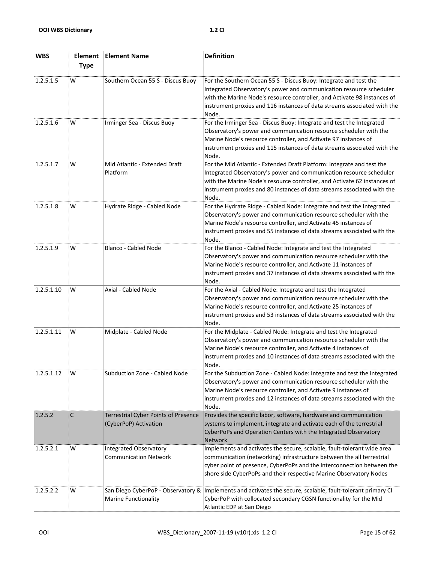| <b>WBS</b> | Element<br><b>Type</b> | <b>Element Name</b>                                                  | <b>Definition</b>                                                                                                                                                                                                                                                                                             |
|------------|------------------------|----------------------------------------------------------------------|---------------------------------------------------------------------------------------------------------------------------------------------------------------------------------------------------------------------------------------------------------------------------------------------------------------|
| 1.2.5.1.5  | W                      | Southern Ocean 55 S - Discus Buoy                                    | For the Southern Ocean 55 S - Discus Buoy: Integrate and test the<br>Integrated Observatory's power and communication resource scheduler<br>with the Marine Node's resource controller, and Activate 98 instances of<br>instrument proxies and 116 instances of data streams associated with the<br>Node.     |
| 1.2.5.1.6  | W                      | Irminger Sea - Discus Buoy                                           | For the Irminger Sea - Discus Buoy: Integrate and test the Integrated<br>Observatory's power and communication resource scheduler with the<br>Marine Node's resource controller, and Activate 97 instances of<br>instrument proxies and 115 instances of data streams associated with the<br>Node.            |
| 1.2.5.1.7  | W                      | Mid Atlantic - Extended Draft<br>Platform                            | For the Mid Atlantic - Extended Draft Platform: Integrate and test the<br>Integrated Observatory's power and communication resource scheduler<br>with the Marine Node's resource controller, and Activate 62 instances of<br>instrument proxies and 80 instances of data streams associated with the<br>Node. |
| 1.2.5.1.8  | W                      | Hydrate Ridge - Cabled Node                                          | For the Hydrate Ridge - Cabled Node: Integrate and test the Integrated<br>Observatory's power and communication resource scheduler with the<br>Marine Node's resource controller, and Activate 45 instances of<br>instrument proxies and 55 instances of data streams associated with the<br>Node.            |
| 1.2.5.1.9  | W                      | Blanco - Cabled Node                                                 | For the Blanco - Cabled Node: Integrate and test the Integrated<br>Observatory's power and communication resource scheduler with the<br>Marine Node's resource controller, and Activate 11 instances of<br>instrument proxies and 37 instances of data streams associated with the<br>Node.                   |
| 1.2.5.1.10 | W                      | Axial - Cabled Node                                                  | For the Axial - Cabled Node: Integrate and test the Integrated<br>Observatory's power and communication resource scheduler with the<br>Marine Node's resource controller, and Activate 25 instances of<br>instrument proxies and 53 instances of data streams associated with the<br>Node.                    |
| 1.2.5.1.11 | w                      | Midplate - Cabled Node                                               | For the Midplate - Cabled Node: Integrate and test the Integrated<br>Observatory's power and communication resource scheduler with the<br>Marine Node's resource controller, and Activate 4 instances of<br>instrument proxies and 10 instances of data streams associated with the<br>Node.                  |
| 1.2.5.1.12 | W                      | Subduction Zone - Cabled Node                                        | For the Subduction Zone - Cabled Node: Integrate and test the Integrated<br>Observatory's power and communication resource scheduler with the<br>Marine Node's resource controller, and Activate 9 instances of<br>instrument proxies and 12 instances of data streams associated with the<br>Node.           |
| 1.2.5.2    | C                      | <b>Terrestrial Cyber Points of Presence</b><br>(CyberPoP) Activation | Provides the specific labor, software, hardware and communication<br>systems to implement, integrate and activate each of the terrestrial<br>CyberPoPs and Operation Centers with the Integrated Observatory<br><b>Network</b>                                                                                |
| 1.2.5.2.1  | W                      | <b>Integrated Observatory</b><br><b>Communication Network</b>        | Implements and activates the secure, scalable, fault-tolerant wide area<br>communication (networking) infrastructure between the all terrestrial<br>cyber point of presence, CyberPoPs and the interconnection between the<br>shore side CyberPoPs and their respective Marine Observatory Nodes              |
| 1.2.5.2.2  | W                      | San Diego CyberPoP - Observatory &<br><b>Marine Functionality</b>    | Implements and activates the secure, scalable, fault-tolerant primary CI<br>CyberPoP with collocated secondary CGSN functionality for the Mid<br>Atlantic EDP at San Diego                                                                                                                                    |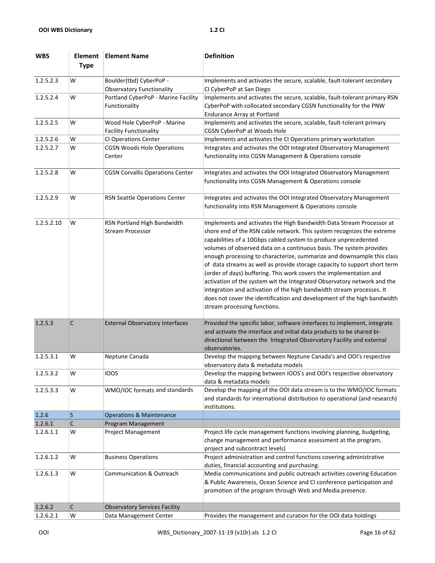| <b>WBS</b> | Element<br><b>Type</b> | <b>Element Name</b>                                          | <b>Definition</b>                                                                                                                                                                                                                                                                                                                                                                                                                                                                                                                                                                                                                                                                                                                                                                    |
|------------|------------------------|--------------------------------------------------------------|--------------------------------------------------------------------------------------------------------------------------------------------------------------------------------------------------------------------------------------------------------------------------------------------------------------------------------------------------------------------------------------------------------------------------------------------------------------------------------------------------------------------------------------------------------------------------------------------------------------------------------------------------------------------------------------------------------------------------------------------------------------------------------------|
| 1.2.5.2.3  | W                      | Boulder(tbd) CyberPoP -                                      | Implements and activates the secure, scalable, fault-tolerant secondary                                                                                                                                                                                                                                                                                                                                                                                                                                                                                                                                                                                                                                                                                                              |
|            |                        | <b>Observatory Functionality</b>                             | CI CyberPoP at San Diego                                                                                                                                                                                                                                                                                                                                                                                                                                                                                                                                                                                                                                                                                                                                                             |
| 1.2.5.2.4  | W                      | Portland CyberPoP - Marine Facility<br>Functionality         | Implements and activates the secure, scalable, fault-tolerant primary RSN<br>CyberPoP with collocated secondary CGSN functionality for the PNW<br><b>Endurance Array at Portland</b>                                                                                                                                                                                                                                                                                                                                                                                                                                                                                                                                                                                                 |
| 1.2.5.2.5  | W                      | Wood Hole CyberPoP - Marine<br><b>Facility Functionality</b> | Implements and activates the secure, scalable, fault-tolerant primary<br>CGSN CyberPoP at Woods Hole                                                                                                                                                                                                                                                                                                                                                                                                                                                                                                                                                                                                                                                                                 |
| 1.2.5.2.6  | W                      | <b>CI Operations Center</b>                                  | Implements and activates the CI Operations primary workstation                                                                                                                                                                                                                                                                                                                                                                                                                                                                                                                                                                                                                                                                                                                       |
| 1.2.5.2.7  | W                      | <b>CGSN Woods Hole Operations</b><br>Center                  | Integrates and activates the OOI Integrated Observatory Management<br>functionality into CGSN Management & Operations console                                                                                                                                                                                                                                                                                                                                                                                                                                                                                                                                                                                                                                                        |
| 1.2.5.2.8  | W                      | <b>CGSN Corvallis Operations Center</b>                      | Integrates and activates the OOI Integrated Observatory Management<br>functionality into CGSN Management & Operations console                                                                                                                                                                                                                                                                                                                                                                                                                                                                                                                                                                                                                                                        |
| 1.2.5.2.9  | W                      | RSN Seattle Operations Center                                | Integrates and activates the OOI Integrated Observatory Management<br>functionality into RSN Management & Operations console                                                                                                                                                                                                                                                                                                                                                                                                                                                                                                                                                                                                                                                         |
| 1.2.5.2.10 | W                      | RSN Portland High Bandwidth<br><b>Stream Processor</b>       | Implements and activates the High Bandwidth Data Stream Processor at<br>shore end of the RSN cable network. This system recognizes the extreme<br>capabilities of a 10Gbps cabled system to produce unprecedented<br>volumes of observed data on a continuous basis. The system provides<br>enough processing to characterize, summarize and downsample this class<br>of data streams as well as provide storage capacity to support short term<br>(order of days) buffering. This work covers the implementation and<br>activation of the system wit the Integrated Observatory network and the<br>integration and activation of the high bandwidth stream processes. It<br>does not cover the identification and development of the high bandwidth<br>stream processing functions. |
| 1.2.5.3    | C                      | <b>External Observatory Interfaces</b>                       | Provided the specific labor, software interfaces to implement, integrate<br>and activate the interface and initial data products to be shared bi-<br>directional between the Integrated Observatory Facility and external<br>observatories.                                                                                                                                                                                                                                                                                                                                                                                                                                                                                                                                          |
| 1.2.5.3.1  | w                      | Neptune Canada                                               | Develop the mapping between Neptune Canada's and OOI's respective<br>observatory data & metadata models                                                                                                                                                                                                                                                                                                                                                                                                                                                                                                                                                                                                                                                                              |
| 1.2.5.3.2  | W                      | <b>IOOS</b>                                                  | Develop the mapping between IOOS's and OOI's respective observatory<br>data & metadata models                                                                                                                                                                                                                                                                                                                                                                                                                                                                                                                                                                                                                                                                                        |
| 1.2.5.3.3  | W                      | WMO/IOC formats and standards                                | Develop the mapping of the OOI data stream is to the WMO/IOC formats<br>and standards for international distribution to operational (and research)<br>institutions.                                                                                                                                                                                                                                                                                                                                                                                                                                                                                                                                                                                                                  |
| 1.2.6      | S                      | <b>Operations &amp; Maintenance</b>                          |                                                                                                                                                                                                                                                                                                                                                                                                                                                                                                                                                                                                                                                                                                                                                                                      |
| 1.2.6.1    | C                      | Program Management                                           |                                                                                                                                                                                                                                                                                                                                                                                                                                                                                                                                                                                                                                                                                                                                                                                      |
| 1.2.6.1.1  | W                      | Project Management                                           | Project life cycle management functions involving planning, budgeting,<br>change management and performance assessment at the program,<br>project and subcontract levels)                                                                                                                                                                                                                                                                                                                                                                                                                                                                                                                                                                                                            |
| 1.2.6.1.2  | W                      | <b>Business Operations</b>                                   | Project administration and control functions covering administrative<br>duties, financial accounting and purchasing.                                                                                                                                                                                                                                                                                                                                                                                                                                                                                                                                                                                                                                                                 |
| 1.2.6.1.3  | W                      | <b>Communication &amp; Outreach</b>                          | Media communications and public outreach activities covering Education<br>& Public Awareness, Ocean Science and CI conference participation and<br>promotion of the program through Web and Media presence.                                                                                                                                                                                                                                                                                                                                                                                                                                                                                                                                                                          |
| 1.2.6.2    | С                      | <b>Observatory Services Facility</b>                         |                                                                                                                                                                                                                                                                                                                                                                                                                                                                                                                                                                                                                                                                                                                                                                                      |
| 1.2.6.2.1  | W                      | Data Management Center                                       | Provides the management and curation for the OOI data holdings                                                                                                                                                                                                                                                                                                                                                                                                                                                                                                                                                                                                                                                                                                                       |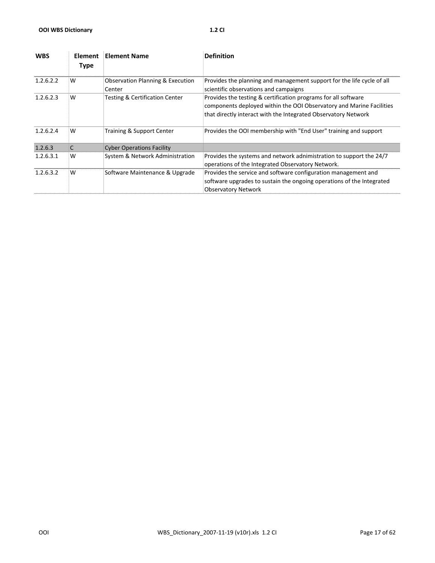| <b>WBS</b> | <b>Element</b><br><b>Type</b> | <b>Element Name</b>                                   | <b>Definition</b>                                                                                                                                                                                        |
|------------|-------------------------------|-------------------------------------------------------|----------------------------------------------------------------------------------------------------------------------------------------------------------------------------------------------------------|
| 1.2.6.2.2  | W                             | <b>Observation Planning &amp; Execution</b><br>Center | Provides the planning and management support for the life cycle of all<br>scientific observations and campaigns                                                                                          |
| 1.2.6.2.3  | W                             | <b>Testing &amp; Certification Center</b>             | Provides the testing & certification programs for all software<br>components deployed within the OOI Observatory and Marine Facilities<br>that directly interact with the Integrated Observatory Network |
| 1.2.6.2.4  | W                             | Training & Support Center                             | Provides the OOI membership with "End User" training and support                                                                                                                                         |
| 1.2.6.3    | C                             | <b>Cyber Operations Facility</b>                      |                                                                                                                                                                                                          |
| 1.2.6.3.1  | W                             | System & Network Administration                       | Provides the systems and network adnimistration to support the 24/7<br>operations of the Integrated Observatory Network.                                                                                 |
| 1.2.6.3.2  | W                             | Software Maintenance & Upgrade                        | Provides the service and software configuration management and<br>software upgrades to sustain the ongoing operations of the Integrated<br><b>Observatory Network</b>                                    |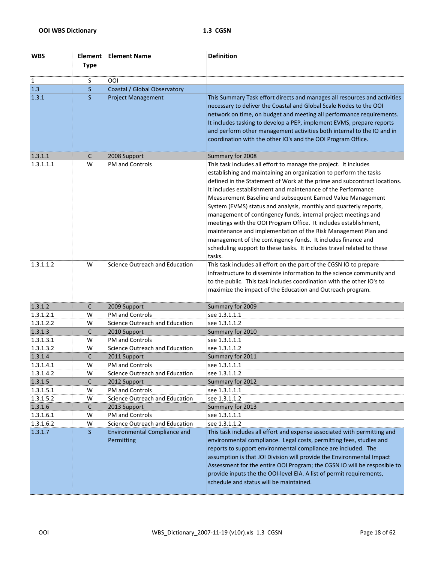| <b>WBS</b>   | <b>Element</b><br><b>Type</b> | <b>Element Name</b>                               | <b>Definition</b>                                                                                                                                                                                                                                                                                                                                                                                                                                                                                                                                                                                                                                                                                                                                                                 |
|--------------|-------------------------------|---------------------------------------------------|-----------------------------------------------------------------------------------------------------------------------------------------------------------------------------------------------------------------------------------------------------------------------------------------------------------------------------------------------------------------------------------------------------------------------------------------------------------------------------------------------------------------------------------------------------------------------------------------------------------------------------------------------------------------------------------------------------------------------------------------------------------------------------------|
| $\mathbf{1}$ | S                             | OOI                                               |                                                                                                                                                                                                                                                                                                                                                                                                                                                                                                                                                                                                                                                                                                                                                                                   |
| 1.3          | S                             | Coastal / Global Observatory                      |                                                                                                                                                                                                                                                                                                                                                                                                                                                                                                                                                                                                                                                                                                                                                                                   |
| 1.3.1        | S                             | <b>Project Management</b>                         | This Summary Task effort directs and manages all resources and activities<br>necessary to deliver the Coastal and Global Scale Nodes to the OOI<br>network on time, on budget and meeting all performance requirements.<br>It includes tasking to develop a PEP, implement EVMS, prepare reports<br>and perform other management activities both internal to the IO and in<br>coordination with the other IO's and the OOI Program Office.                                                                                                                                                                                                                                                                                                                                        |
| 1.3.1.1      | С                             | 2008 Support                                      | Summary for 2008                                                                                                                                                                                                                                                                                                                                                                                                                                                                                                                                                                                                                                                                                                                                                                  |
| 1.3.1.1.1    | W                             | <b>PM and Controls</b>                            | This task includes all effort to manage the project. It includes<br>establishing and maintaining an organization to perform the tasks<br>defined in the Statement of Work at the prime and subcontract locations.<br>It includes establishment and maintenance of the Performance<br>Measurement Baseline and subsequent Earned Value Management<br>System (EVMS) status and analysis, monthly and quarterly reports,<br>management of contingency funds, internal project meetings and<br>meetings with the OOI Program Office. It includes establishment,<br>maintenance and implementation of the Risk Management Plan and<br>management of the contingency funds. It includes finance and<br>scheduling support to these tasks. It includes travel related to these<br>tasks. |
| 1.3.1.1.2    | W                             | Science Outreach and Education                    | This task includes all effort on the part of the CGSN IO to prepare<br>infrastructure to disseminte information to the science community and<br>to the public. This task includes coordination with the other IO's to<br>maximize the impact of the Education and Outreach program.                                                                                                                                                                                                                                                                                                                                                                                                                                                                                               |
| 1.3.1.2      | $\mathsf{C}$                  | 2009 Support                                      | Summary for 2009                                                                                                                                                                                                                                                                                                                                                                                                                                                                                                                                                                                                                                                                                                                                                                  |
| 1.3.1.2.1    | W                             | <b>PM and Controls</b>                            | see 1.3.1.1.1                                                                                                                                                                                                                                                                                                                                                                                                                                                                                                                                                                                                                                                                                                                                                                     |
| 1.3.1.2.2    | W                             | Science Outreach and Education                    | see 1.3.1.1.2                                                                                                                                                                                                                                                                                                                                                                                                                                                                                                                                                                                                                                                                                                                                                                     |
| 1.3.1.3      | C                             | 2010 Support                                      | Summary for 2010                                                                                                                                                                                                                                                                                                                                                                                                                                                                                                                                                                                                                                                                                                                                                                  |
| 1.3.1.3.1    | W                             | <b>PM and Controls</b>                            | see 1.3.1.1.1                                                                                                                                                                                                                                                                                                                                                                                                                                                                                                                                                                                                                                                                                                                                                                     |
| 1.3.1.3.2    | W                             | Science Outreach and Education                    | see 1.3.1.1.2                                                                                                                                                                                                                                                                                                                                                                                                                                                                                                                                                                                                                                                                                                                                                                     |
| 1.3.1.4      | C                             | 2011 Support                                      | Summary for 2011                                                                                                                                                                                                                                                                                                                                                                                                                                                                                                                                                                                                                                                                                                                                                                  |
| 1.3.1.4.1    | W                             | PM and Controls                                   | see 1.3.1.1.1                                                                                                                                                                                                                                                                                                                                                                                                                                                                                                                                                                                                                                                                                                                                                                     |
| 1.3.1.4.2    | W                             | Science Outreach and Education                    | see 1.3.1.1.2                                                                                                                                                                                                                                                                                                                                                                                                                                                                                                                                                                                                                                                                                                                                                                     |
| 1.3.1.5      | C                             | 2012 Support                                      | Summary for 2012                                                                                                                                                                                                                                                                                                                                                                                                                                                                                                                                                                                                                                                                                                                                                                  |
| 1.3.1.5.1    | W                             | PM and Controls                                   | see 1.3.1.1.1                                                                                                                                                                                                                                                                                                                                                                                                                                                                                                                                                                                                                                                                                                                                                                     |
| 1.3.1.5.2    | W                             | Science Outreach and Education                    | see 1.3.1.1.2                                                                                                                                                                                                                                                                                                                                                                                                                                                                                                                                                                                                                                                                                                                                                                     |
| 1.3.1.6      | С                             | 2013 Support                                      | Summary for 2013                                                                                                                                                                                                                                                                                                                                                                                                                                                                                                                                                                                                                                                                                                                                                                  |
| 1.3.1.6.1    | W                             | PM and Controls                                   | see 1.3.1.1.1                                                                                                                                                                                                                                                                                                                                                                                                                                                                                                                                                                                                                                                                                                                                                                     |
| 1.3.1.6.2    | W                             | Science Outreach and Education                    | see 1.3.1.1.2                                                                                                                                                                                                                                                                                                                                                                                                                                                                                                                                                                                                                                                                                                                                                                     |
| 1.3.1.7      | S.                            | <b>Environmental Compliance and</b><br>Permitting | This task includes all effort and expense associated with permitting and<br>environmental compliance. Legal costs, permitting fees, studies and<br>reports to support environmental compliance are included. The<br>assumption is that JOI Division will provide the Environmental Impact<br>Assessment for the entire OOI Program; the CGSN IO will be resposible to<br>provide inputs the the OOI-level EIA. A list of permit requirements,<br>schedule and status will be maintained.                                                                                                                                                                                                                                                                                          |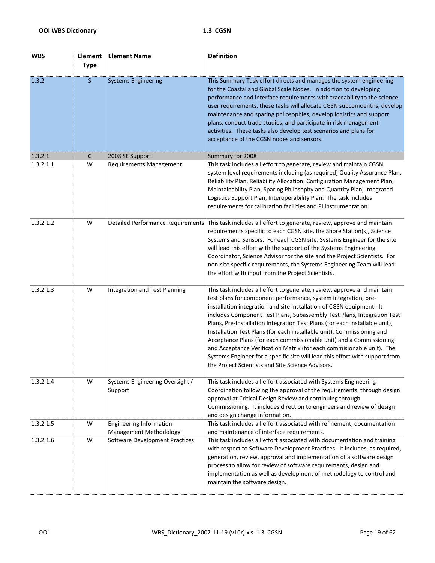| <b>WBS</b> | <b>Element</b><br><b>Type</b> | <b>Element Name</b>                                      | <b>Definition</b>                                                                                                                                                                                                                                                                                                                                                                                                                                                                                                                                                                                                                                                                                                                          |
|------------|-------------------------------|----------------------------------------------------------|--------------------------------------------------------------------------------------------------------------------------------------------------------------------------------------------------------------------------------------------------------------------------------------------------------------------------------------------------------------------------------------------------------------------------------------------------------------------------------------------------------------------------------------------------------------------------------------------------------------------------------------------------------------------------------------------------------------------------------------------|
| 1.3.2      | S.                            | <b>Systems Engineering</b>                               | This Summary Task effort directs and manages the system engineering<br>for the Coastal and Global Scale Nodes. In addition to developing<br>performance and interface requirements with traceability to the science<br>user requirements, these tasks will allocate CGSN subcomoentns, develop<br>maintenance and sparing philosophies, develop logistics and support<br>plans, conduct trade studies, and participate in risk management<br>activities. These tasks also develop test scenarios and plans for<br>acceptance of the CGSN nodes and sensors.                                                                                                                                                                                |
| 1.3.2.1    | C                             | 2008 SE Support                                          | Summary for 2008                                                                                                                                                                                                                                                                                                                                                                                                                                                                                                                                                                                                                                                                                                                           |
| 1.3.2.1.1  | W                             | <b>Requirements Management</b>                           | This task includes all effort to generate, review and maintain CGSN<br>system level requirements including (as required) Quality Assurance Plan,<br>Reliability Plan, Reliability Allocation, Configuration Management Plan,<br>Maintainability Plan, Sparing Philosophy and Quantity Plan, Integrated<br>Logistics Support Plan, Interoperability Plan. The task includes<br>requirements for calibration facilities and PI instrumentation.                                                                                                                                                                                                                                                                                              |
| 1.3.2.1.2  | W                             | <b>Detailed Performance Requirements</b>                 | This task includes all effort to generate, review, approve and maintain<br>requirements specific to each CGSN site, the Shore Station(s), Science<br>Systems and Sensors. For each CGSN site, Systems Engineer for the site<br>will lead this effort with the support of the Systems Engineering<br>Coordinator, Science Advisor for the site and the Project Scientists. For<br>non-site specific requirements, the Systems Engineering Team will lead<br>the effort with input from the Project Scientists.                                                                                                                                                                                                                              |
| 1.3.2.1.3  | W                             | Integration and Test Planning                            | This task includes all effort to generate, review, approve and maintain<br>test plans for component performance, system integration, pre-<br>installation integration and site installation of CGSN equipment. It<br>includes Component Test Plans, Subassembly Test Plans, Integration Test<br>Plans, Pre-Installation Integration Test Plans (for each installable unit),<br>Installation Test Plans (for each installable unit), Commissioning and<br>Acceptance Plans (for each commissionable unit) and a Commissioning<br>and Acceptance Verification Matrix (for each commisionable unit). The<br>Systems Engineer for a specific site will lead this effort with support from<br>the Project Scientists and Site Science Advisors. |
| 1.3.2.1.4  | W                             | Systems Engineering Oversight /<br>Support               | This task includes all effort associated with Systems Engineering<br>Coordination following the approval of the requirements, through design<br>approval at Critical Design Review and continuing through<br>Commissioning. It includes direction to engineers and review of design<br>and design change information.                                                                                                                                                                                                                                                                                                                                                                                                                      |
| 1.3.2.1.5  | W                             | <b>Engineering Information</b><br>Management Methodology | This task includes all effort associated with refinement, documentation<br>and maintenance of interface requirements.                                                                                                                                                                                                                                                                                                                                                                                                                                                                                                                                                                                                                      |
| 1.3.2.1.6  | W                             | Software Development Practices                           | This task includes all effort associated with documentation and training<br>with respect to Software Development Practices. It includes, as required,<br>generation, review, approval and implementation of a software design<br>process to allow for review of software requirements, design and<br>implementation as well as development of methodology to control and<br>maintain the software design.                                                                                                                                                                                                                                                                                                                                  |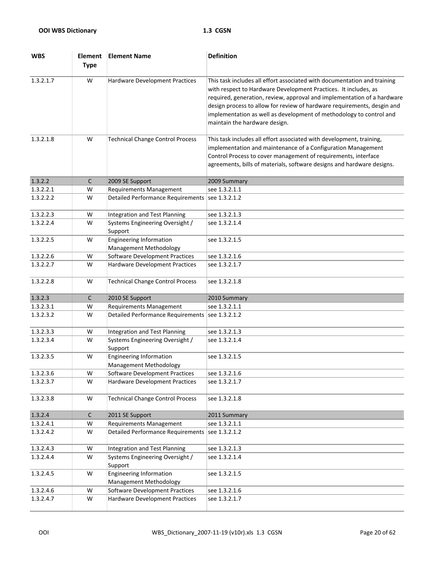| <b>WBS</b> | <b>Element</b><br><b>Type</b> | <b>Element Name</b>                                      | <b>Definition</b>                                                                                                                                                                                                                                                                                                                                                                                         |
|------------|-------------------------------|----------------------------------------------------------|-----------------------------------------------------------------------------------------------------------------------------------------------------------------------------------------------------------------------------------------------------------------------------------------------------------------------------------------------------------------------------------------------------------|
| 1.3.2.1.7  | W                             | Hardware Development Practices                           | This task includes all effort associated with documentation and training<br>with respect to Hardware Development Practices. It includes, as<br>required, generation, review, approval and implementation of a hardware<br>design process to allow for review of hardware requirements, desgin and<br>implementation as well as development of methodology to control and<br>maintain the hardware design. |
| 1.3.2.1.8  | W                             | <b>Technical Change Control Process</b>                  | This task includes all effort associated with development, training,<br>implementation and maintenance of a Configuration Management<br>Control Process to cover management of requirements, interface<br>agreements, bills of materials, software designs and hardware designs.                                                                                                                          |
| 1.3.2.2    | $\mathsf{C}$                  | 2009 SE Support                                          | 2009 Summary                                                                                                                                                                                                                                                                                                                                                                                              |
| 1.3.2.2.1  | W                             | <b>Requirements Management</b>                           | see 1.3.2.1.1                                                                                                                                                                                                                                                                                                                                                                                             |
| 1.3.2.2.2  | W                             | Detailed Performance Requirements   see 1.3.2.1.2        |                                                                                                                                                                                                                                                                                                                                                                                                           |
| 1.3.2.2.3  | W                             | Integration and Test Planning                            | see 1.3.2.1.3                                                                                                                                                                                                                                                                                                                                                                                             |
| 1.3.2.2.4  | W                             | Systems Engineering Oversight /<br>Support               | see 1.3.2.1.4                                                                                                                                                                                                                                                                                                                                                                                             |
| 1.3.2.2.5  | W                             | <b>Engineering Information</b><br>Management Methodology | see 1.3.2.1.5                                                                                                                                                                                                                                                                                                                                                                                             |
| 1.3.2.2.6  | W                             | Software Development Practices                           | see 1.3.2.1.6                                                                                                                                                                                                                                                                                                                                                                                             |
| 1.3.2.2.7  | W                             | Hardware Development Practices                           | see 1.3.2.1.7                                                                                                                                                                                                                                                                                                                                                                                             |
| 1.3.2.2.8  | W                             | <b>Technical Change Control Process</b>                  | see 1.3.2.1.8                                                                                                                                                                                                                                                                                                                                                                                             |
| 1.3.2.3    | $\mathsf{C}$                  | 2010 SE Support                                          | 2010 Summary                                                                                                                                                                                                                                                                                                                                                                                              |
| 1.3.2.3.1  | W                             | <b>Requirements Management</b>                           | see 1.3.2.1.1                                                                                                                                                                                                                                                                                                                                                                                             |
| 1.3.2.3.2  | W                             | <b>Detailed Performance Requirements</b>                 | see 1.3.2.1.2                                                                                                                                                                                                                                                                                                                                                                                             |
| 1.3.2.3.3  | W                             | Integration and Test Planning                            | see 1.3.2.1.3                                                                                                                                                                                                                                                                                                                                                                                             |
| 1.3.2.3.4  | W                             | Systems Engineering Oversight /<br>Support               | see 1.3.2.1.4                                                                                                                                                                                                                                                                                                                                                                                             |
| 1.3.2.3.5  | W                             | <b>Engineering Information</b><br>Management Methodology | see 1.3.2.1.5                                                                                                                                                                                                                                                                                                                                                                                             |
| 1.3.2.3.6  | W                             | Software Development Practices                           | see 1.3.2.1.6                                                                                                                                                                                                                                                                                                                                                                                             |
| 1.3.2.3.7  | W                             | Hardware Development Practices                           | see 1.3.2.1.7                                                                                                                                                                                                                                                                                                                                                                                             |
| 1.3.2.3.8  | W                             | <b>Technical Change Control Process</b>                  | see 1.3.2.1.8                                                                                                                                                                                                                                                                                                                                                                                             |
| 1.3.2.4    | $\mathsf{C}$                  | 2011 SE Support                                          | 2011 Summary                                                                                                                                                                                                                                                                                                                                                                                              |
| 1.3.2.4.1  | W                             | <b>Requirements Management</b>                           | see 1.3.2.1.1                                                                                                                                                                                                                                                                                                                                                                                             |
| 1.3.2.4.2  | W                             | <b>Detailed Performance Requirements</b>                 | see 1.3.2.1.2                                                                                                                                                                                                                                                                                                                                                                                             |
| 1.3.2.4.3  | W                             | <b>Integration and Test Planning</b>                     | see 1.3.2.1.3                                                                                                                                                                                                                                                                                                                                                                                             |
| 1.3.2.4.4  | W                             | Systems Engineering Oversight /<br>Support               | see 1.3.2.1.4                                                                                                                                                                                                                                                                                                                                                                                             |
| 1.3.2.4.5  | W                             | <b>Engineering Information</b><br>Management Methodology | see 1.3.2.1.5                                                                                                                                                                                                                                                                                                                                                                                             |
| 1.3.2.4.6  | W                             | <b>Software Development Practices</b>                    | see 1.3.2.1.6                                                                                                                                                                                                                                                                                                                                                                                             |
| 1.3.2.4.7  | W                             | Hardware Development Practices                           | see 1.3.2.1.7                                                                                                                                                                                                                                                                                                                                                                                             |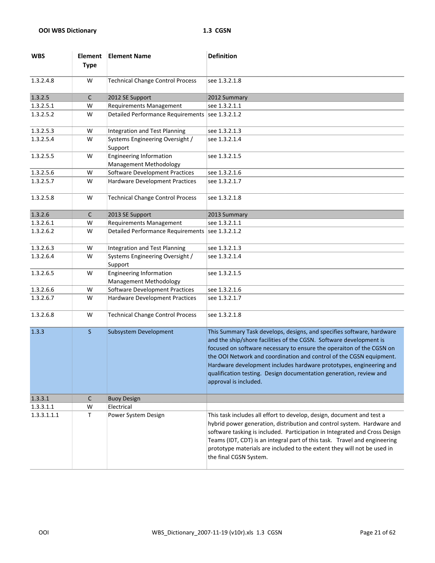| <b>WBS</b>  | <b>Element</b><br><b>Type</b> | <b>Element Name</b>                                             | <b>Definition</b>                                                                                                                                                                                                                                                                                                                                                                                                                                               |
|-------------|-------------------------------|-----------------------------------------------------------------|-----------------------------------------------------------------------------------------------------------------------------------------------------------------------------------------------------------------------------------------------------------------------------------------------------------------------------------------------------------------------------------------------------------------------------------------------------------------|
| 1.3.2.4.8   | W                             | <b>Technical Change Control Process</b>                         | see 1.3.2.1.8                                                                                                                                                                                                                                                                                                                                                                                                                                                   |
| 1.3.2.5     | $\mathsf{C}$                  | 2012 SE Support                                                 | 2012 Summary                                                                                                                                                                                                                                                                                                                                                                                                                                                    |
| 1.3.2.5.1   | W                             | <b>Requirements Management</b>                                  | see 1.3.2.1.1                                                                                                                                                                                                                                                                                                                                                                                                                                                   |
| 1.3.2.5.2   | W                             | <b>Detailed Performance Requirements</b>                        | see 1.3.2.1.2                                                                                                                                                                                                                                                                                                                                                                                                                                                   |
| 1.3.2.5.3   | W                             | Integration and Test Planning                                   | see 1.3.2.1.3                                                                                                                                                                                                                                                                                                                                                                                                                                                   |
| 1.3.2.5.4   | W                             | Systems Engineering Oversight /<br>Support                      | see 1.3.2.1.4                                                                                                                                                                                                                                                                                                                                                                                                                                                   |
| 1.3.2.5.5   | W                             | <b>Engineering Information</b><br>Management Methodology        | see 1.3.2.1.5                                                                                                                                                                                                                                                                                                                                                                                                                                                   |
| 1.3.2.5.6   | W                             | Software Development Practices                                  | see 1.3.2.1.6                                                                                                                                                                                                                                                                                                                                                                                                                                                   |
| 1.3.2.5.7   | W                             | Hardware Development Practices                                  | see 1.3.2.1.7                                                                                                                                                                                                                                                                                                                                                                                                                                                   |
| 1.3.2.5.8   | W                             | <b>Technical Change Control Process</b>                         | see 1.3.2.1.8                                                                                                                                                                                                                                                                                                                                                                                                                                                   |
| 1.3.2.6     | $\mathsf{C}$                  | 2013 SE Support                                                 | 2013 Summary                                                                                                                                                                                                                                                                                                                                                                                                                                                    |
| 1.3.2.6.1   | W                             | <b>Requirements Management</b>                                  | see 1.3.2.1.1                                                                                                                                                                                                                                                                                                                                                                                                                                                   |
| 1.3.2.6.2   | W                             | <b>Detailed Performance Requirements</b>                        | see 1.3.2.1.2                                                                                                                                                                                                                                                                                                                                                                                                                                                   |
| 1.3.2.6.3   | W                             | Integration and Test Planning                                   | see 1.3.2.1.3                                                                                                                                                                                                                                                                                                                                                                                                                                                   |
| 1.3.2.6.4   | W                             | Systems Engineering Oversight /<br>Support                      | see 1.3.2.1.4                                                                                                                                                                                                                                                                                                                                                                                                                                                   |
| 1.3.2.6.5   | W                             | <b>Engineering Information</b><br><b>Management Methodology</b> | see 1.3.2.1.5                                                                                                                                                                                                                                                                                                                                                                                                                                                   |
| 1.3.2.6.6   | W                             | <b>Software Development Practices</b>                           | see 1.3.2.1.6                                                                                                                                                                                                                                                                                                                                                                                                                                                   |
| 1.3.2.6.7   | W                             | Hardware Development Practices                                  | see 1.3.2.1.7                                                                                                                                                                                                                                                                                                                                                                                                                                                   |
| 1.3.2.6.8   | W                             | <b>Technical Change Control Process</b>                         | see 1.3.2.1.8                                                                                                                                                                                                                                                                                                                                                                                                                                                   |
| 1.3.3       | $\mathsf{S}$                  | Subsystem Development                                           | This Summary Task develops, designs, and specifies software, hardware<br>and the ship/shore facilities of the CGSN. Software development is<br>focused on software necessary to ensure the operaiton of the CGSN on<br>the OOI Network and coordination and control of the CGSN equipment.<br>Hardware development includes hardware prototypes, engineering and<br>qualification testing. Design documentation generation, review and<br>approval is included. |
| 1.3.3.1     | $\mathsf{C}$                  | <b>Buoy Design</b>                                              |                                                                                                                                                                                                                                                                                                                                                                                                                                                                 |
| 1.3.3.1.1   | W                             | Electrical                                                      |                                                                                                                                                                                                                                                                                                                                                                                                                                                                 |
| 1.3.3.1.1.1 | Τ                             | Power System Design                                             | This task includes all effort to develop, design, document and test a<br>hybrid power generation, distribution and control system. Hardware and<br>software tasking is included. Participation in Integrated and Cross Design<br>Teams (IDT, CDT) is an integral part of this task. Travel and engineering<br>prototype materials are included to the extent they will not be used in<br>the final CGSN System.                                                 |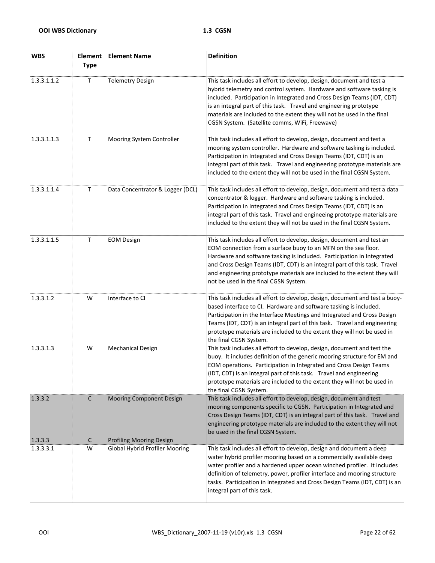| <b>WBS</b>  | <b>Element</b><br><b>Type</b> | <b>Element Name</b>                   | <b>Definition</b>                                                                                                                                                                                                                                                                                                                                                                                                            |
|-------------|-------------------------------|---------------------------------------|------------------------------------------------------------------------------------------------------------------------------------------------------------------------------------------------------------------------------------------------------------------------------------------------------------------------------------------------------------------------------------------------------------------------------|
| 1.3.3.1.1.2 | $\mathsf T$                   | <b>Telemetry Design</b>               | This task includes all effort to develop, design, document and test a<br>hybrid telemetry and control system. Hardware and software tasking is<br>included. Participation in Integrated and Cross Design Teams (IDT, CDT)<br>is an integral part of this task. Travel and engineering prototype<br>materials are included to the extent they will not be used in the final<br>CGSN System. (Satellite comms, WiFi, Freewave) |
| 1.3.3.1.1.3 | Τ                             | Mooring System Controller             | This task includes all effort to develop, design, document and test a<br>mooring system controller. Hardware and software tasking is included.<br>Participation in Integrated and Cross Design Teams (IDT, CDT) is an<br>integral part of this task. Travel and engineering prototype materials are<br>included to the extent they will not be used in the final CGSN System.                                                |
| 1.3.3.1.1.4 | $\mathsf T$                   | Data Concentrator & Logger (DCL)      | This task includes all effort to develop, design, document and test a data<br>concentrator & logger. Hardware and software tasking is included.<br>Participation in Integrated and Cross Design Teams (IDT, CDT) is an<br>integral part of this task. Travel and engineeing prototype materials are<br>included to the extent they will not be used in the final CGSN System.                                                |
| 1.3.3.1.1.5 | $\mathsf T$                   | <b>EOM Design</b>                     | This task includes all effort to develop, design, document and test an<br>EOM connection from a surface buoy to an MFN on the sea floor.<br>Hardware and software tasking is included. Participation in Integrated<br>and Cross Design Teams (IDT, CDT) is an integral part of this task. Travel<br>and engineering prototype materials are included to the extent they will<br>not be used in the final CGSN System.        |
| 1.3.3.1.2   | W                             | Interface to CI                       | This task includes all effort to develop, design, document and test a buoy-<br>based interface to CI. Hardware and software tasking is included.<br>Participation in the Interface Meetings and Integrated and Cross Design<br>Teams (IDT, CDT) is an integral part of this task. Travel and engineering<br>prototype materials are included to the extent they will not be used in<br>the final CGSN System.                |
| 1.3.3.1.3   | W                             | <b>Mechanical Design</b>              | This task includes all effort to develop, design, document and test the<br>buoy. It includes definition of the generic mooring structure for EM and<br>EOM operations. Participation in Integrated and Cross Design Teams<br>(IDT, CDT) is an integral part of this task. Travel and engineering<br>prototype materials are included to the extent they will not be used in<br>the final CGSN System.                        |
| 1.3.3.2     | $\mathsf C$                   | Mooring Component Design              | This task includes all effort to develop, design, document and test<br>mooring components specific to CGSN. Participation in Integrated and<br>Cross Design Teams (IDT, CDT) is an integral part of this task. Travel and<br>engineering prototype materials are included to the extent they will not<br>be used in the final CGSN System.                                                                                   |
| 1.3.3.3     | $\mathsf{C}$                  | Profiling Mooring Design              |                                                                                                                                                                                                                                                                                                                                                                                                                              |
| 1.3.3.3.1   | W                             | <b>Global Hybrid Profiler Mooring</b> | This task includes all effort to develop, design and document a deep<br>water hybrid profiler mooring based on a commercially available deep<br>water profiler and a hardened upper ocean winched profiler. It includes<br>definition of telemetry, power, profiler interface and mooring structure<br>tasks. Participation in Integrated and Cross Design Teams (IDT, CDT) is an<br>integral part of this task.             |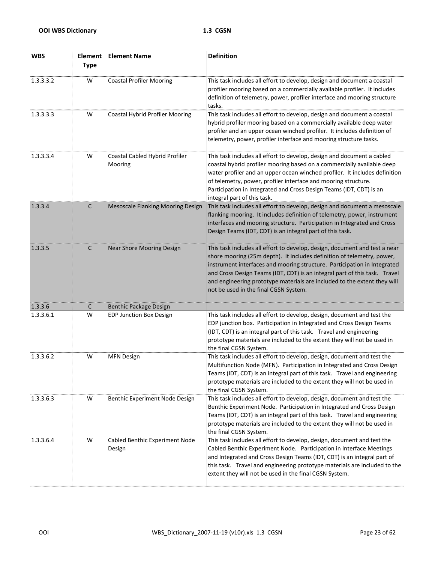| <b>WBS</b> | <b>Element</b><br><b>Type</b> | <b>Element Name</b>                       | <b>Definition</b>                                                                                                                                                                                                                                                                                                                                                                                                                   |
|------------|-------------------------------|-------------------------------------------|-------------------------------------------------------------------------------------------------------------------------------------------------------------------------------------------------------------------------------------------------------------------------------------------------------------------------------------------------------------------------------------------------------------------------------------|
| 1.3.3.3.2  | W                             | <b>Coastal Profiler Mooring</b>           | This task includes all effort to develop, design and document a coastal<br>profiler mooring based on a commercially available profiler. It includes<br>definition of telemetry, power, profiler interface and mooring structure<br>tasks.                                                                                                                                                                                           |
| 1.3.3.3.3  | W                             | <b>Coastal Hybrid Profiler Mooring</b>    | This task includes all effort to develop, design and document a coastal<br>hybrid profiler mooring based on a commercially available deep water<br>profiler and an upper ocean winched profiler. It includes definition of<br>telemetry, power, profiler interface and mooring structure tasks.                                                                                                                                     |
| 1.3.3.3.4  | W                             | Coastal Cabled Hybrid Profiler<br>Mooring | This task includes all effort to develop, design and document a cabled<br>coastal hybrid profiler mooring based on a commercially available deep<br>water profiler and an upper ocean winched profiler. It includes definition<br>of telemetry, power, profiler interface and mooring structure.<br>Participation in Integrated and Cross Design Teams (IDT, CDT) is an<br>integral part of this task.                              |
| 1.3.3.4    | $\mathsf{C}$                  | Mesoscale Flanking Mooring Design         | This task includes all effort to develop, design and document a mesoscale<br>flanking mooring. It includes definition of telemetry, power, instrument<br>interfaces and mooring structure. Participation in Integrated and Cross<br>Design Teams (IDT, CDT) is an integral part of this task.                                                                                                                                       |
| 1.3.3.5    | C                             | Near Shore Mooring Design                 | This task includes all effort to develop, design, document and test a near<br>shore mooring (25m depth). It includes definition of telemetry, power,<br>instrument interfaces and mooring structure. Participation in Integrated<br>and Cross Design Teams (IDT, CDT) is an integral part of this task. Travel<br>and engineering prototype materials are included to the extent they will<br>not be used in the final CGSN System. |
| 1.3.3.6    | C                             | Benthic Package Design                    |                                                                                                                                                                                                                                                                                                                                                                                                                                     |
| 1.3.3.6.1  | W                             | <b>EDP Junction Box Design</b>            | This task includes all effort to develop, design, document and test the<br>EDP junction box. Participation in Integrated and Cross Design Teams<br>(IDT, CDT) is an integral part of this task. Travel and engineering<br>prototype materials are included to the extent they will not be used in<br>the final CGSN System.                                                                                                         |
| 1.3.3.6.2  | W                             | <b>MFN Design</b>                         | This task includes all effort to develop, design, document and test the<br>Multifunction Node (MFN). Participation in Integrated and Cross Design<br>Teams (IDT, CDT) is an integral part of this task. Travel and engineering<br>prototype materials are included to the extent they will not be used in<br>the final CGSN System.                                                                                                 |
| 1.3.3.6.3  | W                             | Benthic Experiment Node Design            | This task includes all effort to develop, design, document and test the<br>Benthic Experiment Node. Participation in Integrated and Cross Design<br>Teams (IDT, CDT) is an integral part of this task. Travel and engineering<br>prototype materials are included to the extent they will not be used in<br>the final CGSN System.                                                                                                  |
| 1.3.3.6.4  | W                             | Cabled Benthic Experiment Node<br>Design  | This task includes all effort to develop, design, document and test the<br>Cabled Benthic Experiment Node. Participation in Interface Meetings<br>and Integrated and Cross Design Teams (IDT, CDT) is an integral part of<br>this task. Travel and engineering prototype materials are included to the<br>extent they will not be used in the final CGSN System.                                                                    |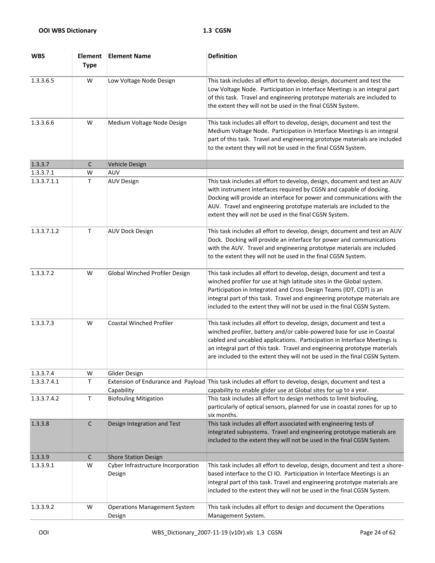| <b>WBS</b>  | <b>Element</b><br><b>Type</b> | <b>Element Name</b>                           | <b>Definition</b>                                                                                                                                                                                                                                                                                                                                                                      |
|-------------|-------------------------------|-----------------------------------------------|----------------------------------------------------------------------------------------------------------------------------------------------------------------------------------------------------------------------------------------------------------------------------------------------------------------------------------------------------------------------------------------|
| 1.3.3.6.5   | W                             | Low Voltage Node Design                       | This task includes all effort to develop, design, document and test the<br>Low Voltage Node. Participation in Interface Meetings is an integral part<br>of this task. Travel and engineering prototype materials are included to<br>the extent they will not be used in the final CGSN System.                                                                                         |
| 1.3.3.6.6   | W                             | Medium Voltage Node Design                    | This task includes all effort to develop, design, document and test the<br>Medium Voltage Node. Participation in Interface Meetings is an integral<br>part of this task. Travel and engineering prototype materials are included<br>to the extent they will not be used in the final CGSN System.                                                                                      |
| 1.3.3.7     | C                             | Vehicle Design                                |                                                                                                                                                                                                                                                                                                                                                                                        |
| 1.3.3.7.1   | W                             | AUV                                           |                                                                                                                                                                                                                                                                                                                                                                                        |
| 1.3.3.7.1.1 | Τ                             | <b>AUV Design</b>                             | This task includes all effort to develop, design, document and test an AUV<br>with instrument interfaces required by CGSN and capable of docking.<br>Docking will provide an interface for power and communications with the<br>AUV. Travel and engineering prototype materials are included to the<br>extent they will not be used in the final CGSN System.                          |
| 1.3.3.7.1.2 | T.                            | <b>AUV Dock Design</b>                        | This task includes all effort to develop, design, document and test an AUV<br>Dock. Docking will provide an interface for power and communications<br>with the AUV. Travel and engineering prototype materials are included<br>to the extent they will not be used in the final CGSN System.                                                                                           |
| 1.3.3.7.2   | W                             | Global Winched Profiler Design                | This task includes all effort to develop, design, document and test a<br>winched profiler for use at high latitude sites in the Global system.<br>Participation in Integrated and Cross Design Teams (IDT, CDT) is an<br>integral part of this task. Travel and engineering prototype materials are<br>included to the extent they will not be used in the final CGSN System.          |
| 1.3.3.7.3   | W                             | <b>Coastal Winched Profiler</b>               | This task includes all effort to develop, design, document and test a<br>winched profiler, battery and/or cable-powered base for use in Coastal<br>cabled and uncabled applications. Participation in Interface Meetings is<br>an integral part of this task. Travel and engineering prototype materials<br>are included to the extent they will not be used in the final CGSN System. |
| 1.3.3.7.4   | W                             | Glider Design                                 |                                                                                                                                                                                                                                                                                                                                                                                        |
| 1.3.3.7.4.1 | т                             | Capability                                    | Extension of Endurance and Payload This task includes all effort to develop, design, document and test a<br>capability to enable glider use at Global sites for up to a year.                                                                                                                                                                                                          |
| 1.3.3.7.4.2 | T                             | <b>Biofouling Mitigation</b>                  | This task includes all effort to design methods to limit biofouling,<br>particularly of optical sensors, planned for use in coastal zones for up to<br>six months.                                                                                                                                                                                                                     |
| 1.3.3.8     | $\mathsf C$                   | Design Integration and Test                   | This task includes all effort associated with engineering tests of<br>integrated subsystems. Travel and engineering prototype matierals are<br>included to the extent they will not be used in the final CGSN System.                                                                                                                                                                  |
| 1.3.3.9     | $\mathsf{C}$                  | <b>Shore Station Design</b>                   |                                                                                                                                                                                                                                                                                                                                                                                        |
| 1.3.3.9.1   | W                             | Cyber Infrastructure Incorporation<br>Design  | This task includes all effort to develop, design, document and test a shore-<br>based interface to the CI IO. Participation in Interface Meetings is an<br>integral part of this task. Travel and engineering prototype materials are<br>included to the extent they will not be used in the final CGSN System.                                                                        |
| 1.3.3.9.2   | W                             | <b>Operations Management System</b><br>Design | This task includes all effort to design and document the Operations<br>Management System.                                                                                                                                                                                                                                                                                              |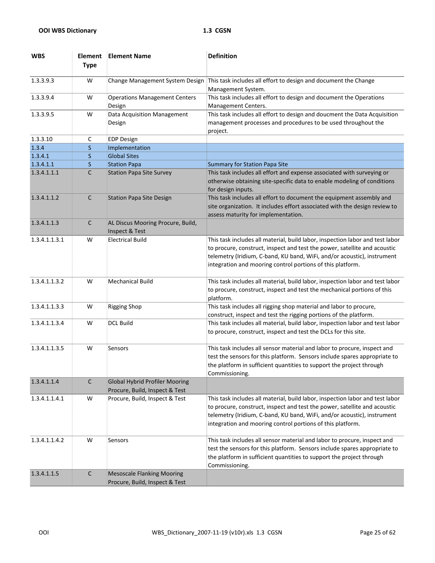| <b>WBS</b>    | <b>Element</b><br><b>Type</b> | <b>Element Name</b>                                                     | <b>Definition</b>                                                                                                                                                                                                                                                                                   |
|---------------|-------------------------------|-------------------------------------------------------------------------|-----------------------------------------------------------------------------------------------------------------------------------------------------------------------------------------------------------------------------------------------------------------------------------------------------|
| 1.3.3.9.3     | W                             | Change Management System Design                                         | This task includes all effort to design and document the Change<br>Management System.                                                                                                                                                                                                               |
| 1.3.3.9.4     | W                             | <b>Operations Management Centers</b><br>Design                          | This task includes all effort to design and document the Operations<br>Management Centers.                                                                                                                                                                                                          |
| 1.3.3.9.5     | W                             | Data Acquisition Management<br>Design                                   | This task includes all effort to design and doucment the Data Acquisition<br>management processes and procedures to be used throughout the<br>project.                                                                                                                                              |
| 1.3.3.10      | C                             | <b>EDP Design</b>                                                       |                                                                                                                                                                                                                                                                                                     |
| 1.3.4         | $\mathsf{S}$                  | Implementation                                                          |                                                                                                                                                                                                                                                                                                     |
| 1.3.4.1       | S.                            | <b>Global Sites</b>                                                     |                                                                                                                                                                                                                                                                                                     |
| 1.3.4.1.1     | S.                            | <b>Station Papa</b>                                                     | <b>Summary for Station Papa Site</b>                                                                                                                                                                                                                                                                |
| 1.3.4.1.1.1   | C                             | <b>Station Papa Site Survey</b>                                         | This task includes all effort and expense associated with surveying or<br>otherwise obtaining site-specific data to enable modeling of conditions<br>for design inputs.                                                                                                                             |
| 1.3.4.1.1.2   | $\mathsf{C}$                  | <b>Station Papa Site Design</b>                                         | This task includes all effort to document the equipment assembly and<br>site organization. It includes effort associated with the design review to<br>assess maturity for implementation.                                                                                                           |
| 1.3.4.1.1.3   | $\mathsf{C}$                  | AL Discus Mooring Procure, Build,<br>Inspect & Test                     |                                                                                                                                                                                                                                                                                                     |
| 1.3.4.1.1.3.1 | W                             | <b>Electrical Build</b>                                                 | This task includes all material, build labor, inspection labor and test labor<br>to procure, construct, inspect and test the power, satellite and acoustic<br>telemetry (Iridium, C-band, KU band, WiFi, and/or acoustic), instrument<br>integration and mooring control portions of this platform. |
| 1.3.4.1.1.3.2 | W                             | <b>Mechanical Build</b>                                                 | This task includes all material, build labor, inspection labor and test labor<br>to procure, construct, inspect and test the mechanical portions of this<br>platform.                                                                                                                               |
| 1.3.4.1.1.3.3 | W                             | <b>Rigging Shop</b>                                                     | This task includes all rigging shop material and labor to procure,<br>construct, inspect and test the rigging portions of the platform.                                                                                                                                                             |
| 1.3.4.1.1.3.4 | W                             | <b>DCL Build</b>                                                        | This task includes all material, build labor, inspection labor and test labor<br>to procure, construct, inspect and test the DCLs for this site.                                                                                                                                                    |
| 1.3.4.1.1.3.5 | W                             | Sensors                                                                 | This task includes all sensor material and labor to procure, inspect and<br>test the sensors for this platform. Sensors include spares appropriate to<br>the platform in sufficient quantities to support the project through<br>Commissioning.                                                     |
| 1.3.4.1.1.4   | С                             | <b>Global Hybrid Profiler Mooring</b><br>Procure, Build, Inspect & Test |                                                                                                                                                                                                                                                                                                     |
| 1.3.4.1.1.4.1 | W                             | Procure, Build, Inspect & Test                                          | This task includes all material, build labor, inspection labor and test labor<br>to procure, construct, inspect and test the power, satellite and acoustic<br>telemetry (Iridium, C-band, KU band, WiFi, and/or acoustic), instrument<br>integration and mooring control portions of this platform. |
| 1.3.4.1.1.4.2 | W                             | Sensors                                                                 | This task includes all sensor material and labor to procure, inspect and<br>test the sensors for this platform. Sensors include spares appropriate to<br>the platform in sufficient quantities to support the project through<br>Commissioning.                                                     |
| 1.3.4.1.1.5   | $\mathsf C$                   | <b>Mesoscale Flanking Mooring</b><br>Procure, Build, Inspect & Test     |                                                                                                                                                                                                                                                                                                     |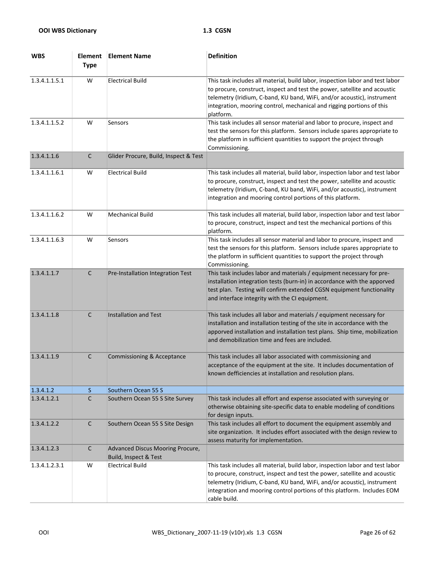| <b>WBS</b>    | <b>Element</b><br><b>Type</b> | <b>Element Name</b>                                       | <b>Definition</b>                                                                                                                                                                                                                                                                                                                |
|---------------|-------------------------------|-----------------------------------------------------------|----------------------------------------------------------------------------------------------------------------------------------------------------------------------------------------------------------------------------------------------------------------------------------------------------------------------------------|
| 1.3.4.1.1.5.1 | W                             | <b>Electrical Build</b>                                   | This task includes all material, build labor, inspection labor and test labor<br>to procure, construct, inspect and test the power, satellite and acoustic<br>telemetry (Iridium, C-band, KU band, WiFi, and/or acoustic), instrument<br>integration, mooring control, mechanical and rigging portions of this<br>platform.      |
| 1.3.4.1.1.5.2 | W                             | Sensors                                                   | This task includes all sensor material and labor to procure, inspect and<br>test the sensors for this platform. Sensors include spares appropriate to<br>the platform in sufficient quantities to support the project through<br>Commissioning.                                                                                  |
| 1.3.4.1.1.6   | $\mathsf C$                   | Glider Procure, Build, Inspect & Test                     |                                                                                                                                                                                                                                                                                                                                  |
| 1.3.4.1.1.6.1 | W                             | <b>Electrical Build</b>                                   | This task includes all material, build labor, inspection labor and test labor<br>to procure, construct, inspect and test the power, satellite and acoustic<br>telemetry (Iridium, C-band, KU band, WiFi, and/or acoustic), instrument<br>integration and mooring control portions of this platform.                              |
| 1.3.4.1.1.6.2 | W                             | <b>Mechanical Build</b>                                   | This task includes all material, build labor, inspection labor and test labor<br>to procure, construct, inspect and test the mechanical portions of this<br>platform.                                                                                                                                                            |
| 1.3.4.1.1.6.3 | W                             | Sensors                                                   | This task includes all sensor material and labor to procure, inspect and<br>test the sensors for this platform. Sensors include spares appropriate to<br>the platform in sufficient quantities to support the project through<br>Commissioning.                                                                                  |
| 1.3.4.1.1.7   | $\mathsf C$                   | Pre-Installation Integration Test                         | This task includes labor and materials / equipment necessary for pre-<br>installation integration tests (burn-in) in accordance with the apporved<br>test plan. Testing will confirm extended CGSN equipment functionality<br>and interface integrity with the CI equipment.                                                     |
| 1.3.4.1.1.8   | $\mathsf{C}$                  | <b>Installation and Test</b>                              | This task includes all labor and materials / equipment necessary for<br>installation and installation testing of the site in accordance with the<br>apporved installation and installation test plans. Ship time, mobilization<br>and demobilization time and fees are included.                                                 |
| 1.3.4.1.1.9   | $\mathsf{C}$                  | Commissioning & Acceptance                                | This task includes all labor associated with commissioning and<br>acceptance of the equipment at the site. It includes documentation of<br>known defficiencies at installation and resolution plans.                                                                                                                             |
| 1.3.4.1.2     | S                             | Southern Ocean 55 S                                       |                                                                                                                                                                                                                                                                                                                                  |
| 1.3.4.1.2.1   | C                             | Southern Ocean 55 S Site Survey                           | This task includes all effort and expense associated with surveying or<br>otherwise obtaining site-specific data to enable modeling of conditions<br>for design inputs.                                                                                                                                                          |
| 1.3.4.1.2.2   | $\mathsf{C}$                  | Southern Ocean 55 S Site Design                           | This task includes all effort to document the equipment assembly and<br>site organization. It includes effort associated with the design review to<br>assess maturity for implementation.                                                                                                                                        |
| 1.3.4.1.2.3   | $\mathsf{C}$                  | Advanced Discus Mooring Procure,<br>Build, Inspect & Test |                                                                                                                                                                                                                                                                                                                                  |
| 1.3.4.1.2.3.1 | W                             | <b>Electrical Build</b>                                   | This task includes all material, build labor, inspection labor and test labor<br>to procure, construct, inspect and test the power, satellite and acoustic<br>telemetry (Iridium, C-band, KU band, WiFi, and/or acoustic), instrument<br>integration and mooring control portions of this platform. Includes EOM<br>cable build. |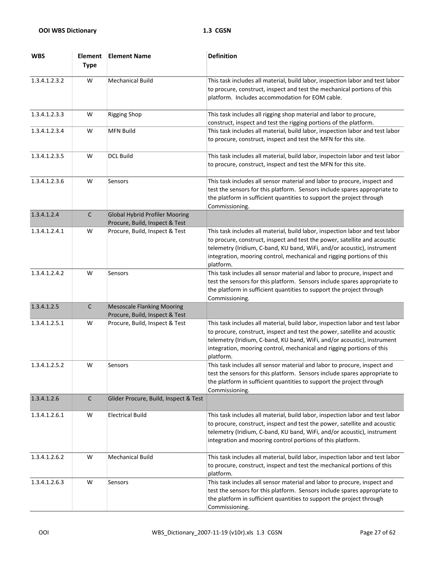| <b>WBS</b>    | <b>Element</b><br><b>Type</b> | <b>Element Name</b>                                                     | <b>Definition</b>                                                                                                                                                                                                                                                                                                           |
|---------------|-------------------------------|-------------------------------------------------------------------------|-----------------------------------------------------------------------------------------------------------------------------------------------------------------------------------------------------------------------------------------------------------------------------------------------------------------------------|
| 1.3.4.1.2.3.2 | W                             | <b>Mechanical Build</b>                                                 | This task includes all material, build labor, inspection labor and test labor<br>to procure, construct, inspect and test the mechanical portions of this<br>platform. Includes accommodation for EOM cable.                                                                                                                 |
| 1.3.4.1.2.3.3 | W                             | <b>Rigging Shop</b>                                                     | This task includes all rigging shop material and labor to procure,<br>construct, inspect and test the rigging portions of the platform.                                                                                                                                                                                     |
| 1.3.4.1.2.3.4 | W                             | <b>MFN Build</b>                                                        | This task includes all material, build labor, inspection labor and test labor<br>to procure, construct, inspect and test the MFN for this site.                                                                                                                                                                             |
| 1.3.4.1.2.3.5 | W                             | <b>DCL Build</b>                                                        | This task includes all material, build labor, inspectoin labor and test labor<br>to procure, construct, inspect and test the MFN for this site.                                                                                                                                                                             |
| 1.3.4.1.2.3.6 | W                             | Sensors                                                                 | This task includes all sensor material and labor to procure, inspect and<br>test the sensors for this platform. Sensors include spares appropriate to<br>the platform in sufficient quantities to support the project through<br>Commissioning.                                                                             |
| 1.3.4.1.2.4   | $\mathsf C$                   | <b>Global Hybrid Profiler Mooring</b><br>Procure, Build, Inspect & Test |                                                                                                                                                                                                                                                                                                                             |
| 1.3.4.1.2.4.1 | W                             | Procure, Build, Inspect & Test                                          | This task includes all material, build labor, inspection labor and test labor<br>to procure, construct, inspect and test the power, satellite and acoustic<br>telemetry (Iridium, C-band, KU band, WiFi, and/or acoustic), instrument<br>integration, mooring control, mechanical and rigging portions of this<br>platform. |
| 1.3.4.1.2.4.2 | W                             | Sensors                                                                 | This task includes all sensor material and labor to procure, inspect and<br>test the sensors for this platform. Sensors include spares appropriate to<br>the platform in sufficient quantities to support the project through<br>Commissioning.                                                                             |
| 1.3.4.1.2.5   | $\mathsf C$                   | <b>Mesoscale Flanking Mooring</b><br>Procure, Build, Inspect & Test     |                                                                                                                                                                                                                                                                                                                             |
| 1.3.4.1.2.5.1 | W                             | Procure, Build, Inspect & Test                                          | This task includes all material, build labor, inspection labor and test labor<br>to procure, construct, inspect and test the power, satellite and acoustic<br>telemetry (Iridium, C-band, KU band, WiFi, and/or acoustic), instrument<br>integration, mooring control, mechanical and rigging portions of this<br>platform. |
| 1.3.4.1.2.5.2 | W                             | Sensors                                                                 | This task includes all sensor material and labor to procure, inspect and<br>test the sensors for this platform. Sensors include spares appropriate to<br>the platform in sufficient quantities to support the project through<br>Commissioning.                                                                             |
| 1.3.4.1.2.6   | $\mathsf C$                   | Glider Procure, Build, Inspect & Test                                   |                                                                                                                                                                                                                                                                                                                             |
| 1.3.4.1.2.6.1 | W                             | <b>Electrical Build</b>                                                 | This task includes all material, build labor, inspection labor and test labor<br>to procure, construct, inspect and test the power, satellite and acoustic<br>telemetry (Iridium, C-band, KU band, WiFi, and/or acoustic), instrument<br>integration and mooring control portions of this platform.                         |
| 1.3.4.1.2.6.2 | W                             | <b>Mechanical Build</b>                                                 | This task includes all material, build labor, inspection labor and test labor<br>to procure, construct, inspect and test the mechanical portions of this<br>platform.                                                                                                                                                       |
| 1.3.4.1.2.6.3 | W                             | Sensors                                                                 | This task includes all sensor material and labor to procure, inspect and<br>test the sensors for this platform. Sensors include spares appropriate to<br>the platform in sufficient quantities to support the project through<br>Commissioning.                                                                             |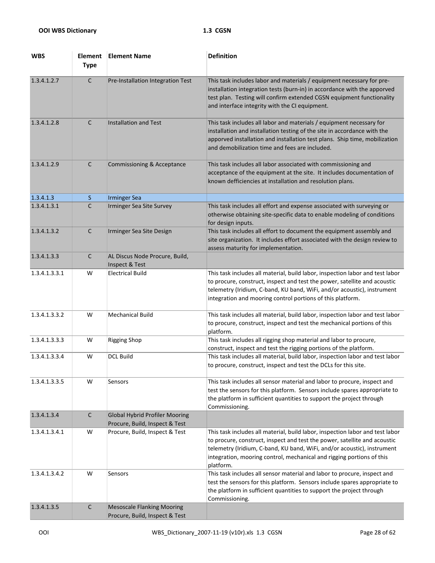| <b>WBS</b>    | <b>Element</b><br><b>Type</b> | <b>Element Name</b>                                                     | <b>Definition</b>                                                                                                                                                                                                                                                                                                           |
|---------------|-------------------------------|-------------------------------------------------------------------------|-----------------------------------------------------------------------------------------------------------------------------------------------------------------------------------------------------------------------------------------------------------------------------------------------------------------------------|
| 1.3.4.1.2.7   | $\mathsf C$                   | Pre-Installation Integration Test                                       | This task includes labor and materials / equipment necessary for pre-<br>installation integration tests (burn-in) in accordance with the apporved<br>test plan. Testing will confirm extended CGSN equipment functionality<br>and interface integrity with the CI equipment.                                                |
| 1.3.4.1.2.8   | $\mathsf{C}$                  | <b>Installation and Test</b>                                            | This task includes all labor and materials / equipment necessary for<br>installation and installation testing of the site in accordance with the<br>apporved installation and installation test plans. Ship time, mobilization<br>and demobilization time and fees are included.                                            |
| 1.3.4.1.2.9   | $\mathsf{C}$                  | Commissioning & Acceptance                                              | This task includes all labor associated with commissioning and<br>acceptance of the equipment at the site. It includes documentation of<br>known defficiencies at installation and resolution plans.                                                                                                                        |
| 1.3.4.1.3     | S.                            | <b>Irminger Sea</b>                                                     |                                                                                                                                                                                                                                                                                                                             |
| 1.3.4.1.3.1   | C                             | Irminger Sea Site Survey                                                | This task includes all effort and expense associated with surveying or<br>otherwise obtaining site-specific data to enable modeling of conditions<br>for design inputs.                                                                                                                                                     |
| 1.3.4.1.3.2   | $\mathsf{C}$                  | Irminger Sea Site Design                                                | This task includes all effort to document the equipment assembly and<br>site organization. It includes effort associated with the design review to<br>assess maturity for implementation.                                                                                                                                   |
| 1.3.4.1.3.3   | $\mathsf{C}$                  | AL Discus Node Procure, Build,<br>Inspect & Test                        |                                                                                                                                                                                                                                                                                                                             |
| 1.3.4.1.3.3.1 | W                             | <b>Electrical Build</b>                                                 | This task includes all material, build labor, inspection labor and test labor<br>to procure, construct, inspect and test the power, satellite and acoustic<br>telemetry (Iridium, C-band, KU band, WiFi, and/or acoustic), instrument<br>integration and mooring control portions of this platform.                         |
| 1.3.4.1.3.3.2 | W                             | <b>Mechanical Build</b>                                                 | This task includes all material, build labor, inspection labor and test labor<br>to procure, construct, inspect and test the mechanical portions of this<br>platform.                                                                                                                                                       |
| 1.3.4.1.3.3.3 | W                             | <b>Rigging Shop</b>                                                     | This task includes all rigging shop material and labor to procure,<br>construct, inspect and test the rigging portions of the platform.                                                                                                                                                                                     |
| 1.3.4.1.3.3.4 | W                             | <b>DCL Build</b>                                                        | This task includes all material, build labor, inspection labor and test labor<br>to procure, construct, inspect and test the DCLs for this site.                                                                                                                                                                            |
| 1.3.4.1.3.3.5 | W                             | Sensors                                                                 | This task includes all sensor material and labor to procure, inspect and<br>test the sensors for this platform. Sensors include spares appropriate to<br>the platform in sufficient quantities to support the project through<br>Commissioning.                                                                             |
| 1.3.4.1.3.4   | $\mathsf C$                   | <b>Global Hybrid Profiler Mooring</b><br>Procure, Build, Inspect & Test |                                                                                                                                                                                                                                                                                                                             |
| 1.3.4.1.3.4.1 | W                             | Procure, Build, Inspect & Test                                          | This task includes all material, build labor, inspection labor and test labor<br>to procure, construct, inspect and test the power, satellite and acoustic<br>telemetry (Iridium, C-band, KU band, WiFi, and/or acoustic), instrument<br>integration, mooring control, mechanical and rigging portions of this<br>platform. |
| 1.3.4.1.3.4.2 | W                             | Sensors                                                                 | This task includes all sensor material and labor to procure, inspect and<br>test the sensors for this platform. Sensors include spares appropriate to<br>the platform in sufficient quantities to support the project through<br>Commissioning.                                                                             |
| 1.3.4.1.3.5   | $\mathsf C$                   | <b>Mesoscale Flanking Mooring</b><br>Procure, Build, Inspect & Test     |                                                                                                                                                                                                                                                                                                                             |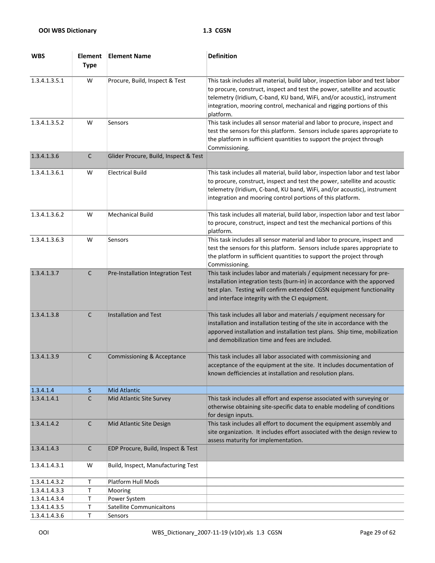| <b>WBS</b>    | <b>Element</b><br><b>Type</b> | <b>Element Name</b>                   | <b>Definition</b>                                                                                                                                                                                                                                                                                                           |
|---------------|-------------------------------|---------------------------------------|-----------------------------------------------------------------------------------------------------------------------------------------------------------------------------------------------------------------------------------------------------------------------------------------------------------------------------|
| 1.3.4.1.3.5.1 | W                             | Procure, Build, Inspect & Test        | This task includes all material, build labor, inspection labor and test labor<br>to procure, construct, inspect and test the power, satellite and acoustic<br>telemetry (Iridium, C-band, KU band, WiFi, and/or acoustic), instrument<br>integration, mooring control, mechanical and rigging portions of this<br>platform. |
| 1.3.4.1.3.5.2 | W                             | Sensors                               | This task includes all sensor material and labor to procure, inspect and<br>test the sensors for this platform. Sensors include spares appropriate to<br>the platform in sufficient quantities to support the project through<br>Commissioning.                                                                             |
| 1.3.4.1.3.6   | $\mathsf C$                   | Glider Procure, Build, Inspect & Test |                                                                                                                                                                                                                                                                                                                             |
| 1.3.4.1.3.6.1 | W                             | <b>Electrical Build</b>               | This task includes all material, build labor, inspection labor and test labor<br>to procure, construct, inspect and test the power, satellite and acoustic<br>telemetry (Iridium, C-band, KU band, WiFi, and/or acoustic), instrument<br>integration and mooring control portions of this platform.                         |
| 1.3.4.1.3.6.2 | W                             | <b>Mechanical Build</b>               | This task includes all material, build labor, inspection labor and test labor<br>to procure, construct, inspect and test the mechanical portions of this<br>platform.                                                                                                                                                       |
| 1.3.4.1.3.6.3 | W                             | Sensors                               | This task includes all sensor material and labor to procure, inspect and<br>test the sensors for this platform. Sensors include spares appropriate to<br>the platform in sufficient quantities to support the project through<br>Commissioning.                                                                             |
| 1.3.4.1.3.7   | $\mathsf C$                   | Pre-Installation Integration Test     | This task includes labor and materials / equipment necessary for pre-<br>installation integration tests (burn-in) in accordance with the apporved<br>test plan. Testing will confirm extended CGSN equipment functionality<br>and interface integrity with the CI equipment.                                                |
| 1.3.4.1.3.8   | $\mathsf{C}$                  | Installation and Test                 | This task includes all labor and materials / equipment necessary for<br>installation and installation testing of the site in accordance with the<br>apporved installation and installation test plans. Ship time, mobilization<br>and demobilization time and fees are included.                                            |
| 1.3.4.1.3.9   | C                             | <b>Commissioning &amp; Acceptance</b> | This task includes all labor associated with commissioning and<br>acceptance of the equipment at the site. It includes documentation of<br>known defficiencies at installation and resolution plans.                                                                                                                        |
| 1.3.4.1.4     | S.                            | <b>Mid Atlantic</b>                   |                                                                                                                                                                                                                                                                                                                             |
| 1.3.4.1.4.1   | C                             | Mid Atlantic Site Survey              | This task includes all effort and expense associated with surveying or<br>otherwise obtaining site-specific data to enable modeling of conditions<br>for design inputs.                                                                                                                                                     |
| 1.3.4.1.4.2   | C                             | Mid Atlantic Site Design              | This task includes all effort to document the equipment assembly and<br>site organization. It includes effort associated with the design review to<br>assess maturity for implementation.                                                                                                                                   |
| 1.3.4.1.4.3   | $\mathsf C$                   | EDP Procure, Build, Inspect & Test    |                                                                                                                                                                                                                                                                                                                             |
| 1.3.4.1.4.3.1 | W                             | Build, Inspect, Manufacturing Test    |                                                                                                                                                                                                                                                                                                                             |
| 1.3.4.1.4.3.2 | T                             | Platform Hull Mods                    |                                                                                                                                                                                                                                                                                                                             |
| 1.3.4.1.4.3.3 | Τ                             | Mooring                               |                                                                                                                                                                                                                                                                                                                             |
| 1.3.4.1.4.3.4 | Τ                             | Power System                          |                                                                                                                                                                                                                                                                                                                             |
| 1.3.4.1.4.3.5 | Τ                             | <b>Satellite Communicaitons</b>       |                                                                                                                                                                                                                                                                                                                             |
| 1.3.4.1.4.3.6 | T                             | Sensors                               |                                                                                                                                                                                                                                                                                                                             |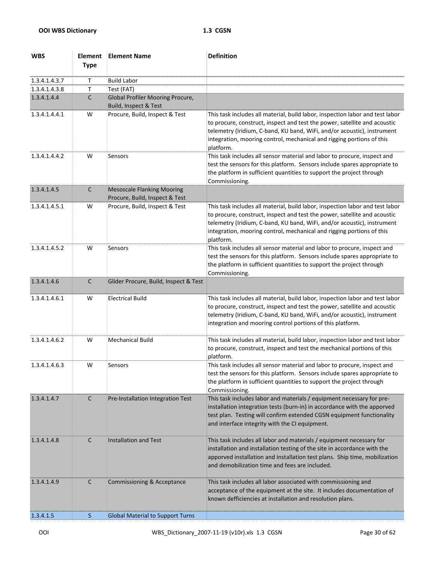| <b>WBS</b>    | <b>Element</b><br><b>Type</b> | <b>Element Name</b>                                                 | <b>Definition</b>                                                                                                                                                                                                                                                                                                           |
|---------------|-------------------------------|---------------------------------------------------------------------|-----------------------------------------------------------------------------------------------------------------------------------------------------------------------------------------------------------------------------------------------------------------------------------------------------------------------------|
| 1.3.4.1.4.3.7 | т                             | <b>Build Labor</b>                                                  |                                                                                                                                                                                                                                                                                                                             |
| 1.3.4.1.4.3.8 | Τ                             | Test (FAT)                                                          |                                                                                                                                                                                                                                                                                                                             |
| 1.3.4.1.4.4   | С                             | Global Profiler Mooring Procure,<br>Build, Inspect & Test           |                                                                                                                                                                                                                                                                                                                             |
| 1.3.4.1.4.4.1 | W                             | Procure, Build, Inspect & Test                                      | This task includes all material, build labor, inspection labor and test labor<br>to procure, construct, inspect and test the power, satellite and acoustic<br>telemetry (Iridium, C-band, KU band, WiFi, and/or acoustic), instrument<br>integration, mooring control, mechanical and rigging portions of this<br>platform. |
| 1.3.4.1.4.4.2 | W                             | Sensors                                                             | This task includes all sensor material and labor to procure, inspect and<br>test the sensors for this platform. Sensors include spares appropriate to<br>the platform in sufficient quantities to support the project through<br>Commissioning.                                                                             |
| 1.3.4.1.4.5   | $\mathsf{C}$                  | <b>Mesoscale Flanking Mooring</b><br>Procure, Build, Inspect & Test |                                                                                                                                                                                                                                                                                                                             |
| 1.3.4.1.4.5.1 | W                             | Procure, Build, Inspect & Test                                      | This task includes all material, build labor, inspection labor and test labor<br>to procure, construct, inspect and test the power, satellite and acoustic<br>telemetry (Iridium, C-band, KU band, WiFi, and/or acoustic), instrument<br>integration, mooring control, mechanical and rigging portions of this<br>platform. |
| 1.3.4.1.4.5.2 | W                             | Sensors                                                             | This task includes all sensor material and labor to procure, inspect and<br>test the sensors for this platform. Sensors include spares appropriate to<br>the platform in sufficient quantities to support the project through<br>Commissioning.                                                                             |
| 1.3.4.1.4.6   | C                             | Glider Procure, Build, Inspect & Test                               |                                                                                                                                                                                                                                                                                                                             |
| 1.3.4.1.4.6.1 | W                             | <b>Electrical Build</b>                                             | This task includes all material, build labor, inspection labor and test labor<br>to procure, construct, inspect and test the power, satellite and acoustic<br>telemetry (Iridium, C-band, KU band, WiFi, and/or acoustic), instrument<br>integration and mooring control portions of this platform.                         |
| 1.3.4.1.4.6.2 | W                             | <b>Mechanical Build</b>                                             | This task includes all material, build labor, inspection labor and test labor<br>to procure, construct, inspect and test the mechanical portions of this<br>platform.                                                                                                                                                       |
| 1.3.4.1.4.6.3 | W                             | Sensors                                                             | This task includes all sensor material and labor to procure, inspect and<br>test the sensors for this platform. Sensors include spares appropriate to<br>the platform in sufficient quantities to support the project through<br>Commissioning.                                                                             |
| 1.3.4.1.4.7   | $\mathsf{C}$                  | Pre-Installation Integration Test                                   | This task includes labor and materials / equipment necessary for pre-<br>installation integration tests (burn-in) in accordance with the apporved<br>test plan. Testing will confirm extended CGSN equipment functionality<br>and interface integrity with the CI equipment.                                                |
| 1.3.4.1.4.8   | C                             | <b>Installation and Test</b>                                        | This task includes all labor and materials / equipment necessary for<br>installation and installation testing of the site in accordance with the<br>apporved installation and installation test plans. Ship time, mobilization<br>and demobilization time and fees are included.                                            |
| 1.3.4.1.4.9   | C                             | Commissioning & Acceptance                                          | This task includes all labor associated with commissioning and<br>acceptance of the equipment at the site. It includes documentation of<br>known defficiencies at installation and resolution plans.                                                                                                                        |
| 1.3.4.1.5     | S.                            | <b>Global Material to Support Turns</b>                             |                                                                                                                                                                                                                                                                                                                             |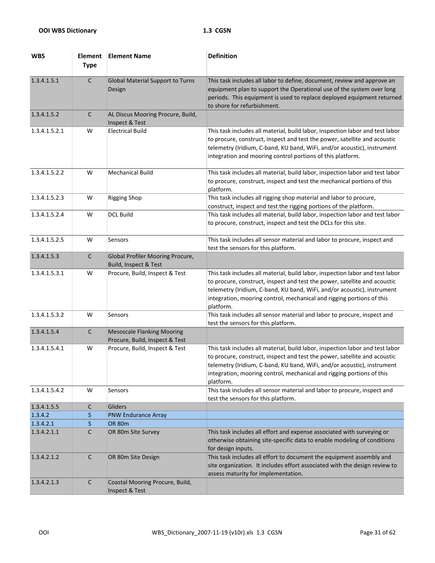| <b>WBS</b>    | <b>Element</b><br><b>Type</b> | <b>Element Name</b>                                                 | <b>Definition</b>                                                                                                                                                                                                                                                                                                           |
|---------------|-------------------------------|---------------------------------------------------------------------|-----------------------------------------------------------------------------------------------------------------------------------------------------------------------------------------------------------------------------------------------------------------------------------------------------------------------------|
| 1.3.4.1.5.1   | $\mathsf{C}$                  | <b>Global Material Support to Turns</b><br>Design                   | This task includes all labor to define, document, review and approve an<br>equipment plan to support the Operational use of the system over long<br>periods. This equipment is used to replace deployed equipment returned<br>to shore for refurbishment.                                                                   |
| 1.3.4.1.5.2   | $\mathsf{C}$                  | AL Discus Mooring Procure, Build,<br>Inspect & Test                 |                                                                                                                                                                                                                                                                                                                             |
| 1.3.4.1.5.2.1 | W                             | <b>Electrical Build</b>                                             | This task includes all material, build labor, inspection labor and test labor<br>to procure, construct, inspect and test the power, satellite and acoustic<br>telemetry (Iridium, C-band, KU band, WiFi, and/or acoustic), instrument<br>integration and mooring control portions of this platform.                         |
| 1.3.4.1.5.2.2 | W                             | <b>Mechanical Build</b>                                             | This task includes all material, build labor, inspection labor and test labor<br>to procure, construct, inspect and test the mechanical portions of this<br>platform.                                                                                                                                                       |
| 1.3.4.1.5.2.3 | W                             | <b>Rigging Shop</b>                                                 | This task includes all rigging shop material and labor to procure,<br>construct, inspect and test the rigging portions of the platform.                                                                                                                                                                                     |
| 1.3.4.1.5.2.4 | W                             | <b>DCL Build</b>                                                    | This task includes all material, build labor, inspection labor and test labor<br>to procure, construct, inspect and test the DCLs for this site.                                                                                                                                                                            |
| 1.3.4.1.5.2.5 | W                             | Sensors                                                             | This task includes all sensor material and labor to procure, inspect and<br>test the sensors for this platform.                                                                                                                                                                                                             |
| 1.3.4.1.5.3   | C                             | <b>Global Profiler Mooring Procure,</b><br>Build, Inspect & Test    |                                                                                                                                                                                                                                                                                                                             |
| 1.3.4.1.5.3.1 | W                             | Procure, Build, Inspect & Test                                      | This task includes all material, build labor, inspection labor and test labor<br>to procure, construct, inspect and test the power, satellite and acoustic<br>telemetry (Iridium, C-band, KU band, WiFi, and/or acoustic), instrument<br>integration, mooring control, mechanical and rigging portions of this<br>platform. |
| 1.3.4.1.5.3.2 | W                             | Sensors                                                             | This task includes all sensor material and labor to procure, inspect and<br>test the sensors for this platform.                                                                                                                                                                                                             |
| 1.3.4.1.5.4   | $\mathsf C$                   | <b>Mesoscale Flanking Mooring</b><br>Procure, Build, Inspect & Test |                                                                                                                                                                                                                                                                                                                             |
| 1.3.4.1.5.4.1 | W                             | Procure, Build, Inspect & Test                                      | This task includes all material, build labor, inspection labor and test labor<br>to procure, construct, inspect and test the power, satellite and acoustic<br>telemetry (Iridium, C-band, KU band, WiFi, and/or acoustic), instrument<br>integration, mooring control, mechanical and rigging portions of this<br>platform. |
| 1.3.4.1.5.4.2 | W                             | Sensors                                                             | This task includes all sensor material and labor to procure, inspect and<br>test the sensors for this platform.                                                                                                                                                                                                             |
| 1.3.4.1.5.5   | C                             | Gliders                                                             |                                                                                                                                                                                                                                                                                                                             |
| 1.3.4.2       | S                             | <b>PNW Endurance Array</b>                                          |                                                                                                                                                                                                                                                                                                                             |
| 1.3.4.2.1     | S                             | <b>OR 80m</b>                                                       |                                                                                                                                                                                                                                                                                                                             |
| 1.3.4.2.1.1   | C                             | OR 80m Site Survey                                                  | This task includes all effort and expense associated with surveying or<br>otherwise obtaining site-specific data to enable modeling of conditions<br>for design inputs.                                                                                                                                                     |
| 1.3.4.2.1.2   | C                             | OR 80m Site Design                                                  | This task includes all effort to document the equipment assembly and<br>site organization. It includes effort associated with the design review to<br>assess maturity for implementation.                                                                                                                                   |
| 1.3.4.2.1.3   | $\mathsf C$                   | Coastal Mooring Procure, Build,<br>Inspect & Test                   |                                                                                                                                                                                                                                                                                                                             |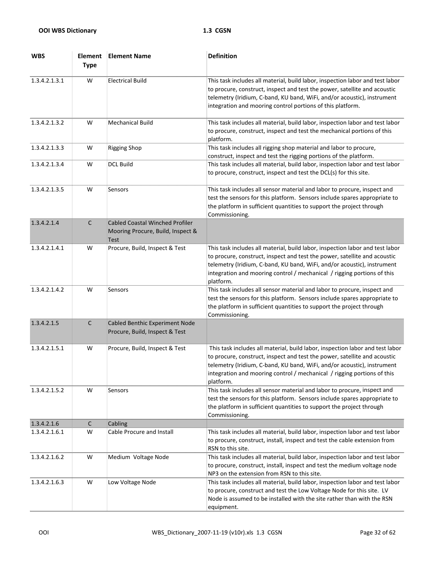| <b>WBS</b>    | <b>Element</b><br><b>Type</b> | <b>Element Name</b>                                                                        | <b>Definition</b>                                                                                                                                                                                                                                                                                                             |
|---------------|-------------------------------|--------------------------------------------------------------------------------------------|-------------------------------------------------------------------------------------------------------------------------------------------------------------------------------------------------------------------------------------------------------------------------------------------------------------------------------|
| 1.3.4.2.1.3.1 | W                             | <b>Electrical Build</b>                                                                    | This task includes all material, build labor, inspection labor and test labor<br>to procure, construct, inspect and test the power, satellite and acoustic<br>telemetry (Iridium, C-band, KU band, WiFi, and/or acoustic), instrument<br>integration and mooring control portions of this platform.                           |
| 1.3.4.2.1.3.2 | W                             | <b>Mechanical Build</b>                                                                    | This task includes all material, build labor, inspection labor and test labor<br>to procure, construct, inspect and test the mechanical portions of this<br>platform.                                                                                                                                                         |
| 1.3.4.2.1.3.3 | W                             | <b>Rigging Shop</b>                                                                        | This task includes all rigging shop material and labor to procure,<br>construct, inspect and test the rigging portions of the platform.                                                                                                                                                                                       |
| 1.3.4.2.1.3.4 | W                             | <b>DCL Build</b>                                                                           | This task includes all material, build labor, inspection labor and test labor<br>to procure, construct, inspect and test the DCL(s) for this site.                                                                                                                                                                            |
| 1.3.4.2.1.3.5 | W                             | Sensors                                                                                    | This task includes all sensor material and labor to procure, inspect and<br>test the sensors for this platform. Sensors include spares appropriate to<br>the platform in sufficient quantities to support the project through<br>Commissioning.                                                                               |
| 1.3.4.2.1.4   | $\mathsf C$                   | <b>Cabled Coastal Winched Profiler</b><br>Mooring Procure, Build, Inspect &<br><b>Test</b> |                                                                                                                                                                                                                                                                                                                               |
| 1.3.4.2.1.4.1 | W                             | Procure, Build, Inspect & Test                                                             | This task includes all material, build labor, inspection labor and test labor<br>to procure, construct, inspect and test the power, satellite and acoustic<br>telemetry (Iridium, C-band, KU band, WiFi, and/or acoustic), instrument<br>integration and mooring control / mechanical / rigging portions of this<br>platform. |
| 1.3.4.2.1.4.2 | W                             | Sensors                                                                                    | This task includes all sensor material and labor to procure, inspect and<br>test the sensors for this platform. Sensors include spares appropriate to<br>the platform in sufficient quantities to support the project through<br>Commissioning.                                                                               |
| 1.3.4.2.1.5   | $\mathsf C$                   | <b>Cabled Benthic Experiment Node</b><br>Procure, Build, Inspect & Test                    |                                                                                                                                                                                                                                                                                                                               |
| 1.3.4.2.1.5.1 | W                             | Procure, Build, Inspect & Test                                                             | This task includes all material, build labor, inspection labor and test labor<br>to procure, construct, inspect and test the power, satellite and acoustic<br>telemetry (Iridium, C-band, KU band, WiFi, and/or acoustic), instrument<br>integration and mooring control / mechanical / rigging portions of this<br>platform. |
| 1.3.4.2.1.5.2 | W                             | Sensors                                                                                    | This task includes all sensor material and labor to procure, inspect and<br>test the sensors for this platform. Sensors include spares appropriate to<br>the platform in sufficient quantities to support the project through<br>Commissioning.                                                                               |
| 1.3.4.2.1.6   | $\mathsf C$                   | Cabling                                                                                    |                                                                                                                                                                                                                                                                                                                               |
| 1.3.4.2.1.6.1 | W                             | Cable Procure and Install                                                                  | This task includes all material, build labor, inspection labor and test labor<br>to procure, construct, install, inspect and test the cable extension from<br>RSN to this site.                                                                                                                                               |
| 1.3.4.2.1.6.2 | W                             | Medium Voltage Node                                                                        | This task includes all material, build labor, inspection labor and test labor<br>to procure, construct, install, inspect and test the medium voltage node<br>NP3 on the extension from RSN to this site.                                                                                                                      |
| 1.3.4.2.1.6.3 | W                             | Low Voltage Node                                                                           | This task includes all material, build labor, inspection labor and test labor<br>to procure, construct and test the Low Voltage Node for this site. LV<br>Node is assumed to be installed with the site rather than with the RSN<br>equipment.                                                                                |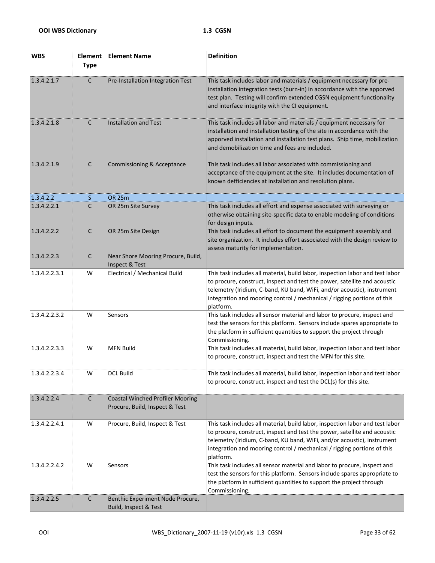| <b>WBS</b>    | <b>Element</b><br><b>Type</b> | <b>Element Name</b>                                                       | <b>Definition</b>                                                                                                                                                                                                                                                                                                             |
|---------------|-------------------------------|---------------------------------------------------------------------------|-------------------------------------------------------------------------------------------------------------------------------------------------------------------------------------------------------------------------------------------------------------------------------------------------------------------------------|
| 1.3.4.2.1.7   | $\mathsf{C}$                  | Pre-Installation Integration Test                                         | This task includes labor and materials / equipment necessary for pre-<br>installation integration tests (burn-in) in accordance with the apporved<br>test plan. Testing will confirm extended CGSN equipment functionality<br>and interface integrity with the CI equipment.                                                  |
| 1.3.4.2.1.8   | $\mathsf{C}$                  | <b>Installation and Test</b>                                              | This task includes all labor and materials / equipment necessary for<br>installation and installation testing of the site in accordance with the<br>apporved installation and installation test plans. Ship time, mobilization<br>and demobilization time and fees are included.                                              |
| 1.3.4.2.1.9   | $\mathsf{C}$                  | <b>Commissioning &amp; Acceptance</b>                                     | This task includes all labor associated with commissioning and<br>acceptance of the equipment at the site. It includes documentation of<br>known defficiencies at installation and resolution plans.                                                                                                                          |
| 1.3.4.2.2     | S.                            | <b>OR 25m</b>                                                             |                                                                                                                                                                                                                                                                                                                               |
| 1.3.4.2.2.1   | C                             | OR 25m Site Survey                                                        | This task includes all effort and expense associated with surveying or<br>otherwise obtaining site-specific data to enable modeling of conditions<br>for design inputs.                                                                                                                                                       |
| 1.3.4.2.2.2   | C                             | OR 25m Site Design                                                        | This task includes all effort to document the equipment assembly and<br>site organization. It includes effort associated with the design review to<br>assess maturity for implementation.                                                                                                                                     |
| 1.3.4.2.2.3   | C                             | Near Shore Mooring Procure, Build,<br>Inspect & Test                      |                                                                                                                                                                                                                                                                                                                               |
| 1.3.4.2.2.3.1 | W                             | Electrical / Mechanical Build                                             | This task includes all material, build labor, inspection labor and test labor<br>to procure, construct, inspect and test the power, satellite and acoustic<br>telemetry (Iridium, C-band, KU band, WiFi, and/or acoustic), instrument<br>integration and mooring control / mechanical / rigging portions of this<br>platform. |
| 1.3.4.2.2.3.2 | W                             | Sensors                                                                   | This task includes all sensor material and labor to procure, inspect and<br>test the sensors for this platform. Sensors include spares appropriate to<br>the platform in sufficient quantities to support the project through<br>Commissioning.                                                                               |
| 1.3.4.2.2.3.3 | W                             | <b>MFN Build</b>                                                          | This task includes all material, build labor, inspection labor and test labor<br>to procure, construct, inspect and test the MFN for this site.                                                                                                                                                                               |
| 1.3.4.2.2.3.4 | W                             | <b>DCL Build</b>                                                          | This task includes all material, build labor, inspection labor and test labor<br>to procure, construct, inspect and test the DCL(s) for this site.                                                                                                                                                                            |
| 1.3.4.2.2.4   | $\mathsf C$                   | <b>Coastal Winched Profiler Mooring</b><br>Procure, Build, Inspect & Test |                                                                                                                                                                                                                                                                                                                               |
| 1.3.4.2.2.4.1 | W                             | Procure, Build, Inspect & Test                                            | This task includes all material, build labor, inspection labor and test labor<br>to procure, construct, inspect and test the power, satellite and acoustic<br>telemetry (Iridium, C-band, KU band, WiFi, and/or acoustic), instrument<br>integration and mooring control / mechanical / rigging portions of this<br>platform. |
| 1.3.4.2.2.4.2 | W                             | Sensors                                                                   | This task includes all sensor material and labor to procure, inspect and<br>test the sensors for this platform. Sensors include spares appropriate to<br>the platform in sufficient quantities to support the project through<br>Commissioning.                                                                               |
| 1.3.4.2.2.5   | $\mathsf C$                   | Benthic Experiment Node Procure,<br>Build, Inspect & Test                 |                                                                                                                                                                                                                                                                                                                               |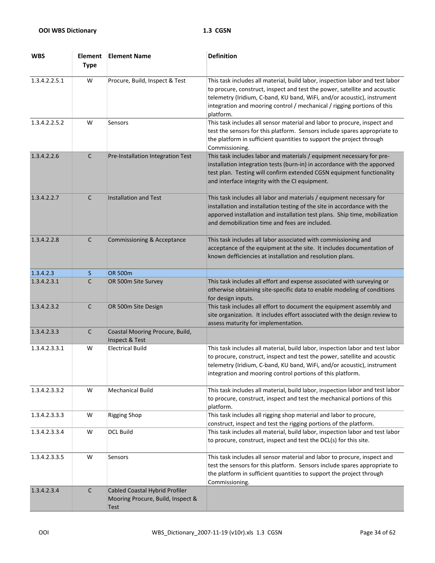| <b>WBS</b>    | <b>Element</b><br><b>Type</b> | <b>Element Name</b>                                                         | <b>Definition</b>                                                                                                                                                                                                                                                                                                             |
|---------------|-------------------------------|-----------------------------------------------------------------------------|-------------------------------------------------------------------------------------------------------------------------------------------------------------------------------------------------------------------------------------------------------------------------------------------------------------------------------|
| 1.3.4.2.2.5.1 | W                             | Procure, Build, Inspect & Test                                              | This task includes all material, build labor, inspection labor and test labor<br>to procure, construct, inspect and test the power, satellite and acoustic<br>telemetry (Iridium, C-band, KU band, WiFi, and/or acoustic), instrument<br>integration and mooring control / mechanical / rigging portions of this<br>platform. |
| 1.3.4.2.2.5.2 | W                             | Sensors                                                                     | This task includes all sensor material and labor to procure, inspect and<br>test the sensors for this platform. Sensors include spares appropriate to<br>the platform in sufficient quantities to support the project through<br>Commissioning.                                                                               |
| 1.3.4.2.2.6   | $\mathsf C$                   | Pre-Installation Integration Test                                           | This task includes labor and materials / equipment necessary for pre-<br>installation integration tests (burn-in) in accordance with the apporved<br>test plan. Testing will confirm extended CGSN equipment functionality<br>and interface integrity with the CI equipment.                                                  |
| 1.3.4.2.2.7   | $\mathsf{C}$                  | <b>Installation and Test</b>                                                | This task includes all labor and materials / equipment necessary for<br>installation and installation testing of the site in accordance with the<br>apporved installation and installation test plans. Ship time, mobilization<br>and demobilization time and fees are included.                                              |
| 1.3.4.2.2.8   | C                             | Commissioning & Acceptance                                                  | This task includes all labor associated with commissioning and<br>acceptance of the equipment at the site. It includes documentation of<br>known defficiencies at installation and resolution plans.                                                                                                                          |
| 1.3.4.2.3     | S.                            | <b>OR 500m</b>                                                              |                                                                                                                                                                                                                                                                                                                               |
| 1.3.4.2.3.1   | C                             | OR 500m Site Survey                                                         | This task includes all effort and expense associated with surveying or<br>otherwise obtaining site-specific data to enable modeling of conditions<br>for design inputs.                                                                                                                                                       |
| 1.3.4.2.3.2   | $\mathsf{C}$                  | OR 500m Site Design                                                         | This task includes all effort to document the equipment assembly and<br>site organization. It includes effort associated with the design review to<br>assess maturity for implementation.                                                                                                                                     |
| 1.3.4.2.3.3   | $\mathsf{C}$                  | Coastal Mooring Procure, Build,<br>Inspect & Test                           |                                                                                                                                                                                                                                                                                                                               |
| 1.3.4.2.3.3.1 | W                             | <b>Electrical Build</b>                                                     | This task includes all material, build labor, inspection labor and test labor<br>to procure, construct, inspect and test the power, satellite and acoustic<br>telemetry (Iridium, C-band, KU band, WiFi, and/or acoustic), instrument<br>integration and mooring control portions of this platform.                           |
| 1.3.4.2.3.3.2 | W                             | <b>Mechanical Build</b>                                                     | This task includes all material, build labor, inspection labor and test labor<br>to procure, construct, inspect and test the mechanical portions of this<br>platform.                                                                                                                                                         |
| 1.3.4.2.3.3.3 | W                             | <b>Rigging Shop</b>                                                         | This task includes all rigging shop material and labor to procure,<br>construct, inspect and test the rigging portions of the platform.                                                                                                                                                                                       |
| 1.3.4.2.3.3.4 | W                             | <b>DCL Build</b>                                                            | This task includes all material, build labor, inspection labor and test labor<br>to procure, construct, inspect and test the DCL(s) for this site.                                                                                                                                                                            |
| 1.3.4.2.3.3.5 | W                             | Sensors                                                                     | This task includes all sensor material and labor to procure, inspect and<br>test the sensors for this platform. Sensors include spares appropriate to<br>the platform in sufficient quantities to support the project through<br>Commissioning.                                                                               |
| 1.3.4.2.3.4   | $\mathsf C$                   | Cabled Coastal Hybrid Profiler<br>Mooring Procure, Build, Inspect &<br>Test |                                                                                                                                                                                                                                                                                                                               |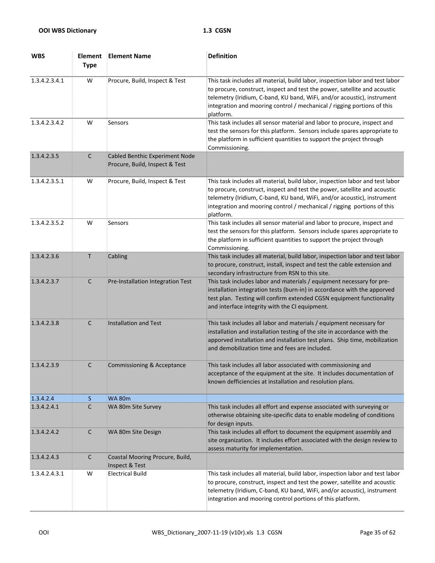| <b>WBS</b>    | <b>Element</b><br><b>Type</b> | <b>Element Name</b>                                              | <b>Definition</b>                                                                                                                                                                                                                                                                                                             |
|---------------|-------------------------------|------------------------------------------------------------------|-------------------------------------------------------------------------------------------------------------------------------------------------------------------------------------------------------------------------------------------------------------------------------------------------------------------------------|
| 1.3.4.2.3.4.1 | W                             | Procure, Build, Inspect & Test                                   | This task includes all material, build labor, inspection labor and test labor<br>to procure, construct, inspect and test the power, satellite and acoustic<br>telemetry (Iridium, C-band, KU band, WiFi, and/or acoustic), instrument<br>integration and mooring control / mechanical / rigging portions of this<br>platform. |
| 1.3.4.2.3.4.2 | W                             | Sensors                                                          | This task includes all sensor material and labor to procure, inspect and<br>test the sensors for this platform. Sensors include spares appropriate to<br>the platform in sufficient quantities to support the project through<br>Commissioning.                                                                               |
| 1.3.4.2.3.5   | $\mathsf C$                   | Cabled Benthic Experiment Node<br>Procure, Build, Inspect & Test |                                                                                                                                                                                                                                                                                                                               |
| 1.3.4.2.3.5.1 | W                             | Procure, Build, Inspect & Test                                   | This task includes all material, build labor, inspection labor and test labor<br>to procure, construct, inspect and test the power, satellite and acoustic<br>telemetry (Iridium, C-band, KU band, WiFi, and/or acoustic), instrument<br>integration and mooring control / mechanical / rigging portions of this<br>platform. |
| 1.3.4.2.3.5.2 | W                             | Sensors                                                          | This task includes all sensor material and labor to procure, inspect and<br>test the sensors for this platform. Sensors include spares appropriate to<br>the platform in sufficient quantities to support the project through<br>Commissioning.                                                                               |
| 1.3.4.2.3.6   | $\mathsf T$                   | Cabling                                                          | This task includes all material, build labor, inspection labor and test labor<br>to procure, construct, install, inspect and test the cable extension and<br>secondary infrastructure from RSN to this site.                                                                                                                  |
| 1.3.4.2.3.7   | $\mathsf{C}$                  | Pre-Installation Integration Test                                | This task includes labor and materials / equipment necessary for pre-<br>installation integration tests (burn-in) in accordance with the apporved<br>test plan. Testing will confirm extended CGSN equipment functionality<br>and interface integrity with the CI equipment.                                                  |
| 1.3.4.2.3.8   | $\mathsf{C}$                  | <b>Installation and Test</b>                                     | This task includes all labor and materials / equipment necessary for<br>installation and installation testing of the site in accordance with the<br>apporved installation and installation test plans. Ship time, mobilization<br>and demobilization time and fees are included.                                              |
| 1.3.4.2.3.9   | C                             | Commissioning & Acceptance                                       | This task includes all labor associated with commissioning and<br>acceptance of the equipment at the site. It includes documentation of<br>known defficiencies at installation and resolution plans.                                                                                                                          |
| 1.3.4.2.4     | S.                            | <b>WA 80m</b>                                                    |                                                                                                                                                                                                                                                                                                                               |
| 1.3.4.2.4.1   | C                             | WA 80m Site Survey                                               | This task includes all effort and expense associated with surveying or<br>otherwise obtaining site-specific data to enable modeling of conditions<br>for design inputs.                                                                                                                                                       |
| 1.3.4.2.4.2   | $\mathsf{C}$                  | WA 80m Site Design                                               | This task includes all effort to document the equipment assembly and<br>site organization. It includes effort associated with the design review to<br>assess maturity for implementation.                                                                                                                                     |
| 1.3.4.2.4.3   | $\mathsf{C}$                  | Coastal Mooring Procure, Build,<br>Inspect & Test                |                                                                                                                                                                                                                                                                                                                               |
| 1.3.4.2.4.3.1 | W                             | <b>Electrical Build</b>                                          | This task includes all material, build labor, inspection labor and test labor<br>to procure, construct, inspect and test the power, satellite and acoustic<br>telemetry (Iridium, C-band, KU band, WiFi, and/or acoustic), instrument<br>integration and mooring control portions of this platform.                           |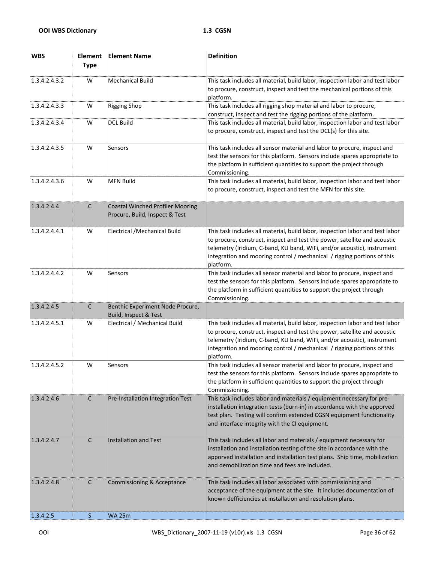| <b>WBS</b>    | <b>Element</b><br><b>Type</b> | <b>Element Name</b>                                                       | <b>Definition</b>                                                                                                                                                                                                                                                                                                             |
|---------------|-------------------------------|---------------------------------------------------------------------------|-------------------------------------------------------------------------------------------------------------------------------------------------------------------------------------------------------------------------------------------------------------------------------------------------------------------------------|
| 1.3.4.2.4.3.2 | W                             | <b>Mechanical Build</b>                                                   | This task includes all material, build labor, inspection labor and test labor<br>to procure, construct, inspect and test the mechanical portions of this<br>platform.                                                                                                                                                         |
| 1.3.4.2.4.3.3 | W                             | <b>Rigging Shop</b>                                                       | This task includes all rigging shop material and labor to procure,<br>construct, inspect and test the rigging portions of the platform.                                                                                                                                                                                       |
| 1.3.4.2.4.3.4 | W                             | <b>DCL Build</b>                                                          | This task includes all material, build labor, inspection labor and test labor<br>to procure, construct, inspect and test the DCL(s) for this site.                                                                                                                                                                            |
| 1.3.4.2.4.3.5 | W                             | Sensors                                                                   | This task includes all sensor material and labor to procure, inspect and<br>test the sensors for this platform. Sensors include spares appropriate to<br>the platform in sufficient quantities to support the project through<br>Commissioning.                                                                               |
| 1.3.4.2.4.3.6 | W                             | <b>MFN Build</b>                                                          | This task includes all material, build labor, inspection labor and test labor<br>to procure, construct, inspect and test the MFN for this site.                                                                                                                                                                               |
| 1.3.4.2.4.4   | $\mathsf C$                   | <b>Coastal Winched Profiler Mooring</b><br>Procure, Build, Inspect & Test |                                                                                                                                                                                                                                                                                                                               |
| 1.3.4.2.4.4.1 | W                             | Electrical / Mechanical Build                                             | This task includes all material, build labor, inspection labor and test labor<br>to procure, construct, inspect and test the power, satellite and acoustic<br>telemetry (Iridium, C-band, KU band, WiFi, and/or acoustic), instrument<br>integration and mooring control / mechanical / rigging portions of this<br>platform. |
| 1.3.4.2.4.4.2 | W                             | Sensors                                                                   | This task includes all sensor material and labor to procure, inspect and<br>test the sensors for this platform. Sensors include spares appropriate to<br>the platform in sufficient quantities to support the project through<br>Commissioning.                                                                               |
| 1.3.4.2.4.5   | $\mathsf C$                   | Benthic Experiment Node Procure,<br>Build, Inspect & Test                 |                                                                                                                                                                                                                                                                                                                               |
| 1.3.4.2.4.5.1 | W                             | Electrical / Mechanical Build                                             | This task includes all material, build labor, inspection labor and test labor<br>to procure, construct, inspect and test the power, satellite and acoustic<br>telemetry (Iridium, C-band, KU band, WiFi, and/or acoustic), instrument<br>integration and mooring control / mechanical / rigging portions of this<br>platform. |
| 1.3.4.2.4.5.2 | W                             | Sensors                                                                   | This task includes all sensor material and labor to procure, inspect and<br>test the sensors for this platform. Sensors include spares appropriate to<br>the platform in sufficient quantities to support the project through<br>Commissioning.                                                                               |
| 1.3.4.2.4.6   | $\mathsf{C}$                  | Pre-Installation Integration Test                                         | This task includes labor and materials / equipment necessary for pre-<br>installation integration tests (burn-in) in accordance with the apporved<br>test plan. Testing will confirm extended CGSN equipment functionality<br>and interface integrity with the CI equipment.                                                  |
| 1.3.4.2.4.7   | $\mathsf{C}$                  | <b>Installation and Test</b>                                              | This task includes all labor and materials / equipment necessary for<br>installation and installation testing of the site in accordance with the<br>apporved installation and installation test plans. Ship time, mobilization<br>and demobilization time and fees are included.                                              |
| 1.3.4.2.4.8   | C                             | Commissioning & Acceptance                                                | This task includes all labor associated with commissioning and<br>acceptance of the equipment at the site. It includes documentation of<br>known defficiencies at installation and resolution plans.                                                                                                                          |
| 1.3.4.2.5     | <sub>S</sub>                  | <b>WA 25m</b>                                                             |                                                                                                                                                                                                                                                                                                                               |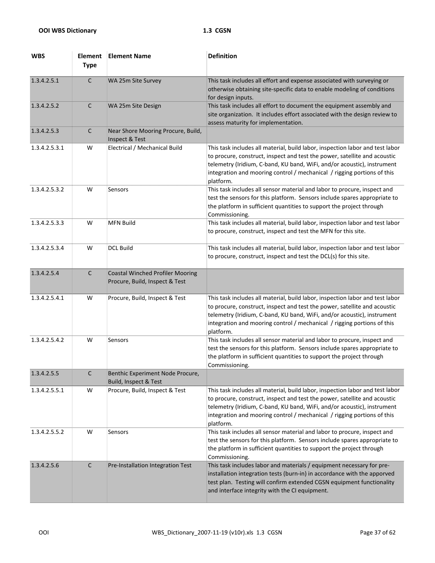| <b>WBS</b>    | <b>Element</b><br><b>Type</b> | <b>Element Name</b>                                                       | <b>Definition</b>                                                                                                                                                                                                                                                                                                             |
|---------------|-------------------------------|---------------------------------------------------------------------------|-------------------------------------------------------------------------------------------------------------------------------------------------------------------------------------------------------------------------------------------------------------------------------------------------------------------------------|
| 1.3.4.2.5.1   | $\mathsf{C}$                  | WA 25m Site Survey                                                        | This task includes all effort and expense associated with surveying or<br>otherwise obtaining site-specific data to enable modeling of conditions<br>for design inputs.                                                                                                                                                       |
| 1.3.4.2.5.2   | $\mathsf{C}$                  | WA 25m Site Design                                                        | This task includes all effort to document the equipment assembly and<br>site organization. It includes effort associated with the design review to<br>assess maturity for implementation.                                                                                                                                     |
| 1.3.4.2.5.3   | $\mathsf{C}$                  | Near Shore Mooring Procure, Build,<br>Inspect & Test                      |                                                                                                                                                                                                                                                                                                                               |
| 1.3.4.2.5.3.1 | W                             | Electrical / Mechanical Build                                             | This task includes all material, build labor, inspection labor and test labor<br>to procure, construct, inspect and test the power, satellite and acoustic<br>telemetry (Iridium, C-band, KU band, WiFi, and/or acoustic), instrument<br>integration and mooring control / mechanical / rigging portions of this<br>platform. |
| 1.3.4.2.5.3.2 | W                             | Sensors                                                                   | This task includes all sensor material and labor to procure, inspect and<br>test the sensors for this platform. Sensors include spares appropriate to<br>the platform in sufficient quantities to support the project through<br>Commissioning.                                                                               |
| 1.3.4.2.5.3.3 | W                             | <b>MFN Build</b>                                                          | This task includes all material, build labor, inspection labor and test labor<br>to procure, construct, inspect and test the MFN for this site.                                                                                                                                                                               |
| 1.3.4.2.5.3.4 | W                             | <b>DCL Build</b>                                                          | This task includes all material, build labor, inspection labor and test labor<br>to procure, construct, inspect and test the DCL(s) for this site.                                                                                                                                                                            |
| 1.3.4.2.5.4   | С                             | <b>Coastal Winched Profiler Mooring</b><br>Procure, Build, Inspect & Test |                                                                                                                                                                                                                                                                                                                               |
| 1.3.4.2.5.4.1 | W                             | Procure, Build, Inspect & Test                                            | This task includes all material, build labor, inspection labor and test labor<br>to procure, construct, inspect and test the power, satellite and acoustic<br>telemetry (Iridium, C-band, KU band, WiFi, and/or acoustic), instrument<br>integration and mooring control / mechanical / rigging portions of this<br>platform. |
| 1.3.4.2.5.4.2 | W                             | Sensors                                                                   | This task includes all sensor material and labor to procure, inspect and<br>test the sensors for this platform. Sensors include spares appropriate to<br>the platform in sufficient quantities to support the project through<br>Commissioning.                                                                               |
| 1.3.4.2.5.5   | C                             | Benthic Experiment Node Procure,<br>Build, Inspect & Test                 |                                                                                                                                                                                                                                                                                                                               |
| 1.3.4.2.5.5.1 | W                             | Procure, Build, Inspect & Test                                            | This task includes all material, build labor, inspection labor and test labor<br>to procure, construct, inspect and test the power, satellite and acoustic<br>telemetry (Iridium, C-band, KU band, WiFi, and/or acoustic), instrument<br>integration and mooring control / mechanical / rigging portions of this<br>platform. |
| 1.3.4.2.5.5.2 | W                             | Sensors                                                                   | This task includes all sensor material and labor to procure, inspect and<br>test the sensors for this platform. Sensors include spares appropriate to<br>the platform in sufficient quantities to support the project through<br>Commissioning.                                                                               |
| 1.3.4.2.5.6   | C                             | Pre-Installation Integration Test                                         | This task includes labor and materials / equipment necessary for pre-<br>installation integration tests (burn-in) in accordance with the apporved<br>test plan. Testing will confirm extended CGSN equipment functionality<br>and interface integrity with the CI equipment.                                                  |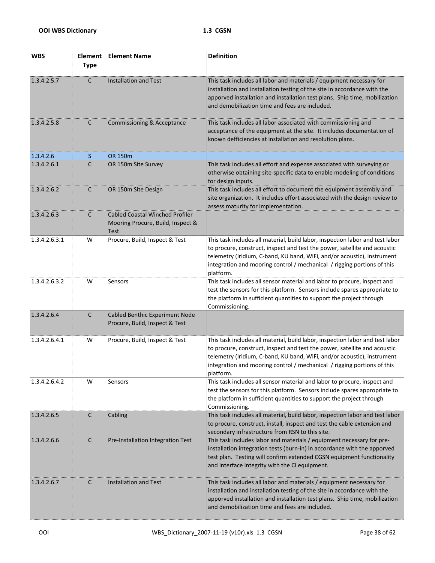| <b>WBS</b>    | <b>Element</b><br><b>Type</b> | <b>Element Name</b>                                                                        | <b>Definition</b>                                                                                                                                                                                                                                                                                                             |
|---------------|-------------------------------|--------------------------------------------------------------------------------------------|-------------------------------------------------------------------------------------------------------------------------------------------------------------------------------------------------------------------------------------------------------------------------------------------------------------------------------|
| 1.3.4.2.5.7   | $\mathsf C$                   | <b>Installation and Test</b>                                                               | This task includes all labor and materials / equipment necessary for<br>installation and installation testing of the site in accordance with the<br>apporved installation and installation test plans. Ship time, mobilization<br>and demobilization time and fees are included.                                              |
| 1.3.4.2.5.8   | $\mathsf{C}$                  | <b>Commissioning &amp; Acceptance</b>                                                      | This task includes all labor associated with commissioning and<br>acceptance of the equipment at the site. It includes documentation of<br>known defficiencies at installation and resolution plans.                                                                                                                          |
| 1.3.4.2.6     | S.                            | OR 150m                                                                                    |                                                                                                                                                                                                                                                                                                                               |
| 1.3.4.2.6.1   | C                             | OR 150m Site Survey                                                                        | This task includes all effort and expense associated with surveying or<br>otherwise obtaining site-specific data to enable modeling of conditions<br>for design inputs.                                                                                                                                                       |
| 1.3.4.2.6.2   | $\mathsf{C}$                  | OR 150m Site Design                                                                        | This task includes all effort to document the equipment assembly and<br>site organization. It includes effort associated with the design review to<br>assess maturity for implementation.                                                                                                                                     |
| 1.3.4.2.6.3   | $\mathsf{C}$                  | <b>Cabled Coastal Winched Profiler</b><br>Mooring Procure, Build, Inspect &<br><b>Test</b> |                                                                                                                                                                                                                                                                                                                               |
| 1.3.4.2.6.3.1 | W                             | Procure, Build, Inspect & Test                                                             | This task includes all material, build labor, inspection labor and test labor<br>to procure, construct, inspect and test the power, satellite and acoustic<br>telemetry (Iridium, C-band, KU band, WiFi, and/or acoustic), instrument<br>integration and mooring control / mechanical / rigging portions of this<br>platform. |
| 1.3.4.2.6.3.2 | W                             | Sensors                                                                                    | This task includes all sensor material and labor to procure, inspect and<br>test the sensors for this platform. Sensors include spares appropriate to<br>the platform in sufficient quantities to support the project through<br>Commissioning.                                                                               |
| 1.3.4.2.6.4   | $\mathsf{C}$                  | Cabled Benthic Experiment Node<br>Procure, Build, Inspect & Test                           |                                                                                                                                                                                                                                                                                                                               |
| 1.3.4.2.6.4.1 | W                             | Procure, Build, Inspect & Test                                                             | This task includes all material, build labor, inspection labor and test labor<br>to procure, construct, inspect and test the power, satellite and acoustic<br>telemetry (Iridium, C-band, KU band, WiFi, and/or acoustic), instrument<br>integration and mooring control / mechanical / rigging portions of this<br>platform. |
| 1.3.4.2.6.4.2 | W                             | Sensors                                                                                    | This task includes all sensor material and labor to procure, inspect and<br>test the sensors for this platform. Sensors include spares appropriate to<br>the platform in sufficient quantities to support the project through<br>Commissioning.                                                                               |
| 1.3.4.2.6.5   | $\mathsf{C}$                  | Cabling                                                                                    | This task includes all material, build labor, inspection labor and test labor<br>to procure, construct, install, inspect and test the cable extension and<br>secondary infrastructure from RSN to this site.                                                                                                                  |
| 1.3.4.2.6.6   | C                             | Pre-Installation Integration Test                                                          | This task includes labor and materials / equipment necessary for pre-<br>installation integration tests (burn-in) in accordance with the apporved<br>test plan. Testing will confirm extended CGSN equipment functionality<br>and interface integrity with the CI equipment.                                                  |
| 1.3.4.2.6.7   | $\mathsf{C}$                  | <b>Installation and Test</b>                                                               | This task includes all labor and materials / equipment necessary for<br>installation and installation testing of the site in accordance with the<br>apporved installation and installation test plans. Ship time, mobilization<br>and demobilization time and fees are included.                                              |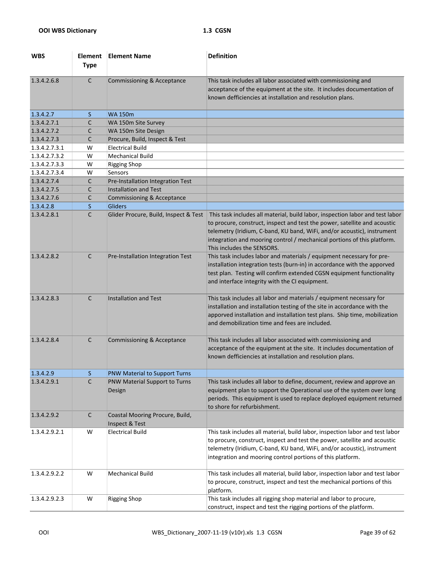| <b>WBS</b>    | Element<br><b>Type</b> | <b>Element Name</b>                               | <b>Definition</b>                                                                                                                                                                                                                                                                                                                              |
|---------------|------------------------|---------------------------------------------------|------------------------------------------------------------------------------------------------------------------------------------------------------------------------------------------------------------------------------------------------------------------------------------------------------------------------------------------------|
| 1.3.4.2.6.8   | $\mathsf{C}$           | <b>Commissioning &amp; Acceptance</b>             | This task includes all labor associated with commissioning and<br>acceptance of the equipment at the site. It includes documentation of<br>known defficiencies at installation and resolution plans.                                                                                                                                           |
| 1.3.4.2.7     | S.                     | <b>WA 150m</b>                                    |                                                                                                                                                                                                                                                                                                                                                |
| 1.3.4.2.7.1   | C                      | WA 150m Site Survey                               |                                                                                                                                                                                                                                                                                                                                                |
| 1.3.4.2.7.2   | C                      | WA 150m Site Design                               |                                                                                                                                                                                                                                                                                                                                                |
| 1.3.4.2.7.3   | C                      | Procure, Build, Inspect & Test                    |                                                                                                                                                                                                                                                                                                                                                |
| 1.3.4.2.7.3.1 | W                      | <b>Electrical Build</b>                           |                                                                                                                                                                                                                                                                                                                                                |
| 1.3.4.2.7.3.2 | W                      | <b>Mechanical Build</b>                           |                                                                                                                                                                                                                                                                                                                                                |
| 1.3.4.2.7.3.3 | W                      | <b>Rigging Shop</b>                               |                                                                                                                                                                                                                                                                                                                                                |
| 1.3.4.2.7.3.4 | W                      | Sensors                                           |                                                                                                                                                                                                                                                                                                                                                |
| 1.3.4.2.7.4   | C                      | Pre-Installation Integration Test                 |                                                                                                                                                                                                                                                                                                                                                |
| 1.3.4.2.7.5   | C                      | Installation and Test                             |                                                                                                                                                                                                                                                                                                                                                |
| 1.3.4.2.7.6   | C                      | Commissioning & Acceptance                        |                                                                                                                                                                                                                                                                                                                                                |
| 1.3.4.2.8     | S.                     | <b>Gliders</b>                                    |                                                                                                                                                                                                                                                                                                                                                |
| 1.3.4.2.8.1   | C                      | Glider Procure, Build, Inspect & Test             | This task includes all material, build labor, inspection labor and test labor<br>to procure, construct, inspect and test the power, satellite and acoustic<br>telemetry (Iridium, C-band, KU band, WiFi, and/or acoustic), instrument<br>integration and mooring control / mechanical portions of this platform.<br>This includes the SENSORS. |
| 1.3.4.2.8.2   | $\mathsf{C}$           | Pre-Installation Integration Test                 | This task includes labor and materials / equipment necessary for pre-<br>installation integration tests (burn-in) in accordance with the apporved<br>test plan. Testing will confirm extended CGSN equipment functionality<br>and interface integrity with the CI equipment.                                                                   |
| 1.3.4.2.8.3   | $\mathsf{C}$           | Installation and Test                             | This task includes all labor and materials / equipment necessary for<br>installation and installation testing of the site in accordance with the<br>apporved installation and installation test plans. Ship time, mobilization<br>and demobilization time and fees are included.                                                               |
| 1.3.4.2.8.4   | $\mathsf{C}$           | <b>Commissioning &amp; Acceptance</b>             | This task includes all labor associated with commissioning and<br>acceptance of the equipment at the site. It includes documentation of<br>known defficiencies at installation and resolution plans.                                                                                                                                           |
| 1.3.4.2.9     | S.                     | PNW Material to Support Turns                     |                                                                                                                                                                                                                                                                                                                                                |
| 1.3.4.2.9.1   | C                      | PNW Material Support to Turns<br>Design           | This task includes all labor to define, document, review and approve an<br>equipment plan to support the Operational use of the system over long<br>periods. This equipment is used to replace deployed equipment returned<br>to shore for refurbishment.                                                                                      |
| 1.3.4.2.9.2   | $\mathsf{C}$           | Coastal Mooring Procure, Build,<br>Inspect & Test |                                                                                                                                                                                                                                                                                                                                                |
| 1.3.4.2.9.2.1 | W                      | <b>Electrical Build</b>                           | This task includes all material, build labor, inspection labor and test labor<br>to procure, construct, inspect and test the power, satellite and acoustic<br>telemetry (Iridium, C-band, KU band, WiFi, and/or acoustic), instrument<br>integration and mooring control portions of this platform.                                            |
| 1.3.4.2.9.2.2 | W                      | <b>Mechanical Build</b>                           | This task includes all material, build labor, inspection labor and test labor<br>to procure, construct, inspect and test the mechanical portions of this<br>platform.                                                                                                                                                                          |
| 1.3.4.2.9.2.3 | W                      | <b>Rigging Shop</b>                               | This task includes all rigging shop material and labor to procure,<br>construct, inspect and test the rigging portions of the platform.                                                                                                                                                                                                        |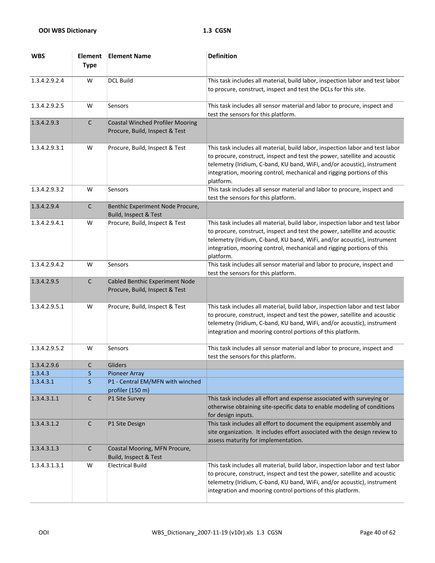| <b>WBS</b>           | <b>Element</b><br><b>Type</b> | <b>Element Name</b>                                                       | <b>Definition</b>                                                                                                                                                                                                                                                                                                           |
|----------------------|-------------------------------|---------------------------------------------------------------------------|-----------------------------------------------------------------------------------------------------------------------------------------------------------------------------------------------------------------------------------------------------------------------------------------------------------------------------|
| 1.3.4.2.9.2.4        | W                             | <b>DCL Build</b>                                                          | This task includes all material, build labor, inspection labor and test labor<br>to procure, construct, inspect and test the DCLs for this site.                                                                                                                                                                            |
| 1.3.4.2.9.2.5        | W                             | Sensors                                                                   | This task includes all sensor material and labor to procure, inspect and<br>test the sensors for this platform.                                                                                                                                                                                                             |
| 1.3.4.2.9.3          | $\mathsf{C}$                  | <b>Coastal Winched Profiler Mooring</b><br>Procure, Build, Inspect & Test |                                                                                                                                                                                                                                                                                                                             |
| 1.3.4.2.9.3.1        | W                             | Procure, Build, Inspect & Test                                            | This task includes all material, build labor, inspection labor and test labor<br>to procure, construct, inspect and test the power, satellite and acoustic<br>telemetry (Iridium, C-band, KU band, WiFi, and/or acoustic), instrument<br>integration, mooring control, mechanical and rigging portions of this<br>platform. |
| 1.3.4.2.9.3.2        | W                             | Sensors                                                                   | This task includes all sensor material and labor to procure, inspect and<br>test the sensors for this platform.                                                                                                                                                                                                             |
| 1.3.4.2.9.4          | C                             | Benthic Experiment Node Procure,<br>Build, Inspect & Test                 |                                                                                                                                                                                                                                                                                                                             |
| 1.3.4.2.9.4.1        | W                             | Procure, Build, Inspect & Test                                            | This task includes all material, build labor, inspection labor and test labor<br>to procure, construct, inspect and test the power, satellite and acoustic<br>telemetry (Iridium, C-band, KU band, WiFi, and/or acoustic), instrument<br>integration, mooring control, mechanical and rigging portions of this<br>platform. |
| 1.3.4.2.9.4.2        | W                             | Sensors                                                                   | This task includes all sensor material and labor to procure, inspect and<br>test the sensors for this platform.                                                                                                                                                                                                             |
| 1.3.4.2.9.5          | C                             | Cabled Benthic Experiment Node<br>Procure, Build, Inspect & Test          |                                                                                                                                                                                                                                                                                                                             |
| 1.3.4.2.9.5.1        | W                             | Procure, Build, Inspect & Test                                            | This task includes all material, build labor, inspection labor and test labor<br>to procure, construct, inspect and test the power, satellite and acoustic<br>telemetry (Iridium, C-band, KU band, WiFi, and/or acoustic), instrument<br>integration and mooring control portions of this platform.                         |
| 1.3.4.2.9.5.2        | W                             | Sensors                                                                   | This task includes all sensor material and labor to procure, inspect and<br>test the sensors for this platform.                                                                                                                                                                                                             |
| 1.3.4.2.9.6          | $\mathsf C$                   | Gliders                                                                   |                                                                                                                                                                                                                                                                                                                             |
| 1.3.4.3<br>1.3.4.3.1 | S<br>S                        | <b>Pioneer Array</b><br>P1 - Central EM/MFN with winched                  |                                                                                                                                                                                                                                                                                                                             |
|                      |                               | profiler (150 m)                                                          |                                                                                                                                                                                                                                                                                                                             |
| 1.3.4.3.1.1          | С                             | <b>P1 Site Survey</b>                                                     | This task includes all effort and expense associated with surveying or<br>otherwise obtaining site-specific data to enable modeling of conditions<br>for design inputs.                                                                                                                                                     |
| 1.3.4.3.1.2          | $\mathsf{C}$                  | P1 Site Design                                                            | This task includes all effort to document the equipment assembly and<br>site organization. It includes effort associated with the design review to<br>assess maturity for implementation.                                                                                                                                   |
| 1.3.4.3.1.3          | $\mathsf{C}$                  | Coastal Mooring, MFN Procure,<br>Build, Inspect & Test                    |                                                                                                                                                                                                                                                                                                                             |
| 1.3.4.3.1.3.1        | W                             | <b>Electrical Build</b>                                                   | This task includes all material, build labor, inspection labor and test labor<br>to procure, construct, inspect and test the power, satellite and acoustic<br>telemetry (Iridium, C-band, KU band, WiFi, and/or acoustic), instrument<br>integration and mooring control portions of this platform.                         |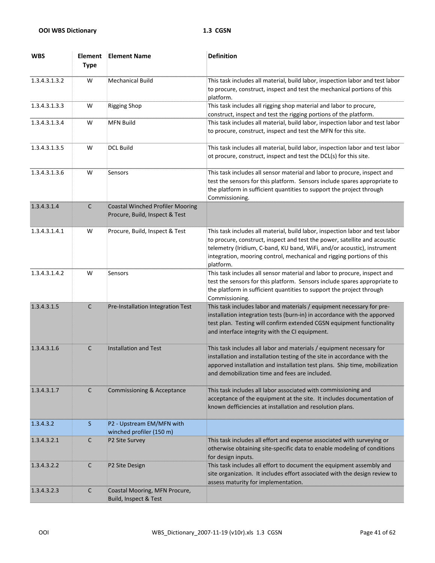| <b>WBS</b>    | <b>Element</b><br><b>Type</b> | <b>Element Name</b>                                                       | <b>Definition</b>                                                                                                                                                                                                                                                                                                           |
|---------------|-------------------------------|---------------------------------------------------------------------------|-----------------------------------------------------------------------------------------------------------------------------------------------------------------------------------------------------------------------------------------------------------------------------------------------------------------------------|
| 1.3.4.3.1.3.2 | W                             | <b>Mechanical Build</b>                                                   | This task includes all material, build labor, inspection labor and test labor<br>to procure, construct, inspect and test the mechanical portions of this<br>platform.                                                                                                                                                       |
| 1.3.4.3.1.3.3 | W                             | <b>Rigging Shop</b>                                                       | This task includes all rigging shop material and labor to procure,<br>construct, inspect and test the rigging portions of the platform.                                                                                                                                                                                     |
| 1.3.4.3.1.3.4 | W                             | <b>MFN Build</b>                                                          | This task includes all material, build labor, inspection labor and test labor<br>to procure, construct, inspect and test the MFN for this site.                                                                                                                                                                             |
| 1.3.4.3.1.3.5 | W                             | <b>DCL Build</b>                                                          | This task includes all material, build labor, inspection labor and test labor<br>ot procure, construct, inspect and test the DCL(s) for this site.                                                                                                                                                                          |
| 1.3.4.3.1.3.6 | W                             | Sensors                                                                   | This task includes all sensor material and labor to procure, inspect and<br>test the sensors for this platform. Sensors include spares appropriate to<br>the platform in sufficient quantities to support the project through<br>Commissioning.                                                                             |
| 1.3.4.3.1.4   | $\mathsf C$                   | <b>Coastal Winched Profiler Mooring</b><br>Procure, Build, Inspect & Test |                                                                                                                                                                                                                                                                                                                             |
| 1.3.4.3.1.4.1 | W                             | Procure, Build, Inspect & Test                                            | This task includes all material, build labor, inspection labor and test labor<br>to procure, construct, inspect and test the power, satellite and acoustic<br>telemetry (Iridium, C-band, KU band, WiFi, and/or acoustic), instrument<br>integration, mooring control, mechanical and rigging portions of this<br>platform. |
| 1.3.4.3.1.4.2 | W                             | Sensors                                                                   | This task includes all sensor material and labor to procure, inspect and<br>test the sensors for this platform. Sensors include spares appropriate to<br>the platform in sufficient quantities to support the project through<br>Commissioning.                                                                             |
| 1.3.4.3.1.5   | $\mathsf C$                   | Pre-Installation Integration Test                                         | This task includes labor and materials / equipment necessary for pre-<br>installation integration tests (burn-in) in accordance with the apporved<br>test plan. Testing will confirm extended CGSN equipment functionality<br>and interface integrity with the CI equipment.                                                |
| 1.3.4.3.1.6   | $\mathsf{C}$                  | <b>Installation and Test</b>                                              | This task includes all labor and materials / equipment necessary for<br>installation and installation testing of the site in accordance with the<br>apporved installation and installation test plans. Ship time, mobilization<br>and demobilization time and fees are included.                                            |
| 1.3.4.3.1.7   | C                             | Commissioning & Acceptance                                                | This task includes all labor associated with commissioning and<br>acceptance of the equipment at the site. It includes documentation of<br>known defficiencies at installation and resolution plans.                                                                                                                        |
| 1.3.4.3.2     | S                             | P2 - Upstream EM/MFN with<br>winched profiler (150 m)                     |                                                                                                                                                                                                                                                                                                                             |
| 1.3.4.3.2.1   | C                             | P2 Site Survey                                                            | This task includes all effort and expense associated with surveying or<br>otherwise obtaining site-specific data to enable modeling of conditions<br>for design inputs.                                                                                                                                                     |
| 1.3.4.3.2.2   | $\mathsf{C}$                  | P2 Site Design                                                            | This task includes all effort to document the equipment assembly and<br>site organization. It includes effort associated with the design review to<br>assess maturity for implementation.                                                                                                                                   |
| 1.3.4.3.2.3   | $\mathsf{C}$                  | Coastal Mooring, MFN Procure,<br>Build, Inspect & Test                    |                                                                                                                                                                                                                                                                                                                             |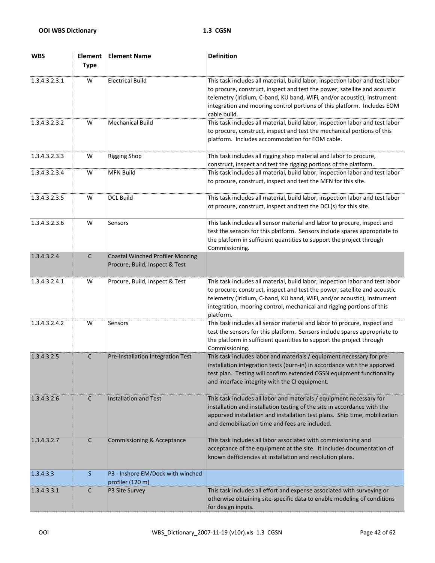| <b>WBS</b>    | <b>Element</b><br><b>Type</b> | <b>Element Name</b>                                                       | <b>Definition</b>                                                                                                                                                                                                                                                                                                                |
|---------------|-------------------------------|---------------------------------------------------------------------------|----------------------------------------------------------------------------------------------------------------------------------------------------------------------------------------------------------------------------------------------------------------------------------------------------------------------------------|
| 1.3.4.3.2.3.1 | W                             | <b>Electrical Build</b>                                                   | This task includes all material, build labor, inspection labor and test labor<br>to procure, construct, inspect and test the power, satellite and acoustic<br>telemetry (Iridium, C-band, KU band, WiFi, and/or acoustic), instrument<br>integration and mooring control portions of this platform. Includes EOM<br>cable build. |
| 1.3.4.3.2.3.2 | W                             | <b>Mechanical Build</b>                                                   | This task includes all material, build labor, inspection labor and test labor<br>to procure, construct, inspect and test the mechanical portions of this<br>platform. Includes accommodation for EOM cable.                                                                                                                      |
| 1.3.4.3.2.3.3 | W                             | <b>Rigging Shop</b>                                                       | This task includes all rigging shop material and labor to procure,<br>construct, inspect and test the rigging portions of the platform.                                                                                                                                                                                          |
| 1.3.4.3.2.3.4 | W                             | <b>MFN Build</b>                                                          | This task includes all material, build labor, inspection labor and test labor<br>to procure, construct, inspect and test the MFN for this site.                                                                                                                                                                                  |
| 1.3.4.3.2.3.5 | W                             | <b>DCL Build</b>                                                          | This task includes all material, build labor, inspection labor and test labor<br>ot procure, construct, inspect and test the DCL(s) for this site.                                                                                                                                                                               |
| 1.3.4.3.2.3.6 | W                             | Sensors                                                                   | This task includes all sensor material and labor to procure, inspect and<br>test the sensors for this platform. Sensors include spares appropriate to<br>the platform in sufficient quantities to support the project through<br>Commissioning.                                                                                  |
| 1.3.4.3.2.4   | $\mathsf C$                   | <b>Coastal Winched Profiler Mooring</b><br>Procure, Build, Inspect & Test |                                                                                                                                                                                                                                                                                                                                  |
| 1.3.4.3.2.4.1 | W                             | Procure, Build, Inspect & Test                                            | This task includes all material, build labor, inspection labor and test labor<br>to procure, construct, inspect and test the power, satellite and acoustic<br>telemetry (Iridium, C-band, KU band, WiFi, and/or acoustic), instrument<br>integration, mooring control, mechanical and rigging portions of this<br>platform.      |
| 1.3.4.3.2.4.2 | W                             | Sensors                                                                   | This task includes all sensor material and labor to procure, inspect and<br>test the sensors for this platform. Sensors include spares appropriate to<br>the platform in sufficient quantities to support the project through<br>Commissioning.                                                                                  |
| 1.3.4.3.2.5   | $\mathsf C$                   | Pre-Installation Integration Test                                         | This task includes labor and materials / equipment necessary for pre-<br>installation integration tests (burn-in) in accordance with the apporved<br>test plan. Testing will confirm extended CGSN equipment functionality<br>and interface integrity with the CI equipment.                                                     |
| 1.3.4.3.2.6   | $\mathsf{C}$                  | <b>Installation and Test</b>                                              | This task includes all labor and materials / equipment necessary for<br>installation and installation testing of the site in accordance with the<br>apporved installation and installation test plans. Ship time, mobilization<br>and demobilization time and fees are included.                                                 |
| 1.3.4.3.2.7   | C                             | Commissioning & Acceptance                                                | This task includes all labor associated with commissioning and<br>acceptance of the equipment at the site. It includes documentation of<br>known defficiencies at installation and resolution plans.                                                                                                                             |
| 1.3.4.3.3     | S                             | P3 - Inshore EM/Dock with winched<br>profiler (120 m)                     |                                                                                                                                                                                                                                                                                                                                  |
| 1.3.4.3.3.1   | C                             | P3 Site Survey                                                            | This task includes all effort and expense associated with surveying or<br>otherwise obtaining site-specific data to enable modeling of conditions<br>for design inputs.                                                                                                                                                          |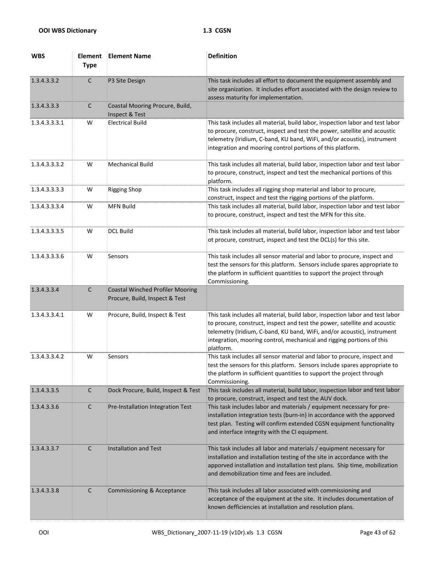| <b>WBS</b>    | <b>Element</b><br><b>Type</b> | <b>Element Name</b>                                                       | <b>Definition</b>                                                                                                                                                                                                                                                                                                           |
|---------------|-------------------------------|---------------------------------------------------------------------------|-----------------------------------------------------------------------------------------------------------------------------------------------------------------------------------------------------------------------------------------------------------------------------------------------------------------------------|
| 1.3.4.3.3.2   | $\mathsf C$                   | P3 Site Design                                                            | This task includes all effort to document the equipment assembly and<br>site organization. It includes effort associated with the design review to<br>assess maturity for implementation.                                                                                                                                   |
| 1.3.4.3.3.3   | $\mathsf{C}$                  | Coastal Mooring Procure, Build,<br>Inspect & Test                         |                                                                                                                                                                                                                                                                                                                             |
| 1.3.4.3.3.3.1 | W                             | <b>Electrical Build</b>                                                   | This task includes all material, build labor, inspection labor and test labor<br>to procure, construct, inspect and test the power, satellite and acoustic<br>telemetry (Iridium, C-band, KU band, WiFi, and/or acoustic), instrument<br>integration and mooring control portions of this platform.                         |
| 1.3.4.3.3.3.2 | W                             | <b>Mechanical Build</b>                                                   | This task includes all material, build labor, inspection labor and test labor<br>to procure, construct, inspect and test the mechanical portions of this<br>platform.                                                                                                                                                       |
| 1.3.4.3.3.3.3 | W                             | <b>Rigging Shop</b>                                                       | This task includes all rigging shop material and labor to procure,<br>construct, inspect and test the rigging portions of the platform.                                                                                                                                                                                     |
| 1.3.4.3.3.3.4 | W                             | <b>MFN Build</b>                                                          | This task includes all material, build labor, inspection labor and test labor<br>to procure, construct, inspect and test the MFN for this site.                                                                                                                                                                             |
| 1.3.4.3.3.3.5 | W                             | <b>DCL Build</b>                                                          | This task includes all material, build labor, inspection labor and test labor<br>ot procure, construct, inspect and test the DCL(s) for this site.                                                                                                                                                                          |
| 1.3.4.3.3.3.6 | W                             | Sensors                                                                   | This task includes all sensor material and labor to procure, inspect and<br>test the sensors for this platform. Sensors include spares appropriate to<br>the platform in sufficient quantities to support the project through<br>Commissioning.                                                                             |
| 1.3.4.3.3.4   | $\mathsf C$                   | <b>Coastal Winched Profiler Mooring</b><br>Procure, Build, Inspect & Test |                                                                                                                                                                                                                                                                                                                             |
| 1.3.4.3.3.4.1 | W                             | Procure, Build, Inspect & Test                                            | This task includes all material, build labor, inspection labor and test labor<br>to procure, construct, inspect and test the power, satellite and acoustic<br>telemetry (Iridium, C-band, KU band, WiFi, and/or acoustic), instrument<br>integration, mooring control, mechanical and rigging portions of this<br>platform. |
| 1.3.4.3.3.4.2 | W                             | Sensors                                                                   | This task includes all sensor material and labor to procure, inspect and<br>test the sensors for this platform. Sensors include spares appropriate to<br>the platform in sufficient quantities to support the project through<br>Commissioning.                                                                             |
| 1.3.4.3.3.5   | $\mathsf C$                   | Dock Procure, Build, Inspect & Test                                       | This task includes all material, build labor, inspection labor and test labor<br>to procure, construct, inspect and test the AUV dock.                                                                                                                                                                                      |
| 1.3.4.3.3.6   | C                             | Pre-Installation Integration Test                                         | This task includes labor and materials / equipment necessary for pre-<br>installation integration tests (burn-in) in accordance with the apporved<br>test plan. Testing will confirm extended CGSN equipment functionality<br>and interface integrity with the CI equipment.                                                |
| 1.3.4.3.3.7   | C                             | <b>Installation and Test</b>                                              | This task includes all labor and materials / equipment necessary for<br>installation and installation testing of the site in accordance with the<br>apporved installation and installation test plans. Ship time, mobilization<br>and demobilization time and fees are included.                                            |
| 1.3.4.3.3.8   | $\mathsf{C}$                  | <b>Commissioning &amp; Acceptance</b>                                     | This task includes all labor associated with commissioning and<br>acceptance of the equipment at the site. It includes documentation of<br>known defficiencies at installation and resolution plans.                                                                                                                        |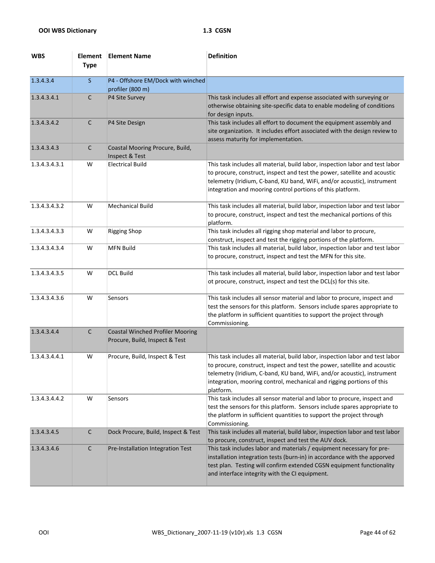| <b>WBS</b>    | <b>Element</b><br><b>Type</b> | <b>Element Name</b>                                                       | <b>Definition</b>                                                                                                                                                                                                                                                                                                           |
|---------------|-------------------------------|---------------------------------------------------------------------------|-----------------------------------------------------------------------------------------------------------------------------------------------------------------------------------------------------------------------------------------------------------------------------------------------------------------------------|
| 1.3.4.3.4     | S                             | P4 - Offshore EM/Dock with winched<br>profiler (800 m)                    |                                                                                                                                                                                                                                                                                                                             |
| 1.3.4.3.4.1   | $\mathsf{C}$                  | P4 Site Survey                                                            | This task includes all effort and expense associated with surveying or<br>otherwise obtaining site-specific data to enable modeling of conditions<br>for design inputs.                                                                                                                                                     |
| 1.3.4.3.4.2   | $\mathsf{C}$                  | P4 Site Design                                                            | This task includes all effort to document the equipment assembly and<br>site organization. It includes effort associated with the design review to<br>assess maturity for implementation.                                                                                                                                   |
| 1.3.4.3.4.3   | $\mathsf{C}$                  | Coastal Mooring Procure, Build,<br>Inspect & Test                         |                                                                                                                                                                                                                                                                                                                             |
| 1.3.4.3.4.3.1 | W                             | <b>Electrical Build</b>                                                   | This task includes all material, build labor, inspection labor and test labor<br>to procure, construct, inspect and test the power, satellite and acoustic<br>telemetry (Iridium, C-band, KU band, WiFi, and/or acoustic), instrument<br>integration and mooring control portions of this platform.                         |
| 1.3.4.3.4.3.2 | W                             | Mechanical Build                                                          | This task includes all material, build labor, inspection labor and test labor<br>to procure, construct, inspect and test the mechanical portions of this<br>platform.                                                                                                                                                       |
| 1.3.4.3.4.3.3 | W                             | <b>Rigging Shop</b>                                                       | This task includes all rigging shop material and labor to procure,<br>construct, inspect and test the rigging portions of the platform.                                                                                                                                                                                     |
| 1.3.4.3.4.3.4 | W                             | <b>MFN Build</b>                                                          | This task includes all material, build labor, inspection labor and test labor<br>to procure, construct, inspect and test the MFN for this site.                                                                                                                                                                             |
| 1.3.4.3.4.3.5 | W                             | <b>DCL Build</b>                                                          | This task includes all material, build labor, inspection labor and test labor<br>ot procure, construct, inspect and test the DCL(s) for this site.                                                                                                                                                                          |
| 1.3.4.3.4.3.6 | W                             | Sensors                                                                   | This task includes all sensor material and labor to procure, inspect and<br>test the sensors for this platform. Sensors include spares appropriate to<br>the platform in sufficient quantities to support the project through<br>Commissioning.                                                                             |
| 1.3.4.3.4.4   | $\mathsf{C}$                  | <b>Coastal Winched Profiler Mooring</b><br>Procure, Build, Inspect & Test |                                                                                                                                                                                                                                                                                                                             |
| 1.3.4.3.4.4.1 | W                             | Procure, Build, Inspect & Test                                            | This task includes all material, build labor, inspection labor and test labor<br>to procure, construct, inspect and test the power, satellite and acoustic<br>telemetry (Iridium, C-band, KU band, WiFi, and/or acoustic), instrument<br>integration, mooring control, mechanical and rigging portions of this<br>platform. |
| 1.3.4.3.4.4.2 | W                             | Sensors                                                                   | This task includes all sensor material and labor to procure, inspect and<br>test the sensors for this platform. Sensors include spares appropriate to<br>the platform in sufficient quantities to support the project through<br>Commissioning.                                                                             |
| 1.3.4.3.4.5   | $\mathsf C$                   | Dock Procure, Build, Inspect & Test                                       | This task includes all material, build labor, inspection labor and test labor<br>to procure, construct, inspect and test the AUV dock.                                                                                                                                                                                      |
| 1.3.4.3.4.6   | $\mathsf{C}$                  | Pre-Installation Integration Test                                         | This task includes labor and materials / equipment necessary for pre-<br>installation integration tests (burn-in) in accordance with the apporved<br>test plan. Testing will confirm extended CGSN equipment functionality<br>and interface integrity with the CI equipment.                                                |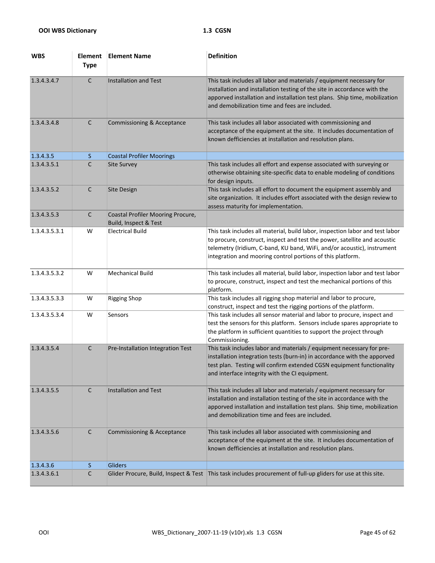| <b>WBS</b>    | <b>Element</b><br><b>Type</b> | <b>Element Name</b>                                               | <b>Definition</b>                                                                                                                                                                                                                                                                                   |
|---------------|-------------------------------|-------------------------------------------------------------------|-----------------------------------------------------------------------------------------------------------------------------------------------------------------------------------------------------------------------------------------------------------------------------------------------------|
| 1.3.4.3.4.7   | $\mathsf{C}$                  | <b>Installation and Test</b>                                      | This task includes all labor and materials / equipment necessary for<br>installation and installation testing of the site in accordance with the<br>apporved installation and installation test plans. Ship time, mobilization<br>and demobilization time and fees are included.                    |
| 1.3.4.3.4.8   | $\mathsf{C}$                  | <b>Commissioning &amp; Acceptance</b>                             | This task includes all labor associated with commissioning and<br>acceptance of the equipment at the site. It includes documentation of<br>known defficiencies at installation and resolution plans.                                                                                                |
| 1.3.4.3.5     | S.                            | <b>Coastal Profiler Moorings</b>                                  |                                                                                                                                                                                                                                                                                                     |
| 1.3.4.3.5.1   | C                             | <b>Site Survey</b>                                                | This task includes all effort and expense associated with surveying or<br>otherwise obtaining site-specific data to enable modeling of conditions<br>for design inputs.                                                                                                                             |
| 1.3.4.3.5.2   | $\mathsf{C}$                  | <b>Site Design</b>                                                | This task includes all effort to document the equipment assembly and<br>site organization. It includes effort associated with the design review to<br>assess maturity for implementation.                                                                                                           |
| 1.3.4.3.5.3   | $\mathsf{C}$                  | <b>Coastal Profiler Mooring Procure,</b><br>Build, Inspect & Test |                                                                                                                                                                                                                                                                                                     |
| 1.3.4.3.5.3.1 | W                             | <b>Electrical Build</b>                                           | This task includes all material, build labor, inspection labor and test labor<br>to procure, construct, inspect and test the power, satellite and acoustic<br>telemetry (Iridium, C-band, KU band, WiFi, and/or acoustic), instrument<br>integration and mooring control portions of this platform. |
| 1.3.4.3.5.3.2 | W                             | <b>Mechanical Build</b>                                           | This task includes all material, build labor, inspection labor and test labor<br>to procure, construct, inspect and test the mechanical portions of this<br>platform.                                                                                                                               |
| 1.3.4.3.5.3.3 | W                             | <b>Rigging Shop</b>                                               | This task includes all rigging shop material and labor to procure,<br>construct, inspect and test the rigging portions of the platform.                                                                                                                                                             |
| 1.3.4.3.5.3.4 | W                             | Sensors                                                           | This task includes all sensor material and labor to procure, inspect and<br>test the sensors for this platform. Sensors include spares appropriate to<br>the platform in sufficient quantities to support the project through<br>Commissioning.                                                     |
| 1.3.4.3.5.4   | $\mathsf C$                   | Pre-Installation Integration Test                                 | This task includes labor and materials / equipment necessary for pre-<br>installation integration tests (burn-in) in accordance with the apporved<br>test plan. Testing will confirm extended CGSN equipment functionality<br>and interface integrity with the CI equipment.                        |
| 1.3.4.3.5.5   | $\mathsf{C}$                  | <b>Installation and Test</b>                                      | This task includes all labor and materials / equipment necessary for<br>installation and installation testing of the site in accordance with the<br>apporved installation and installation test plans. Ship time, mobilization<br>and demobilization time and fees are included.                    |
| 1.3.4.3.5.6   | $\mathsf{C}$                  | <b>Commissioning &amp; Acceptance</b>                             | This task includes all labor associated with commissioning and<br>acceptance of the equipment at the site. It includes documentation of<br>known defficiencies at installation and resolution plans.                                                                                                |
| 1.3.4.3.6     | S                             | Gliders                                                           |                                                                                                                                                                                                                                                                                                     |
| 1.3.4.3.6.1   | C                             | Glider Procure, Build, Inspect & Test                             | This task includes procurement of full-up gliders for use at this site.                                                                                                                                                                                                                             |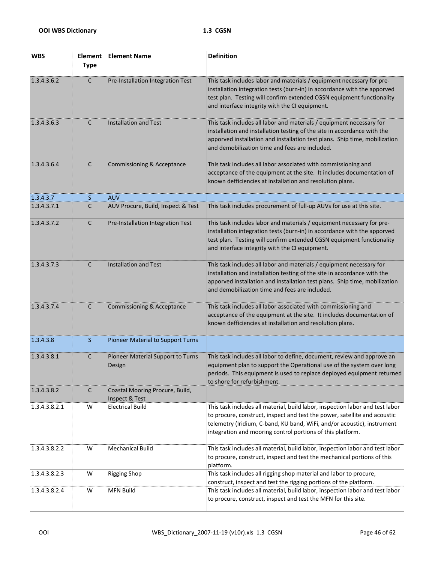| <b>WBS</b>    | <b>Element</b><br><b>Type</b> | <b>Element Name</b>                               | <b>Definition</b>                                                                                                                                                                                                                                                                                   |
|---------------|-------------------------------|---------------------------------------------------|-----------------------------------------------------------------------------------------------------------------------------------------------------------------------------------------------------------------------------------------------------------------------------------------------------|
| 1.3.4.3.6.2   | $\mathsf{C}$                  | Pre-Installation Integration Test                 | This task includes labor and materials / equipment necessary for pre-<br>installation integration tests (burn-in) in accordance with the apporved<br>test plan. Testing will confirm extended CGSN equipment functionality<br>and interface integrity with the CI equipment.                        |
| 1.3.4.3.6.3   | $\mathsf{C}$                  | Installation and Test                             | This task includes all labor and materials / equipment necessary for<br>installation and installation testing of the site in accordance with the<br>apporved installation and installation test plans. Ship time, mobilization<br>and demobilization time and fees are included.                    |
| 1.3.4.3.6.4   | $\mathsf{C}$                  | Commissioning & Acceptance                        | This task includes all labor associated with commissioning and<br>acceptance of the equipment at the site. It includes documentation of<br>known defficiencies at installation and resolution plans.                                                                                                |
| 1.3.4.3.7     | <sub>S</sub>                  | <b>AUV</b>                                        |                                                                                                                                                                                                                                                                                                     |
| 1.3.4.3.7.1   | C                             | AUV Procure, Build, Inspect & Test                | This task includes procurement of full-up AUVs for use at this site.                                                                                                                                                                                                                                |
| 1.3.4.3.7.2   | C                             | Pre-Installation Integration Test                 | This task includes labor and materials / equipment necessary for pre-<br>installation integration tests (burn-in) in accordance with the apporved<br>test plan. Testing will confirm extended CGSN equipment functionality<br>and interface integrity with the CI equipment.                        |
| 1.3.4.3.7.3   | $\mathsf{C}$                  | <b>Installation and Test</b>                      | This task includes all labor and materials / equipment necessary for<br>installation and installation testing of the site in accordance with the<br>apporved installation and installation test plans. Ship time, mobilization<br>and demobilization time and fees are included.                    |
| 1.3.4.3.7.4   | $\mathsf{C}$                  | <b>Commissioning &amp; Acceptance</b>             | This task includes all labor associated with commissioning and<br>acceptance of the equipment at the site. It includes documentation of<br>known defficiencies at installation and resolution plans.                                                                                                |
| 1.3.4.3.8     | <sub>S</sub>                  | Pioneer Material to Support Turns                 |                                                                                                                                                                                                                                                                                                     |
| 1.3.4.3.8.1   | C                             | Pioneer Material Support to Turns<br>Design       | This task includes all labor to define, document, review and approve an<br>equipment plan to support the Operational use of the system over long<br>periods. This equipment is used to replace deployed equipment returned<br>to shore for refurbishment.                                           |
| 1.3.4.3.8.2   | $\mathsf C$                   | Coastal Mooring Procure, Build,<br>Inspect & Test |                                                                                                                                                                                                                                                                                                     |
| 1.3.4.3.8.2.1 | W                             | <b>Electrical Build</b>                           | This task includes all material, build labor, inspection labor and test labor<br>to procure, construct, inspect and test the power, satellite and acoustic<br>telemetry (Iridium, C-band, KU band, WiFi, and/or acoustic), instrument<br>integration and mooring control portions of this platform. |
| 1.3.4.3.8.2.2 | W                             | Mechanical Build                                  | This task includes all material, build labor, inspection labor and test labor<br>to procure, construct, inspect and test the mechanical portions of this<br>platform.                                                                                                                               |
| 1.3.4.3.8.2.3 | W                             | <b>Rigging Shop</b>                               | This task includes all rigging shop material and labor to procure,<br>construct, inspect and test the rigging portions of the platform.                                                                                                                                                             |
| 1.3.4.3.8.2.4 | W                             | <b>MFN Build</b>                                  | This task includes all material, build labor, inspection labor and test labor<br>to procure, construct, inspect and test the MFN for this site.                                                                                                                                                     |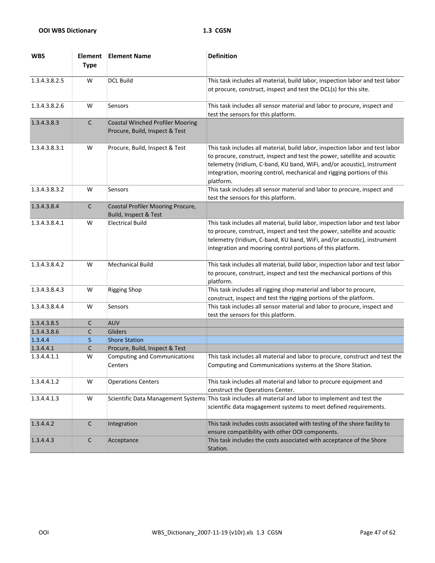| <b>WBS</b>    | <b>Element</b><br><b>Type</b> | <b>Element Name</b>                                                       | <b>Definition</b>                                                                                                                                                                                                                                                                                                           |
|---------------|-------------------------------|---------------------------------------------------------------------------|-----------------------------------------------------------------------------------------------------------------------------------------------------------------------------------------------------------------------------------------------------------------------------------------------------------------------------|
| 1.3.4.3.8.2.5 | W                             | <b>DCL Build</b>                                                          | This task includes all material, build labor, inspection labor and test labor<br>ot procure, construct, inspect and test the DCL(s) for this site.                                                                                                                                                                          |
| 1.3.4.3.8.2.6 | W                             | Sensors                                                                   | This task includes all sensor material and labor to procure, inspect and<br>test the sensors for this platform.                                                                                                                                                                                                             |
| 1.3.4.3.8.3   | C                             | <b>Coastal Winched Profiler Mooring</b><br>Procure, Build, Inspect & Test |                                                                                                                                                                                                                                                                                                                             |
| 1.3.4.3.8.3.1 | W                             | Procure, Build, Inspect & Test                                            | This task includes all material, build labor, inspection labor and test labor<br>to procure, construct, inspect and test the power, satellite and acoustic<br>telemetry (Iridium, C-band, KU band, WiFi, and/or acoustic), instrument<br>integration, mooring control, mechanical and rigging portions of this<br>platform. |
| 1.3.4.3.8.3.2 | W                             | Sensors                                                                   | This task includes all sensor material and labor to procure, inspect and<br>test the sensors for this platform.                                                                                                                                                                                                             |
| 1.3.4.3.8.4   | C                             | Coastal Profiler Mooring Procure,<br>Build, Inspect & Test                |                                                                                                                                                                                                                                                                                                                             |
| 1.3.4.3.8.4.1 | W                             | <b>Electrical Build</b>                                                   | This task includes all material, build labor, inspection labor and test labor<br>to procure, construct, inspect and test the power, satellite and acoustic<br>telemetry (Iridium, C-band, KU band, WiFi, and/or acoustic), instrument<br>integration and mooring control portions of this platform.                         |
| 1.3.4.3.8.4.2 | W                             | <b>Mechanical Build</b>                                                   | This task includes all material, build labor, inspection labor and test labor<br>to procure, construct, inspect and test the mechanical portions of this<br>platform.                                                                                                                                                       |
| 1.3.4.3.8.4.3 | W                             | <b>Rigging Shop</b>                                                       | This task includes all rigging shop material and labor to procure,<br>construct, inspect and test the rigging portions of the platform.                                                                                                                                                                                     |
| 1.3.4.3.8.4.4 | W                             | Sensors                                                                   | This task includes all sensor material and labor to procure, inspect and<br>test the sensors for this platform.                                                                                                                                                                                                             |
| 1.3.4.3.8.5   | C                             | <b>AUV</b>                                                                |                                                                                                                                                                                                                                                                                                                             |
| 1.3.4.3.8.6   | C                             | <b>Gliders</b>                                                            |                                                                                                                                                                                                                                                                                                                             |
| 1.3.4.4       | S                             | <b>Shore Station</b>                                                      |                                                                                                                                                                                                                                                                                                                             |
| 1.3.4.4.1     | $\mathsf{C}$                  | Procure, Build, Inspect & Test                                            |                                                                                                                                                                                                                                                                                                                             |
| 1.3.4.4.1.1   | W                             | Computing and Communications<br>Centers                                   | This task includes all material and labor to procure, construct and test the<br>Computing and Communications systems at the Shore Station.                                                                                                                                                                                  |
| 1.3.4.4.1.2   | W                             | <b>Operations Centers</b>                                                 | This task includes all material and labor to procure equipment and<br>construct the Operations Center.                                                                                                                                                                                                                      |
| 1.3.4.4.1.3   | W                             | Scientific Data Management Systems                                        | This task includes all material and labor to implement and test the<br>scientific data magagement systems to meet defined requirements.                                                                                                                                                                                     |
| 1.3.4.4.2     | $\mathsf C$                   | Integration                                                               | This task includes costs associated with testing of the shore facility to<br>ensure compatibility with other OOI components.                                                                                                                                                                                                |
| 1.3.4.4.3     | C                             | Acceptance                                                                | This task includes the costs associated with acceptance of the Shore<br>Station.                                                                                                                                                                                                                                            |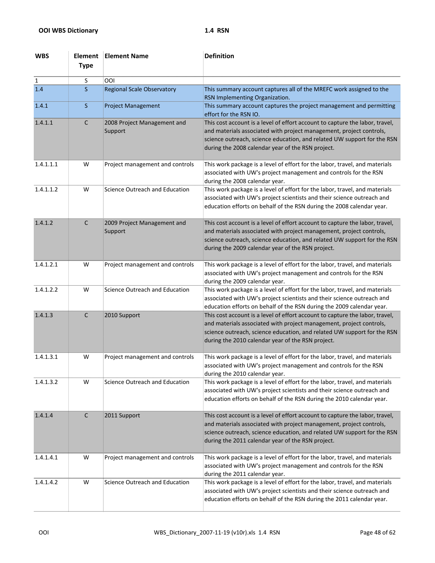| <b>WBS</b>   | Element<br><b>Type</b> | <b>Element Name</b>                    | <b>Definition</b>                                                                                                                                                                                                                                                                   |
|--------------|------------------------|----------------------------------------|-------------------------------------------------------------------------------------------------------------------------------------------------------------------------------------------------------------------------------------------------------------------------------------|
| $\mathbf{1}$ | S                      | <b>OOI</b>                             |                                                                                                                                                                                                                                                                                     |
| 1.4          | <sub>S</sub>           | <b>Regional Scale Observatory</b>      | This summary account captures all of the MREFC work assigned to the                                                                                                                                                                                                                 |
|              |                        |                                        | RSN Implementing Organization.                                                                                                                                                                                                                                                      |
| 1.4.1        | <sub>S</sub>           | <b>Project Management</b>              | This summary account captures the project management and permitting<br>effort for the RSN IO.                                                                                                                                                                                       |
| 1.4.1.1      | $\mathsf{C}$           | 2008 Project Management and<br>Support | This cost account is a level of effort account to capture the labor, travel,<br>and materials associated with project management, project controls,<br>science outreach, science education, and related UW support for the RSN<br>during the 2008 calendar year of the RSN project. |
| 1.4.1.1.1    | W                      | Project management and controls        | This work package is a level of effort for the labor, travel, and materials<br>associated with UW's project management and controls for the RSN<br>during the 2008 calendar year.                                                                                                   |
| 1.4.1.1.2    | W                      | Science Outreach and Education         | This work package is a level of effort for the labor, travel, and materials<br>associated with UW's project scientists and their science outreach and<br>education efforts on behalf of the RSN during the 2008 calendar year.                                                      |
| 1.4.1.2      | $\mathsf{C}$           | 2009 Project Management and<br>Support | This cost account is a level of effort account to capture the labor, travel,<br>and materials associated with project management, project controls,<br>science outreach, science education, and related UW support for the RSN<br>during the 2009 calendar year of the RSN project. |
| 1.4.1.2.1    | W                      | Project management and controls        | This work package is a level of effort for the labor, travel, and materials<br>associated with UW's project management and controls for the RSN<br>during the 2009 calendar year.                                                                                                   |
| 1.4.1.2.2    | W                      | Science Outreach and Education         | This work package is a level of effort for the labor, travel, and materials<br>associated with UW's project scientists and their science outreach and<br>education efforts on behalf of the RSN during the 2009 calendar year.                                                      |
| 1.4.1.3      | $\mathsf{C}$           | 2010 Support                           | This cost account is a level of effort account to capture the labor, travel,<br>and materials associated with project management, project controls,<br>science outreach, science education, and related UW support for the RSN<br>during the 2010 calendar year of the RSN project. |
| 1.4.1.3.1    | W                      | Project management and controls        | This work package is a level of effort for the labor, travel, and materials<br>associated with UW's project management and controls for the RSN<br>during the 2010 calendar year.                                                                                                   |
| 1.4.1.3.2    | W                      | Science Outreach and Education         | This work package is a level of effort for the labor, travel, and materials<br>associated with UW's project scientists and their science outreach and<br>education efforts on behalf of the RSN during the 2010 calendar year.                                                      |
| 1.4.1.4      | C                      | 2011 Support                           | This cost account is a level of effort account to capture the labor, travel,<br>and materials associated with project management, project controls,<br>science outreach, science education, and related UW support for the RSN<br>during the 2011 calendar year of the RSN project. |
| 1.4.1.4.1    | W                      | Project management and controls        | This work package is a level of effort for the labor, travel, and materials<br>associated with UW's project management and controls for the RSN<br>during the 2011 calendar year.                                                                                                   |
| 1.4.1.4.2    | W                      | Science Outreach and Education         | This work package is a level of effort for the labor, travel, and materials<br>associated with UW's project scientists and their science outreach and<br>education efforts on behalf of the RSN during the 2011 calendar year.                                                      |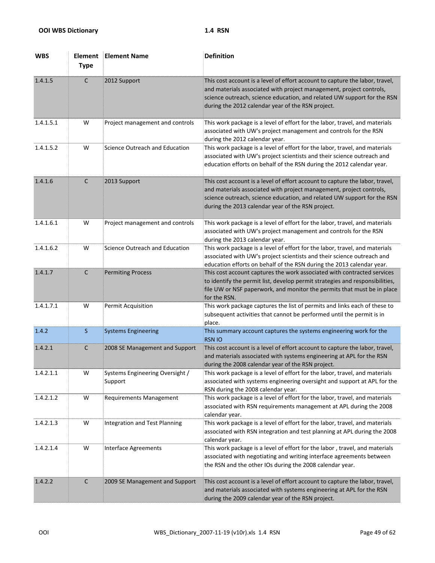| <b>WBS</b> | Element<br><b>Type</b> | <b>Element Name</b>                        | <b>Definition</b>                                                                                                                                                                                                                                                                   |
|------------|------------------------|--------------------------------------------|-------------------------------------------------------------------------------------------------------------------------------------------------------------------------------------------------------------------------------------------------------------------------------------|
| 1.4.1.5    | $\mathsf{C}$           | 2012 Support                               | This cost account is a level of effort account to capture the labor, travel,<br>and materials associated with project management, project controls,<br>science outreach, science education, and related UW support for the RSN<br>during the 2012 calendar year of the RSN project. |
| 1.4.1.5.1  | W                      | Project management and controls            | This work package is a level of effort for the labor, travel, and materials<br>associated with UW's project management and controls for the RSN<br>during the 2012 calendar year.                                                                                                   |
| 1.4.1.5.2  | W                      | Science Outreach and Education             | This work package is a level of effort for the labor, travel, and materials<br>associated with UW's project scientists and their science outreach and<br>education efforts on behalf of the RSN during the 2012 calendar year.                                                      |
| 1.4.1.6    | $\mathsf{C}$           | 2013 Support                               | This cost account is a level of effort account to capture the labor, travel,<br>and materials associated with project management, project controls,<br>science outreach, science education, and related UW support for the RSN<br>during the 2013 calendar year of the RSN project. |
| 1.4.1.6.1  | W                      | Project management and controls            | This work package is a level of effort for the labor, travel, and materials<br>associated with UW's project management and controls for the RSN<br>during the 2013 calendar year.                                                                                                   |
| 1.4.1.6.2  | W                      | Science Outreach and Education             | This work package is a level of effort for the labor, travel, and materials<br>associated with UW's project scientists and their science outreach and<br>education efforts on behalf of the RSN during the 2013 calendar year.                                                      |
| 1.4.1.7    | $\mathsf{C}$           | <b>Permiting Process</b>                   | This cost account captures the work associated with contracted services<br>to identify the permit list, develop permit strategies and responsibilities,<br>file UW or NSF paperwork, and monitor the permits that must be in place<br>for the RSN.                                  |
| 1.4.1.7.1  | W                      | Permit Acquisition                         | This work package captures the list of permits and links each of these to<br>subsequent activities that cannot be performed until the permit is in<br>place.                                                                                                                        |
| 1.4.2      | $\mathsf{S}$           | <b>Systems Engineering</b>                 | This summary account captures the systems engineering work for the<br><b>RSN IO</b>                                                                                                                                                                                                 |
| 1.4.2.1    | C                      | 2008 SE Management and Support             | This cost account is a level of effort account to capture the labor, travel,<br>and materials associated with systems engineering at APL for the RSN<br>during the 2008 calendar year of the RSN project.                                                                           |
| 1.4.2.1.1  | W                      | Systems Engineering Oversight /<br>Support | This work package is a level of effort for the labor, travel, and materials<br>associated with systems engineering oversight and support at APL for the<br>RSN during the 2008 calendar year.                                                                                       |
| 1.4.2.1.2  | W                      | <b>Requirements Management</b>             | This work package is a level of effort for the labor, travel, and materials<br>associated with RSN requirements management at APL during the 2008<br>calendar year.                                                                                                                 |
| 1.4.2.1.3  | W                      | <b>Integration and Test Planning</b>       | This work package is a level of effort for the labor, travel, and materials<br>associated with RSN integration and test planning at APL during the 2008<br>calendar year.                                                                                                           |
| 1.4.2.1.4  | W                      | <b>Interface Agreements</b>                | This work package is a level of effort for the labor, travel, and materials<br>associated with negotiating and writing interface agreements between<br>the RSN and the other IOs during the 2008 calendar year.                                                                     |
| 1.4.2.2    | $\mathsf C$            | 2009 SE Management and Support             | This cost account is a level of effort account to capture the labor, travel,<br>and materials associated with systems engineering at APL for the RSN<br>during the 2009 calendar year of the RSN project.                                                                           |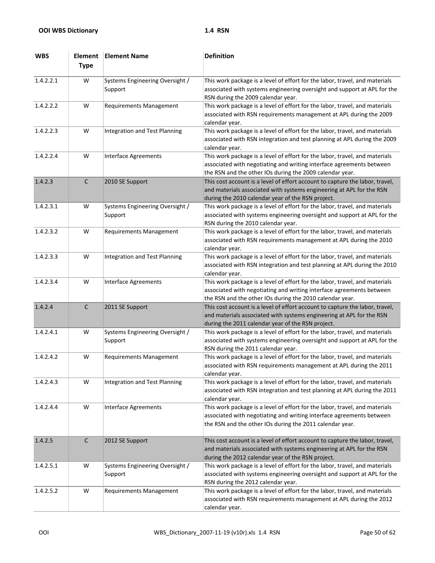| <b>WBS</b> | Element<br><b>Type</b> | <b>Element Name</b>                        | <b>Definition</b>                                                                                                                                                                                               |
|------------|------------------------|--------------------------------------------|-----------------------------------------------------------------------------------------------------------------------------------------------------------------------------------------------------------------|
| 1.4.2.2.1  | W                      | Systems Engineering Oversight /<br>Support | This work package is a level of effort for the labor, travel, and materials<br>associated with systems engineering oversight and support at APL for the<br>RSN during the 2009 calendar year.                   |
| 1.4.2.2.2  | W                      | <b>Requirements Management</b>             | This work package is a level of effort for the labor, travel, and materials<br>associated with RSN requirements management at APL during the 2009<br>calendar year.                                             |
| 1.4.2.2.3  | W                      | <b>Integration and Test Planning</b>       | This work package is a level of effort for the labor, travel, and materials<br>associated with RSN integration and test planning at APL during the 2009<br>calendar year.                                       |
| 1.4.2.2.4  | W                      | <b>Interface Agreements</b>                | This work package is a level of effort for the labor, travel, and materials<br>associated with negotiating and writing interface agreements between<br>the RSN and the other IOs during the 2009 calendar year. |
| 1.4.2.3    | $\mathsf C$            | 2010 SE Support                            | This cost account is a level of effort account to capture the labor, travel,<br>and materials associated with systems engineering at APL for the RSN<br>during the 2010 calendar year of the RSN project.       |
| 1.4.2.3.1  | W                      | Systems Engineering Oversight /<br>Support | This work package is a level of effort for the labor, travel, and materials<br>associated with systems engineering oversight and support at APL for the<br>RSN during the 2010 calendar year.                   |
| 1.4.2.3.2  | W                      | <b>Requirements Management</b>             | This work package is a level of effort for the labor, travel, and materials<br>associated with RSN requirements management at APL during the 2010<br>calendar year.                                             |
| 1.4.2.3.3  | W                      | <b>Integration and Test Planning</b>       | This work package is a level of effort for the labor, travel, and materials<br>associated with RSN integration and test planning at APL during the 2010<br>calendar year.                                       |
| 1.4.2.3.4  | W                      | <b>Interface Agreements</b>                | This work package is a level of effort for the labor, travel, and materials<br>associated with negotiating and writing interface agreements between<br>the RSN and the other IOs during the 2010 calendar year. |
| 1.4.2.4    | $\mathsf C$            | 2011 SE Support                            | This cost account is a level of effort account to capture the labor, travel,<br>and materials associated with systems engineering at APL for the RSN<br>during the 2011 calendar year of the RSN project.       |
| 1.4.2.4.1  | W                      | Systems Engineering Oversight /<br>Support | This work package is a level of effort for the labor, travel, and materials<br>associated with systems engineering oversight and support at APL for the<br>RSN during the 2011 calendar year.                   |
| 1.4.2.4.2  | W                      | <b>Requirements Management</b>             | This work package is a level of effort for the labor, travel, and materials<br>associated with RSN requirements management at APL during the 2011<br>calendar year.                                             |
| 1.4.2.4.3  | W                      | Integration and Test Planning              | This work package is a level of effort for the labor, travel, and materials<br>associated with RSN integration and test planning at APL during the 2011<br>calendar year.                                       |
| 1.4.2.4.4  | W                      | <b>Interface Agreements</b>                | This work package is a level of effort for the labor, travel, and materials<br>associated with negotiating and writing interface agreements between<br>the RSN and the other IOs during the 2011 calendar year. |
| 1.4.2.5    | $\mathsf C$            | 2012 SE Support                            | This cost account is a level of effort account to capture the labor, travel,<br>and materials associated with systems engineering at APL for the RSN<br>during the 2012 calendar year of the RSN project.       |
| 1.4.2.5.1  | W                      | Systems Engineering Oversight /<br>Support | This work package is a level of effort for the labor, travel, and materials<br>associated with systems engineering oversight and support at APL for the<br>RSN during the 2012 calendar year.                   |
| 1.4.2.5.2  | W                      | <b>Requirements Management</b>             | This work package is a level of effort for the labor, travel, and materials<br>associated with RSN requirements management at APL during the 2012<br>calendar year.                                             |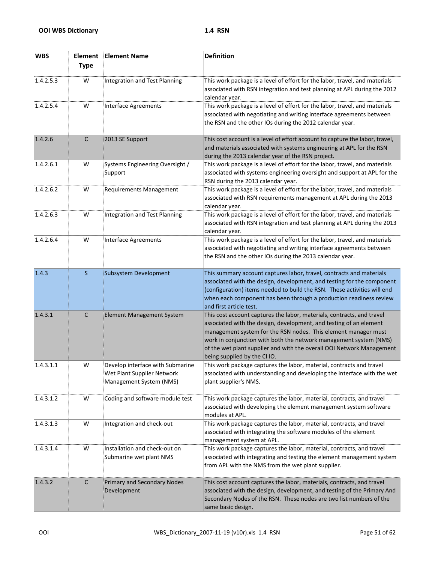| <b>WBS</b> | Element<br><b>Type</b> | <b>Element Name</b>                                                                       | <b>Definition</b>                                                                                                                                                                                                                                                                                                                                                                            |
|------------|------------------------|-------------------------------------------------------------------------------------------|----------------------------------------------------------------------------------------------------------------------------------------------------------------------------------------------------------------------------------------------------------------------------------------------------------------------------------------------------------------------------------------------|
| 1.4.2.5.3  | W                      | Integration and Test Planning                                                             | This work package is a level of effort for the labor, travel, and materials<br>associated with RSN integration and test planning at APL during the 2012<br>calendar year.                                                                                                                                                                                                                    |
| 1.4.2.5.4  | W                      | <b>Interface Agreements</b>                                                               | This work package is a level of effort for the labor, travel, and materials<br>associated with negotiating and writing interface agreements between<br>the RSN and the other IOs during the 2012 calendar year.                                                                                                                                                                              |
| 1.4.2.6    | $\mathsf C$            | 2013 SE Support                                                                           | This cost account is a level of effort account to capture the labor, travel,<br>and materials associated with systems engineering at APL for the RSN<br>during the 2013 calendar year of the RSN project.                                                                                                                                                                                    |
| 1.4.2.6.1  | W                      | Systems Engineering Oversight /<br>Support                                                | This work package is a level of effort for the labor, travel, and materials<br>associated with systems engineering oversight and support at APL for the<br>RSN during the 2013 calendar year.                                                                                                                                                                                                |
| 1.4.2.6.2  | W                      | <b>Requirements Management</b>                                                            | This work package is a level of effort for the labor, travel, and materials<br>associated with RSN requirements management at APL during the 2013<br>calendar year.                                                                                                                                                                                                                          |
| 1.4.2.6.3  | W                      | <b>Integration and Test Planning</b>                                                      | This work package is a level of effort for the labor, travel, and materials<br>associated with RSN integration and test planning at APL during the 2013<br>calendar year.                                                                                                                                                                                                                    |
| 1.4.2.6.4  | W                      | <b>Interface Agreements</b>                                                               | This work package is a level of effort for the labor, travel, and materials<br>associated with negotiating and writing interface agreements between<br>the RSN and the other IOs during the 2013 calendar year.                                                                                                                                                                              |
| 1.4.3      | $\mathsf S$            | <b>Subsystem Development</b>                                                              | This summary account captures labor, travel, contracts and materials<br>associated with the design, development, and testing for the component<br>(configuration) items needed to build the RSN. These activities will end<br>when each component has been through a production readiness review<br>and first article test.                                                                  |
| 1.4.3.1    | C                      | <b>Element Management System</b>                                                          | This cost account captures the labor, materials, contracts, and travel<br>associated with the design, development, and testing of an element<br>management system for the RSN nodes. This element manager must<br>work in conjunction with both the network management system (NMS)<br>of the wet plant supplier and with the overall OOI Network Management<br>being supplied by the CI IO. |
| 1.4.3.1.1  | W                      | Develop interface with Submarine<br>Wet Plant Supplier Network<br>Management System (NMS) | This work package captures the labor, material, contracts and travel<br>associated with understanding and developing the interface with the wet<br>plant supplier's NMS.                                                                                                                                                                                                                     |
| 1.4.3.1.2  | W                      | Coding and software module test                                                           | This work package captures the labor, material, contracts, and travel<br>associated with developing the element management system software<br>modules at APL.                                                                                                                                                                                                                                |
| 1.4.3.1.3  | W                      | Integration and check-out                                                                 | This work package captures the labor, material, contracts, and travel<br>associated with integrating the software modules of the element<br>management system at APL.                                                                                                                                                                                                                        |
| 1.4.3.1.4  | W                      | Installation and check-out on<br>Submarine wet plant NMS                                  | This work package captures the labor, material, contracts, and travel<br>associated with integrating and testing the element management system<br>from APL with the NMS from the wet plant supplier.                                                                                                                                                                                         |
| 1.4.3.2    | $\mathsf{C}$           | Primary and Secondary Nodes<br>Development                                                | This cost account captures the labor, materials, contracts, and travel<br>associated with the design, development, and testing of the Primary And<br>Secondary Nodes of the RSN. These nodes are two list numbers of the<br>same basic design.                                                                                                                                               |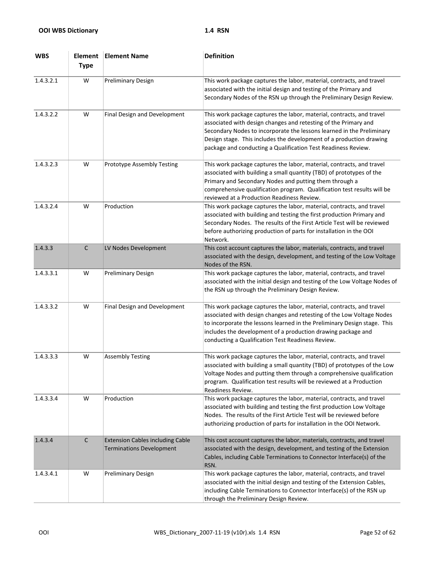| <b>WBS</b> | Element<br><b>Type</b> | <b>Element Name</b>                                                        | <b>Definition</b>                                                                                                                                                                                                                                                                                                                                         |
|------------|------------------------|----------------------------------------------------------------------------|-----------------------------------------------------------------------------------------------------------------------------------------------------------------------------------------------------------------------------------------------------------------------------------------------------------------------------------------------------------|
| 1.4.3.2.1  | W                      | <b>Preliminary Design</b>                                                  | This work package captures the labor, material, contracts, and travel<br>associated with the initial design and testing of the Primary and<br>Secondary Nodes of the RSN up through the Preliminary Design Review.                                                                                                                                        |
| 1.4.3.2.2  | W                      | Final Design and Development                                               | This work package captures the labor, material, contracts, and travel<br>associated with design changes and retesting of the Primary and<br>Secondary Nodes to incorporate the lessons learned in the Preliminary<br>Design stage. This includes the development of a production drawing<br>package and conducting a Qualification Test Readiness Review. |
| 1.4.3.2.3  | W                      | Prototype Assembly Testing                                                 | This work package captures the labor, material, contracts, and travel<br>associated with building a small quantity (TBD) of prototypes of the<br>Primary and Secondary Nodes and putting them through a<br>comprehensive qualification program. Qualification test results will be<br>reviewed at a Production Readiness Review.                          |
| 1.4.3.2.4  | W                      | Production                                                                 | This work package captures the labor, material, contracts, and travel<br>associated with building and testing the first production Primary and<br>Secondary Nodes. The results of the First Article Test will be reviewed<br>before authorizing production of parts for installation in the OOI<br>Network.                                               |
| 1.4.3.3    | $\mathsf C$            | LV Nodes Development                                                       | This cost account captures the labor, materials, contracts, and travel<br>associated with the design, development, and testing of the Low Voltage<br>Nodes of the RSN.                                                                                                                                                                                    |
| 1.4.3.3.1  | W                      | <b>Preliminary Design</b>                                                  | This work package captures the labor, material, contracts, and travel<br>associated with the initial design and testing of the Low Voltage Nodes of<br>the RSN up through the Preliminary Design Review.                                                                                                                                                  |
| 1.4.3.3.2  | W                      | Final Design and Development                                               | This work package captures the labor, material, contracts, and travel<br>associated with design changes and retesting of the Low Voltage Nodes<br>to incorporate the lessons learned in the Preliminary Design stage. This<br>includes the development of a production drawing package and<br>conducting a Qualification Test Readiness Review.           |
| 1.4.3.3.3  | W                      | <b>Assembly Testing</b>                                                    | This work package captures the labor, material, contracts, and travel<br>associated with building a small quantity (TBD) of prototypes of the Low<br>Voltage Nodes and putting them through a comprehensive qualification<br>program. Qualification test results will be reviewed at a Production<br>Readiness Review.                                    |
| 1.4.3.3.4  | W                      | Production                                                                 | This work package captures the labor, material, contracts, and travel<br>associated with building and testing the first production Low Voltage<br>Nodes. The results of the First Article Test will be reviewed before<br>authorizing production of parts for installation in the OOI Network.                                                            |
| 1.4.3.4    | $\mathsf{C}$           | <b>Extension Cables including Cable</b><br><b>Terminations Development</b> | This cost account captures the labor, materials, contracts, and travel<br>associated with the design, development, and testing of the Extension<br>Cables, including Cable Terminations to Connector Interface(s) of the<br>RSN.                                                                                                                          |
| 1.4.3.4.1  | W                      | <b>Preliminary Design</b>                                                  | This work package captures the labor, material, contracts, and travel<br>associated with the initial design and testing of the Extension Cables,<br>including Cable Terminations to Connector Interface(s) of the RSN up<br>through the Preliminary Design Review.                                                                                        |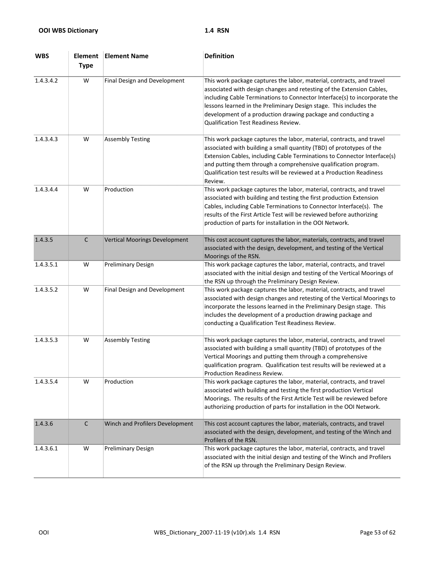| <b>WBS</b> | <b>Element</b><br><b>Type</b> | <b>Element Name</b>                  | <b>Definition</b>                                                                                                                                                                                                                                                                                                                                                                                                |
|------------|-------------------------------|--------------------------------------|------------------------------------------------------------------------------------------------------------------------------------------------------------------------------------------------------------------------------------------------------------------------------------------------------------------------------------------------------------------------------------------------------------------|
| 1.4.3.4.2  | W                             | Final Design and Development         | This work package captures the labor, material, contracts, and travel<br>associated with design changes and retesting of the Extension Cables,<br>including Cable Terminations to Connector Interface(s) to incorporate the<br>lessons learned in the Preliminary Design stage. This includes the<br>development of a production drawing package and conducting a<br><b>Qualification Test Readiness Review.</b> |
| 1.4.3.4.3  | W                             | <b>Assembly Testing</b>              | This work package captures the labor, material, contracts, and travel<br>associated with building a small quantity (TBD) of prototypes of the<br>Extension Cables, including Cable Terminations to Connector Interface(s)<br>and putting them through a comprehensive qualification program.<br>Qualification test results will be reviewed at a Production Readiness<br>Review.                                 |
| 1.4.3.4.4  | W                             | Production                           | This work package captures the labor, material, contracts, and travel<br>associated with building and testing the first production Extension<br>Cables, including Cable Terminations to Connector Interface(s). The<br>results of the First Article Test will be reviewed before authorizing<br>production of parts for installation in the OOI Network.                                                         |
| 1.4.3.5    | $\mathsf{C}$                  | <b>Vertical Moorings Development</b> | This cost account captures the labor, materials, contracts, and travel<br>associated with the design, development, and testing of the Vertical<br>Moorings of the RSN.                                                                                                                                                                                                                                           |
| 1.4.3.5.1  | W                             | <b>Preliminary Design</b>            | This work package captures the labor, material, contracts, and travel<br>associated with the initial design and testing of the Vertical Moorings of<br>the RSN up through the Preliminary Design Review.                                                                                                                                                                                                         |
| 1.4.3.5.2  | W                             | Final Design and Development         | This work package captures the labor, material, contracts, and travel<br>associated with design changes and retesting of the Vertical Moorings to<br>incorporate the lessons learned in the Preliminary Design stage. This<br>includes the development of a production drawing package and<br>conducting a Qualification Test Readiness Review.                                                                  |
| 1.4.3.5.3  | W                             | <b>Assembly Testing</b>              | This work package captures the labor, material, contracts, and travel<br>associated with building a small quantity (TBD) of prototypes of the<br>Vertical Moorings and putting them through a comprehensive<br>qualification program. Qualification test results will be reviewed at a<br><b>Production Readiness Review.</b>                                                                                    |
| 1.4.3.5.4  | W                             | Production                           | This work package captures the labor, material, contracts, and travel<br>associated with building and testing the first production Vertical<br>Moorings. The results of the First Article Test will be reviewed before<br>authorizing production of parts for installation in the OOI Network.                                                                                                                   |
| 1.4.3.6    | $\mathsf C$                   | Winch and Profilers Development      | This cost account captures the labor, materials, contracts, and travel<br>associated with the design, development, and testing of the Winch and<br>Profilers of the RSN.                                                                                                                                                                                                                                         |
| 1.4.3.6.1  | W                             | <b>Preliminary Design</b>            | This work package captures the labor, material, contracts, and travel<br>associated with the initial design and testing of the Winch and Profilers<br>of the RSN up through the Preliminary Design Review.                                                                                                                                                                                                       |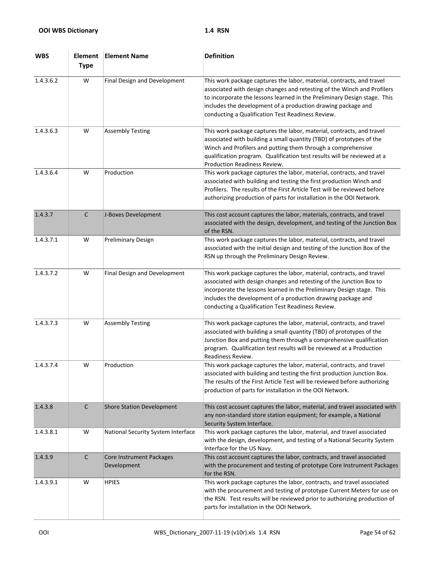| <b>WBS</b> | Element<br><b>Type</b> | <b>Element Name</b>                     | <b>Definition</b>                                                                                                                                                                                                                                                                                                                                 |
|------------|------------------------|-----------------------------------------|---------------------------------------------------------------------------------------------------------------------------------------------------------------------------------------------------------------------------------------------------------------------------------------------------------------------------------------------------|
| 1.4.3.6.2  | W                      | Final Design and Development            | This work package captures the labor, material, contracts, and travel<br>associated with design changes and retesting of the Winch and Profilers<br>to incorporate the lessons learned in the Preliminary Design stage. This<br>includes the development of a production drawing package and<br>conducting a Qualification Test Readiness Review. |
| 1.4.3.6.3  | W                      | <b>Assembly Testing</b>                 | This work package captures the labor, material, contracts, and travel<br>associated with building a small quantity (TBD) of prototypes of the<br>Winch and Profilers and putting them through a comprehensive<br>qualification program. Qualification test results will be reviewed at a<br>Production Readiness Review.                          |
| 1.4.3.6.4  | W                      | Production                              | This work package captures the labor, material, contracts, and travel<br>associated with building and testing the first production Winch and<br>Profilers. The results of the First Article Test will be reviewed before<br>authorizing production of parts for installation in the OOI Network.                                                  |
| 1.4.3.7    | $\mathsf{C}$           | J-Boxes Development                     | This cost account captures the labor, materials, contracts, and travel<br>associated with the design, development, and testing of the Junction Box<br>of the RSN.                                                                                                                                                                                 |
| 1.4.3.7.1  | W                      | <b>Preliminary Design</b>               | This work package captures the labor, material, contracts, and travel<br>associated with the initial design and testing of the Junction Box of the<br>RSN up through the Preliminary Design Review.                                                                                                                                               |
| 1.4.3.7.2  | W                      | Final Design and Development            | This work package captures the labor, material, contracts, and travel<br>associated with design changes and retesting of the Junction Box to<br>incorporate the lessons learned in the Preliminary Design stage. This<br>includes the development of a production drawing package and<br>conducting a Qualification Test Readiness Review.        |
| 1.4.3.7.3  | W                      | <b>Assembly Testing</b>                 | This work package captures the labor, material, contracts, and travel<br>associated with building a small quantity (TBD) of prototypes of the<br>Junction Box and putting them through a comprehensive qualification<br>program. Qualification test results will be reviewed at a Production<br>Readiness Review.                                 |
| 1.4.3.7.4  | W                      | Production                              | This work package captures the labor, material, contracts, and travel<br>associated with building and testing the first production Junction Box.<br>The results of the First Article Test will be reviewed before authorizing<br>production of parts for installation in the OOI Network.                                                         |
| 1.4.3.8    | $\mathsf{C}$           | <b>Shore Station Development</b>        | This cost account captures the labor, material, and travel associated with<br>any non-standard store station equipment; for example, a National<br>Security System Interface.                                                                                                                                                                     |
| 1.4.3.8.1  | W                      | National Security System Interface      | This work package captures the labor, material, and travel associated<br>with the design, development, and testing of a National Security System<br>Interface for the US Navy.                                                                                                                                                                    |
| 1.4.3.9    | $\mathsf C$            | Core Instrument Packages<br>Development | This cost account captures the labor, contracts, and travel associated<br>with the procurement and testing of prototype Core Instrument Packages<br>for the RSN.                                                                                                                                                                                  |
| 1.4.3.9.1  | W                      | <b>HPIES</b>                            | This work package captures the labor, contracts, and travel associated<br>with the procurement and testing of prototype Current Meters for use on<br>the RSN. Test results will be reviewed prior to authorizing production of<br>parts for installation in the OOI Network.                                                                      |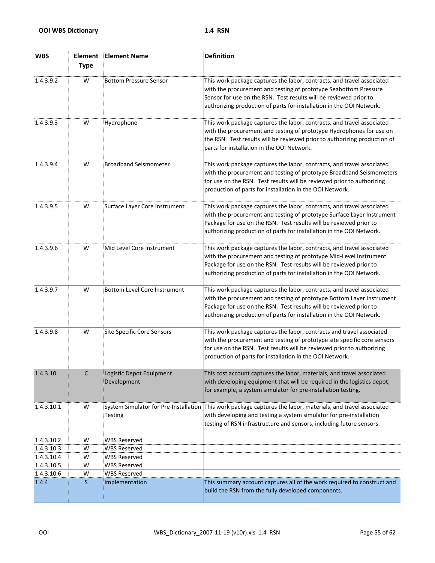| <b>WBS</b> | Element<br><b>Type</b> | <b>Element Name</b>                     | <b>Definition</b>                                                                                                                                                                                                                                                                              |
|------------|------------------------|-----------------------------------------|------------------------------------------------------------------------------------------------------------------------------------------------------------------------------------------------------------------------------------------------------------------------------------------------|
| 1.4.3.9.2  | W                      | <b>Bottom Pressure Sensor</b>           | This work package captures the labor, contracts, and travel associated<br>with the procurement and testing of prototype Seabottom Pressure<br>Sensor for use on the RSN. Test results will be reviewed prior to<br>authorizing production of parts for installation in the OOI Network.        |
| 1.4.3.9.3  | W                      | Hydrophone                              | This work package captures the labor, contracts, and travel associated<br>with the procurement and testing of prototype Hydrophones for use on<br>the RSN. Test results will be reviewed prior to authorizing production of<br>parts for installation in the OOI Network.                      |
| 1.4.3.9.4  | W                      | <b>Broadband Seismometer</b>            | This work package captures the labor, contracts, and travel associated<br>with the procurement and testing of prototype Broadband Seismometers<br>for use on the RSN. Test results will be reviewed prior to authorizing<br>production of parts for installation in the OOI Network.           |
| 1.4.3.9.5  | W                      | Surface Layer Core Instrument           | This work package captures the labor, contracts, and travel associated<br>with the procurement and testing of prototype Surface Layer Instrument<br>Package for use on the RSN. Test results will be reviewed prior to<br>authorizing production of parts for installation in the OOI Network. |
| 1.4.3.9.6  | W                      | Mid Level Core Instrument               | This work package captures the labor, contracts, and travel associated<br>with the procurement and testing of prototype Mid-Level Instrument<br>Package for use on the RSN. Test results will be reviewed prior to<br>authorizing production of parts for installation in the OOI Network.     |
| 1.4.3.9.7  | W                      | <b>Bottom Level Core Instrument</b>     | This work package captures the labor, contracts, and travel associated<br>with the procurement and testing of prototype Bottom Layer Instrument<br>Package for use on the RSN. Test results will be reviewed prior to<br>authorizing production of parts for installation in the OOI Network.  |
| 1.4.3.9.8  | W                      | <b>Site Specific Core Sensors</b>       | This work package captures the labor, contracts and travel associated<br>with the procurement and testing of prototype site specific core sensors<br>for use on the RSN. Test results will be reviewed prior to authorizing<br>production of parts for installation in the OOI Network.        |
| 1.4.3.10   | C                      | Logistic Depot Equipment<br>Development | This cost account captures the labor, materials, and travel associated<br>with developing equipment that will be required in the logistics depot;<br>for example, a system simulator for pre-installation testing.                                                                             |
| 1.4.3.10.1 | W                      | Testing                                 | System Simulator for Pre-Installation This work package captures the labor, materials, and travel associated<br>with developing and testing a system simulator for pre-installation<br>testing of RSN infrastructure and sensors, including future sensors.                                    |
| 1.4.3.10.2 | W                      | <b>WBS Reserved</b>                     |                                                                                                                                                                                                                                                                                                |
| 1.4.3.10.3 | W                      | <b>WBS Reserved</b>                     |                                                                                                                                                                                                                                                                                                |
| 1.4.3.10.4 | W                      | <b>WBS Reserved</b>                     |                                                                                                                                                                                                                                                                                                |
| 1.4.3.10.5 | W                      | <b>WBS Reserved</b>                     |                                                                                                                                                                                                                                                                                                |
| 1.4.3.10.6 | W                      | <b>WBS Reserved</b>                     |                                                                                                                                                                                                                                                                                                |
| 1.4.4      | S.                     | Implementation                          | This summary account captures all of the work required to construct and<br>build the RSN from the fully developed components.                                                                                                                                                                  |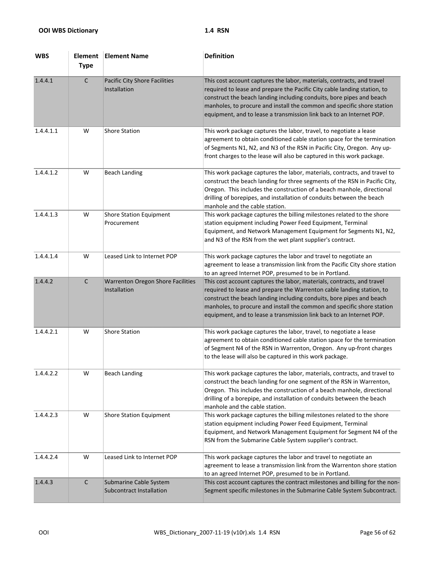| <b>WBS</b> | <b>Element</b><br><b>Type</b> | <b>Element Name</b>                                       | <b>Definition</b>                                                                                                                                                                                                                                                                                                                                                            |
|------------|-------------------------------|-----------------------------------------------------------|------------------------------------------------------------------------------------------------------------------------------------------------------------------------------------------------------------------------------------------------------------------------------------------------------------------------------------------------------------------------------|
| 1.4.4.1    | $\mathsf{C}$                  | Pacific City Shore Facilities<br>Installation             | This cost account captures the labor, materials, contracts, and travel<br>required to lease and prepare the Pacific City cable landing station, to<br>construct the beach landing including conduits, bore pipes and beach<br>manholes, to procure and install the common and specific shore station<br>equipment, and to lease a transmission link back to an Internet POP. |
| 1.4.4.1.1  | W                             | <b>Shore Station</b>                                      | This work package captures the labor, travel, to negotiate a lease<br>agreement to obtain conditioned cable station space for the termination<br>of Segments N1, N2, and N3 of the RSN in Pacific City, Oregon. Any up-<br>front charges to the lease will also be captured in this work package.                                                                            |
| 1.4.4.1.2  | W                             | <b>Beach Landing</b>                                      | This work package captures the labor, materials, contracts, and travel to<br>construct the beach landing for three segments of the RSN in Pacific City,<br>Oregon. This includes the construction of a beach manhole, directional<br>drilling of borepipes, and installation of conduits between the beach<br>manhole and the cable station.                                 |
| 1.4.4.1.3  | W                             | <b>Shore Station Equipment</b><br>Procurement             | This work package captures the billing milestones related to the shore<br>station equipment including Power Feed Equipment, Terminal<br>Equipment, and Network Management Equipment for Segments N1, N2,<br>and N3 of the RSN from the wet plant supplier's contract.                                                                                                        |
| 1.4.4.1.4  | W                             | Leased Link to Internet POP                               | This work package captures the labor and travel to negotiate an<br>agreement to lease a transmission link from the Pacific City shore station<br>to an agreed Internet POP, presumed to be in Portland.                                                                                                                                                                      |
| 1.4.4.2    | $\mathsf{C}$                  | <b>Warrenton Oregon Shore Facilities</b><br>Installation  | This cost account captures the labor, materials, contracts, and travel<br>required to lease and prepare the Warrenton cable landing station, to<br>construct the beach landing including conduits, bore pipes and beach<br>manholes, to procure and install the common and specific shore station<br>equipment, and to lease a transmission link back to an Internet POP.    |
| 1.4.4.2.1  | W                             | <b>Shore Station</b>                                      | This work package captures the labor, travel, to negotiate a lease<br>agreement to obtain conditioned cable station space for the termination<br>of Segment N4 of the RSN in Warrenton, Oregon. Any up-front charges<br>to the lease will also be captured in this work package.                                                                                             |
| 1.4.4.2.2  | W                             | <b>Beach Landing</b>                                      | This work package captures the labor, materials, contracts, and travel to<br>construct the beach landing for one segment of the RSN in Warrenton,<br>Oregon. This includes the construction of a beach manhole, directional<br>drilling of a borepipe, and installation of conduits between the beach<br>manhole and the cable station.                                      |
| 1.4.4.2.3  | W                             | <b>Shore Station Equipment</b>                            | This work package captures the billing milestones related to the shore<br>station equipment including Power Feed Equipment, Terminal<br>Equipment, and Network Management Equipment for Segment N4 of the<br>RSN from the Submarine Cable System supplier's contract.                                                                                                        |
| 1.4.4.2.4  | W                             | Leased Link to Internet POP                               | This work package captures the labor and travel to negotiate an<br>agreement to lease a transmission link from the Warrenton shore station<br>to an agreed Internet POP, presumed to be in Portland.                                                                                                                                                                         |
| 1.4.4.3    | $\mathsf C$                   | Submarine Cable System<br><b>Subcontract Installation</b> | This cost account captures the contract milestones and billing for the non-<br>Segment specific milestones in the Submarine Cable System Subcontract.                                                                                                                                                                                                                        |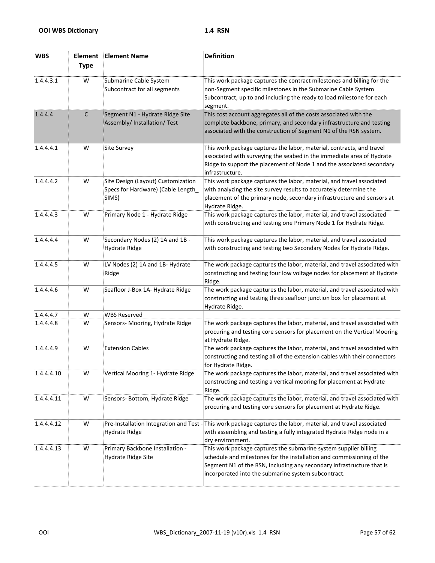| <b>WBS</b> | Element<br><b>Type</b> | <b>Element Name</b>                                                              | <b>Definition</b>                                                                                                                                                                                                                                                         |
|------------|------------------------|----------------------------------------------------------------------------------|---------------------------------------------------------------------------------------------------------------------------------------------------------------------------------------------------------------------------------------------------------------------------|
| 1.4.4.3.1  | W                      | Submarine Cable System<br>Subcontract for all segments                           | This work package captures the contract milestones and billing for the<br>non-Segment specific milestones in the Submarine Cable System<br>Subcontract, up to and including the ready to load milestone for each<br>segment.                                              |
| 1.4.4.4    | C                      | Segment N1 - Hydrate Ridge Site<br>Assembly/ Installation/ Test                  | This cost account aggregates all of the costs associated with the<br>complete backbone, primary, and secondary infrastructure and testing<br>associated with the construction of Segment N1 of the RSN system.                                                            |
| 1.4.4.4.1  | W                      | <b>Site Survey</b>                                                               | This work package captures the labor, material, contracts, and travel<br>associated with surveying the seabed in the immediate area of Hydrate<br>Ridge to support the placement of Node 1 and the associated secondary<br>infrastructure.                                |
| 1.4.4.4.2  | W                      | Site Design (Layout) Customization<br>Specs for Hardware) (Cable Length<br>SIMS) | This work package captures the labor, material, and travel associated<br>with analyzing the site survey results to accurately determine the<br>placement of the primary node, secondary infrastructure and sensors at<br>Hydrate Ridge.                                   |
| 1.4.4.4.3  | W                      | Primary Node 1 - Hydrate Ridge                                                   | This work package captures the labor, material, and travel associated<br>with constructing and testing one Primary Node 1 for Hydrate Ridge.                                                                                                                              |
| 1.4.4.4.4  | W                      | Secondary Nodes (2) 1A and 1B -<br>Hydrate Ridge                                 | This work package captures the labor, material, and travel associated<br>with constructing and testing two Secondary Nodes for Hydrate Ridge.                                                                                                                             |
| 1.4.4.4.5  | W                      | LV Nodes (2) 1A and 1B- Hydrate<br>Ridge                                         | The work package captures the labor, material, and travel associated with<br>constructing and testing four low voltage nodes for placement at Hydrate<br>Ridge.                                                                                                           |
| 1.4.4.4.6  | W                      | Seafloor J-Box 1A- Hydrate Ridge                                                 | The work package captures the labor, material, and travel associated with<br>constructing and testing three seafloor junction box for placement at<br>Hydrate Ridge.                                                                                                      |
| 1.4.4.4.7  | W                      | <b>WBS Reserved</b>                                                              |                                                                                                                                                                                                                                                                           |
| 1.4.4.4.8  | W                      | Sensors- Mooring, Hydrate Ridge                                                  | The work package captures the labor, material, and travel associated with<br>procuring and testing core sensors for placement on the Vertical Mooring<br>at Hydrate Ridge.                                                                                                |
| 1.4.4.4.9  | W                      | <b>Extension Cables</b>                                                          | The work package captures the labor, material, and travel associated with<br>constructing and testing all of the extension cables with their connectors<br>for Hydrate Ridge.                                                                                             |
| 1.4.4.4.10 | W                      | Vertical Mooring 1- Hydrate Ridge                                                | The work package captures the labor, material, and travel associated with<br>constructing and testing a vertical mooring for placement at Hydrate<br>Ridge.                                                                                                               |
| 1.4.4.4.11 | W                      | Sensors- Bottom, Hydrate Ridge                                                   | The work package captures the labor, material, and travel associated with<br>procuring and testing core sensors for placement at Hydrate Ridge.                                                                                                                           |
| 1.4.4.4.12 | W                      | Pre-Installation Integration and Test -<br><b>Hydrate Ridge</b>                  | This work package captures the labor, material, and travel associated<br>with assembling and testing a fully integrated Hydrate Ridge node in a<br>dry environment.                                                                                                       |
| 1.4.4.4.13 | W                      | Primary Backbone Installation -<br>Hydrate Ridge Site                            | This work package captures the submarine system supplier billing<br>schedule and milestones for the installation and commissioning of the<br>Segment N1 of the RSN, including any secondary infrastructure that is<br>incorporated into the submarine system subcontract. |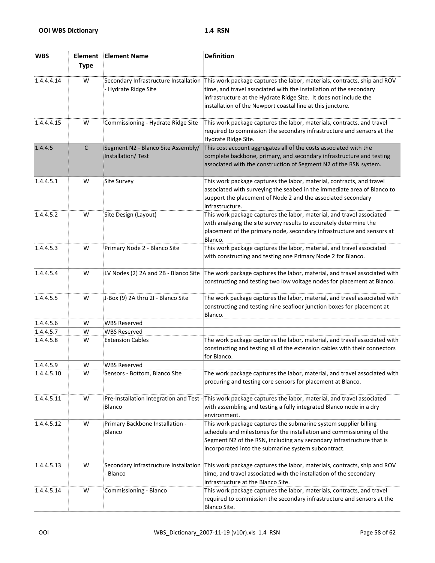| <b>WBS</b> | Element<br><b>Type</b> | <b>Element Name</b>                                           | <b>Definition</b>                                                                                                                                                                                                                                                                 |
|------------|------------------------|---------------------------------------------------------------|-----------------------------------------------------------------------------------------------------------------------------------------------------------------------------------------------------------------------------------------------------------------------------------|
| 1.4.4.4.14 | W                      | Secondary Infrastructure Installation<br>- Hydrate Ridge Site | This work package captures the labor, materials, contracts, ship and ROV<br>time, and travel associated with the installation of the secondary<br>infrastructure at the Hydrate Ridge Site. It does not include the<br>installation of the Newport coastal line at this juncture. |
| 1.4.4.4.15 | W                      | Commissioning - Hydrate Ridge Site                            | This work package captures the labor, materials, contracts, and travel<br>required to commission the secondary infrastructure and sensors at the<br>Hydrate Ridge Site.                                                                                                           |
| 1.4.4.5    | $\mathsf{C}$           | Segment N2 - Blanco Site Assembly/<br>Installation/Test       | This cost account aggregates all of the costs associated with the<br>complete backbone, primary, and secondary infrastructure and testing<br>associated with the construction of Segment N2 of the RSN system.                                                                    |
| 1.4.4.5.1  | W                      | <b>Site Survey</b>                                            | This work package captures the labor, material, contracts, and travel<br>associated with surveying the seabed in the immediate area of Blanco to<br>support the placement of Node 2 and the associated secondary<br>infrastructure.                                               |
| 1.4.4.5.2  | W                      | Site Design (Layout)                                          | This work package captures the labor, material, and travel associated<br>with analyzing the site survey results to accurately determine the<br>placement of the primary node, secondary infrastructure and sensors at<br>Blanco.                                                  |
| 1.4.4.5.3  | W                      | Primary Node 2 - Blanco Site                                  | This work package captures the labor, material, and travel associated<br>with constructing and testing one Primary Node 2 for Blanco.                                                                                                                                             |
| 1.4.4.5.4  | W                      | LV Nodes (2) 2A and 2B - Blanco Site                          | The work package captures the labor, material, and travel associated with<br>constructing and testing two low voltage nodes for placement at Blanco.                                                                                                                              |
| 1.4.4.5.5  | W                      | J-Box (9) 2A thru 2I - Blanco Site                            | The work package captures the labor, material, and travel associated with<br>constructing and testing nine seafloor junction boxes for placement at<br>Blanco.                                                                                                                    |
| 1.4.4.5.6  | W                      | <b>WBS Reserved</b>                                           |                                                                                                                                                                                                                                                                                   |
| 1.4.4.5.7  | W                      | <b>WBS Reserved</b>                                           |                                                                                                                                                                                                                                                                                   |
| 1.4.4.5.8  | W                      | <b>Extension Cables</b>                                       | The work package captures the labor, material, and travel associated with<br>constructing and testing all of the extension cables with their connectors<br>for Blanco.                                                                                                            |
| 1.4.4.5.9  | W                      | <b>WBS Reserved</b>                                           |                                                                                                                                                                                                                                                                                   |
| 1.4.4.5.10 | W                      | Sensors - Bottom, Blanco Site                                 | The work package captures the labor, material, and travel associated with<br>procuring and testing core sensors for placement at Blanco.                                                                                                                                          |
| 1.4.4.5.11 | W                      | Pre-Installation Integration and Test -<br><b>Blanco</b>      | This work package captures the labor, material, and travel associated<br>with assembling and testing a fully integrated Blanco node in a dry<br>environment.                                                                                                                      |
| 1.4.4.5.12 | W                      | Primary Backbone Installation -<br>Blanco                     | This work package captures the submarine system supplier billing<br>schedule and milestones for the installation and commissioning of the<br>Segment N2 of the RSN, including any secondary infrastructure that is<br>incorporated into the submarine system subcontract.         |
| 1.4.4.5.13 | W                      | Secondary Infrastructure Installation<br>Blanco               | This work package captures the labor, materials, contracts, ship and ROV<br>time, and travel associated with the installation of the secondary<br>infrastructure at the Blanco Site.                                                                                              |
| 1.4.4.5.14 | W                      | Commissioning - Blanco                                        | This work package captures the labor, materials, contracts, and travel<br>required to commission the secondary infrastructure and sensors at the<br>Blanco Site.                                                                                                                  |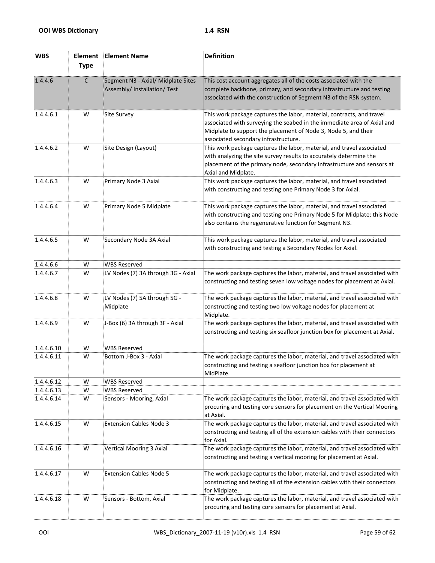| <b>WBS</b> | Element<br><b>Type</b> | <b>Element Name</b>                                                | <b>Definition</b>                                                                                                                                                                                                                                          |
|------------|------------------------|--------------------------------------------------------------------|------------------------------------------------------------------------------------------------------------------------------------------------------------------------------------------------------------------------------------------------------------|
| 1.4.4.6    | $\mathsf{C}$           | Segment N3 - Axial/ Midplate Sites<br>Assembly/ Installation/ Test | This cost account aggregates all of the costs associated with the<br>complete backbone, primary, and secondary infrastructure and testing<br>associated with the construction of Segment N3 of the RSN system.                                             |
| 1.4.4.6.1  | W                      | <b>Site Survey</b>                                                 | This work package captures the labor, material, contracts, and travel<br>associated with surveying the seabed in the immediate area of Axial and<br>Midplate to support the placement of Node 3, Node 5, and their<br>associated secondary infrastructure. |
| 1.4.4.6.2  | W                      | Site Design (Layout)                                               | This work package captures the labor, material, and travel associated<br>with analyzing the site survey results to accurately determine the<br>placement of the primary node, secondary infrastructure and sensors at<br>Axial and Midplate.               |
| 1.4.4.6.3  | W                      | Primary Node 3 Axial                                               | This work package captures the labor, material, and travel associated<br>with constructing and testing one Primary Node 3 for Axial.                                                                                                                       |
| 1.4.4.6.4  | W                      | Primary Node 5 Midplate                                            | This work package captures the labor, material, and travel associated<br>with constructing and testing one Primary Node 5 for Midplate; this Node<br>also contains the regenerative function for Segment N3.                                               |
| 1.4.4.6.5  | W                      | Secondary Node 3A Axial                                            | This work package captures the labor, material, and travel associated<br>with constructing and testing a Secondary Nodes for Axial.                                                                                                                        |
| 1.4.4.6.6  | W                      | <b>WBS Reserved</b>                                                |                                                                                                                                                                                                                                                            |
| 1.4.4.6.7  | W                      | LV Nodes (7) 3A through 3G - Axial                                 | The work package captures the labor, material, and travel associated with<br>constructing and testing seven low voltage nodes for placement at Axial.                                                                                                      |
| 1.4.4.6.8  | W                      | LV Nodes (7) 5A through 5G -<br>Midplate                           | The work package captures the labor, material, and travel associated with<br>constructing and testing two low voltage nodes for placement at<br>Midplate.                                                                                                  |
| 1.4.4.6.9  | W                      | J-Box (6) 3A through 3F - Axial                                    | The work package captures the labor, material, and travel associated with<br>constructing and testing six seafloor junction box for placement at Axial.                                                                                                    |
| 1.4.4.6.10 | W                      | <b>WBS Reserved</b>                                                |                                                                                                                                                                                                                                                            |
| 1.4.4.6.11 | W                      | Bottom J-Box 3 - Axial                                             | The work package captures the labor, material, and travel associated with<br>constructing and testing a seafloor junction box for placement at<br>MidPlate.                                                                                                |
| 1.4.4.6.12 | W                      | <b>WBS Reserved</b>                                                |                                                                                                                                                                                                                                                            |
| 1.4.4.6.13 | W                      | <b>WBS Reserved</b>                                                |                                                                                                                                                                                                                                                            |
| 1.4.4.6.14 | W                      | Sensors - Mooring, Axial                                           | The work package captures the labor, material, and travel associated with<br>procuring and testing core sensors for placement on the Vertical Mooring<br>at Axial.                                                                                         |
| 1.4.4.6.15 | W                      | <b>Extension Cables Node 3</b>                                     | The work package captures the labor, material, and travel associated with<br>constructing and testing all of the extension cables with their connectors<br>for Axial.                                                                                      |
| 1.4.4.6.16 | W                      | <b>Vertical Mooring 3 Axial</b>                                    | The work package captures the labor, material, and travel associated with<br>constructing and testing a vertical mooring for placement at Axial.                                                                                                           |
| 1.4.4.6.17 | W                      | <b>Extension Cables Node 5</b>                                     | The work package captures the labor, material, and travel associated with<br>constructing and testing all of the extension cables with their connectors<br>for Midplate.                                                                                   |
| 1.4.4.6.18 | W                      | Sensors - Bottom, Axial                                            | The work package captures the labor, material, and travel associated with<br>procuring and testing core sensors for placement at Axial.                                                                                                                    |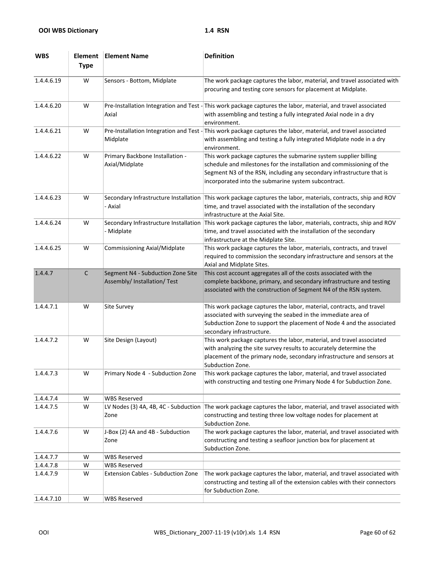| <b>WBS</b> | Element<br><b>Type</b> | <b>Element Name</b>                                               | <b>Definition</b>                                                                                                                                                                                                                                                         |
|------------|------------------------|-------------------------------------------------------------------|---------------------------------------------------------------------------------------------------------------------------------------------------------------------------------------------------------------------------------------------------------------------------|
| 1.4.4.6.19 | W                      | Sensors - Bottom, Midplate                                        | The work package captures the labor, material, and travel associated with<br>procuring and testing core sensors for placement at Midplate.                                                                                                                                |
| 1.4.4.6.20 | W                      | Axial                                                             | Pre-Installation Integration and Test - This work package captures the labor, material, and travel associated<br>with assembling and testing a fully integrated Axial node in a dry<br>environment.                                                                       |
| 1.4.4.6.21 | W                      | Midplate                                                          | Pre-Installation Integration and Test - This work package captures the labor, material, and travel associated<br>with assembling and testing a fully integrated Midplate node in a dry<br>environment.                                                                    |
| 1.4.4.6.22 | W                      | Primary Backbone Installation -<br>Axial/Midplate                 | This work package captures the submarine system supplier billing<br>schedule and milestones for the installation and commissioning of the<br>Segment N3 of the RSN, including any secondary infrastructure that is<br>incorporated into the submarine system subcontract. |
| 1.4.4.6.23 | W                      | Secondary Infrastructure Installation<br>- Axial                  | This work package captures the labor, materials, contracts, ship and ROV<br>time, and travel associated with the installation of the secondary<br>infrastructure at the Axial Site.                                                                                       |
| 1.4.4.6.24 | W                      | Secondary Infrastructure Installation<br>- Midplate               | This work package captures the labor, materials, contracts, ship and ROV<br>time, and travel associated with the installation of the secondary<br>infrastructure at the Midplate Site.                                                                                    |
| 1.4.4.6.25 | W                      | Commissioning Axial/Midplate                                      | This work package captures the labor, materials, contracts, and travel<br>required to commission the secondary infrastructure and sensors at the<br>Axial and Midplate Sites.                                                                                             |
| 1.4.4.7    | $\mathsf C$            | Segment N4 - Subduction Zone Site<br>Assembly/ Installation/ Test | This cost account aggregates all of the costs associated with the<br>complete backbone, primary, and secondary infrastructure and testing<br>associated with the construction of Segment N4 of the RSN system.                                                            |
| 1.4.4.7.1  | W                      | <b>Site Survey</b>                                                | This work package captures the labor, material, contracts, and travel<br>associated with surveying the seabed in the immediate area of<br>Subduction Zone to support the placement of Node 4 and the associated<br>secondary infrastructure.                              |
| 1.4.4.7.2  | W                      | Site Design (Layout)                                              | This work package captures the labor, material, and travel associated<br>with analyzing the site survey results to accurately determine the<br>placement of the primary node, secondary infrastructure and sensors at<br>Subduction Zone.                                 |
| 1.4.4.7.3  | W                      | Primary Node 4 - Subduction Zone                                  | This work package captures the labor, material, and travel associated<br>with constructing and testing one Primary Node 4 for Subduction Zone.                                                                                                                            |
| 1.4.4.7.4  | W                      | <b>WBS Reserved</b>                                               |                                                                                                                                                                                                                                                                           |
| 1.4.4.7.5  | W                      | LV Nodes (3) 4A, 4B, 4C - Subduction<br>Zone                      | The work package captures the labor, material, and travel associated with<br>constructing and testing three low voltage nodes for placement at<br>Subduction Zone.                                                                                                        |
| 1.4.4.7.6  | W                      | J-Box (2) 4A and 4B - Subduction<br>Zone                          | The work package captures the labor, material, and travel associated with<br>constructing and testing a seafloor junction box for placement at<br>Subduction Zone.                                                                                                        |
| 1.4.4.7.7  | W                      | <b>WBS Reserved</b>                                               |                                                                                                                                                                                                                                                                           |
| 1.4.4.7.8  | W                      | <b>WBS Reserved</b>                                               |                                                                                                                                                                                                                                                                           |
| 1.4.4.7.9  | W                      | Extension Cables - Subduction Zone                                | The work package captures the labor, material, and travel associated with<br>constructing and testing all of the extension cables with their connectors<br>for Subduction Zone.                                                                                           |
| 1.4.4.7.10 | W                      | <b>WBS Reserved</b>                                               |                                                                                                                                                                                                                                                                           |